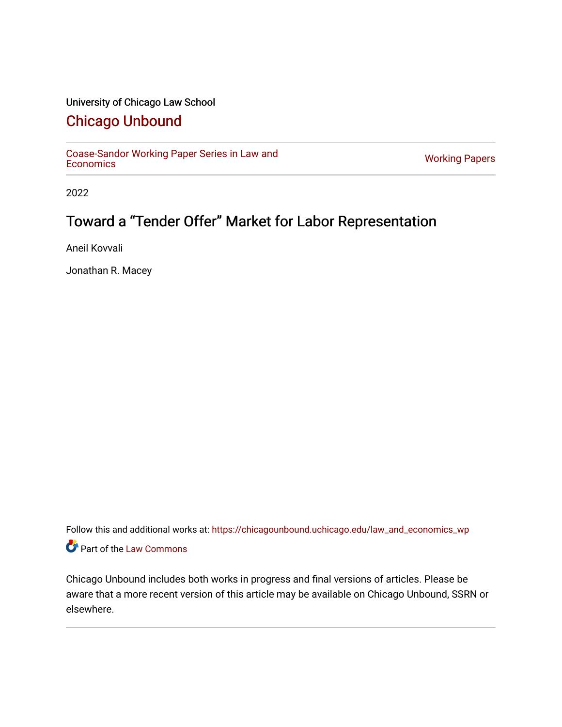## University of Chicago Law School

## [Chicago Unbound](https://chicagounbound.uchicago.edu/)

[Coase-Sandor Working Paper Series in Law and](https://chicagounbound.uchicago.edu/law_and_economics_wp) [Economics](https://chicagounbound.uchicago.edu/law_and_economics_wp) [Working Papers](https://chicagounbound.uchicago.edu/working_papers) 

2022

# Toward a "Tender Offer" Market for Labor Representation

Aneil Kovvali

Jonathan R. Macey

Follow this and additional works at: [https://chicagounbound.uchicago.edu/law\\_and\\_economics\\_wp](https://chicagounbound.uchicago.edu/law_and_economics_wp?utm_source=chicagounbound.uchicago.edu%2Flaw_and_economics_wp%2F9&utm_medium=PDF&utm_campaign=PDFCoverPages)  Part of the [Law Commons](http://network.bepress.com/hgg/discipline/578?utm_source=chicagounbound.uchicago.edu%2Flaw_and_economics_wp%2F9&utm_medium=PDF&utm_campaign=PDFCoverPages)

Chicago Unbound includes both works in progress and final versions of articles. Please be aware that a more recent version of this article may be available on Chicago Unbound, SSRN or elsewhere.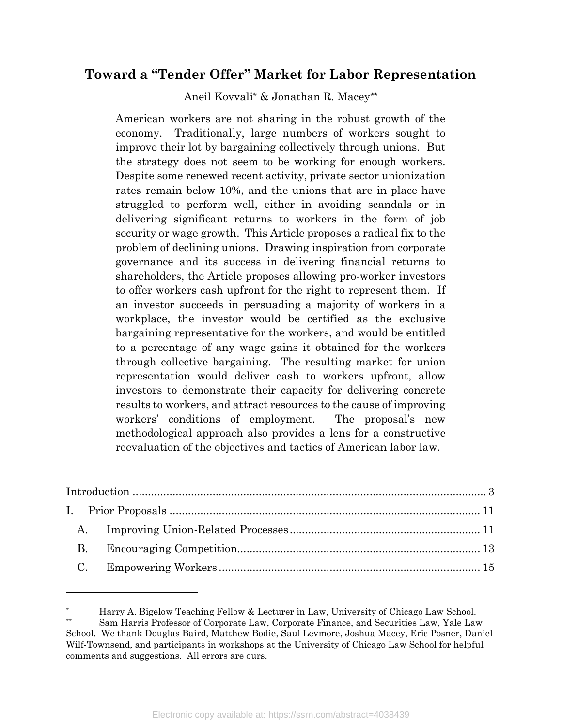## Toward a "Tender Offer" Market for Labor Representation

Aneil Kovvali\* & Jonathan R. Macey\*\*

American workers are not sharing in the robust growth of the economy. Traditionally, large numbers of workers sought to improve their lot by bargaining collectively through unions. But the strategy does not seem to be working for enough workers. Despite some renewed recent activity, private sector unionization rates remain below 10%, and the unions that are in place have struggled to perform well, either in avoiding scandals or in delivering significant returns to workers in the form of job security or wage growth. This Article proposes a radical fix to the problem of declining unions. Drawing inspiration from corporate governance and its success in delivering financial returns to shareholders, the Article proposes allowing pro-worker investors to offer workers cash upfront for the right to represent them. If an investor succeeds in persuading a majority of workers in a workplace, the investor would be certified as the exclusive bargaining representative for the workers, and would be entitled to a percentage of any wage gains it obtained for the workers through collective bargaining. The resulting market for union representation would deliver cash to workers upfront, allow investors to demonstrate their capacity for delivering concrete results to workers, and attract resources to the cause of improving workers' conditions of employment. The proposal's new methodological approach also provides a lens for a constructive reevaluation of the objectives and tactics of American labor law.

<sup>\*</sup> Harry A. Bigelow Teaching Fellow & Lecturer in Law, University of Chicago Law School.

Sam Harris Professor of Corporate Law, Corporate Finance, and Securities Law, Yale Law School. We thank Douglas Baird, Matthew Bodie, Saul Levmore, Joshua Macey, Eric Posner, Daniel Wilf-Townsend, and participants in workshops at the University of Chicago Law School for helpful comments and suggestions. All errors are ours.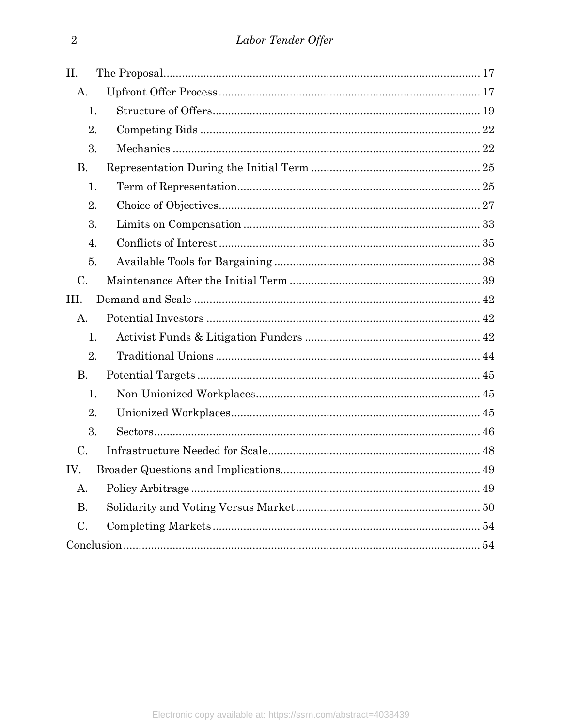| II.       |  |
|-----------|--|
| A.        |  |
| 1.        |  |
| 2.        |  |
| 3.        |  |
| <b>B.</b> |  |
| 1.        |  |
| 2.        |  |
| 3.        |  |
| 4.        |  |
| 5.        |  |
| C.        |  |
| III.      |  |
| А.        |  |
| 1.        |  |
| 2.        |  |
| <b>B.</b> |  |
| 1.        |  |
| 2.        |  |
| 3.        |  |
| C.        |  |
| IV.       |  |
| A.        |  |
| <b>B.</b> |  |
| $C$ .     |  |
|           |  |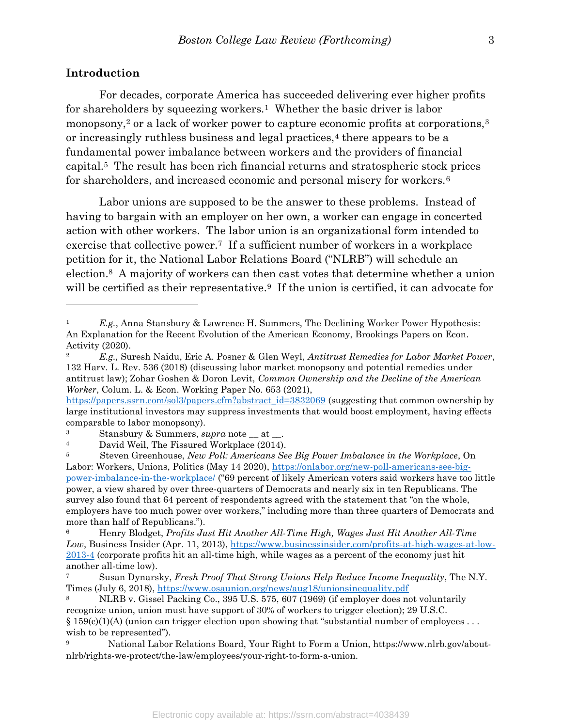#### Introduction

 $\overline{a}$ 

 For decades, corporate America has succeeded delivering ever higher profits for shareholders by squeezing workers.<sup>1</sup> Whether the basic driver is labor monopsony,<sup>2</sup> or a lack of worker power to capture economic profits at corporations,<sup>3</sup> or increasingly ruthless business and legal practices,<sup>4</sup> there appears to be a fundamental power imbalance between workers and the providers of financial capital.5 The result has been rich financial returns and stratospheric stock prices for shareholders, and increased economic and personal misery for workers.<sup>6</sup>

 Labor unions are supposed to be the answer to these problems. Instead of having to bargain with an employer on her own, a worker can engage in concerted action with other workers. The labor union is an organizational form intended to exercise that collective power.<sup>7</sup> If a sufficient number of workers in a workplace petition for it, the National Labor Relations Board ("NLRB") will schedule an election.8 A majority of workers can then cast votes that determine whether a union will be certified as their representative.<sup>9</sup> If the union is certified, it can advocate for

E.g., Anna Stansbury & Lawrence H. Summers, The Declining Worker Power Hypothesis: An Explanation for the Recent Evolution of the American Economy, Brookings Papers on Econ. Activity (2020).

<sup>&</sup>lt;sup>2</sup> E.g., Suresh Naidu, Eric A. Posner & Glen Weyl, *Antitrust Remedies for Labor Market Power*, 132 Harv. L. Rev. 536 (2018) (discussing labor market monopsony and potential remedies under antitrust law); Zohar Goshen & Doron Levit, Common Ownership and the Decline of the American Worker, Colum. L. & Econ. Working Paper No. 653 (2021),

https://papers.ssrn.com/sol3/papers.cfm?abstract\_id=3832069 (suggesting that common ownership by large institutional investors may suppress investments that would boost employment, having effects comparable to labor monopsony).

 $3$  Stansbury & Summers, supra note  $\_\$ at  $\_\_$ .

<sup>4</sup> David Weil, The Fissured Workplace (2014).

<sup>&</sup>lt;sup>5</sup> Steven Greenhouse, New Poll: Americans See Big Power Imbalance in the Workplace, On Labor: Workers, Unions, Politics (May 14 2020), https://onlabor.org/new-poll-americans-see-bigpower-imbalance-in-the-workplace/ ("69 percent of likely American voters said workers have too little power, a view shared by over three-quarters of Democrats and nearly six in ten Republicans. The survey also found that 64 percent of respondents agreed with the statement that "on the whole, employers have too much power over workers," including more than three quarters of Democrats and more than half of Republicans.").

 $6$  Henry Blodget, *Profits Just Hit Another All-Time High, Wages Just Hit Another All-Time* Low, Business Insider (Apr. 11, 2013), https://www.businessinsider.com/profits-at-high-wages-at-low-2013-4 (corporate profits hit an all-time high, while wages as a percent of the economy just hit another all-time low).

Susan Dynarsky, Fresh Proof That Strong Unions Help Reduce Income Inequality, The N.Y. Times (July 6, 2018), https://www.osaunion.org/news/aug18/unionsinequality.pdf

<sup>8</sup> NLRB v. Gissel Packing Co., 395 U.S. 575, 607 (1969) (if employer does not voluntarily recognize union, union must have support of 30% of workers to trigger election); 29 U.S.C.  $§ 159(c)(1)(A)$  (union can trigger election upon showing that "substantial number of employees ... wish to be represented").

<sup>9</sup> National Labor Relations Board, Your Right to Form a Union, https://www.nlrb.gov/aboutnlrb/rights-we-protect/the-law/employees/your-right-to-form-a-union.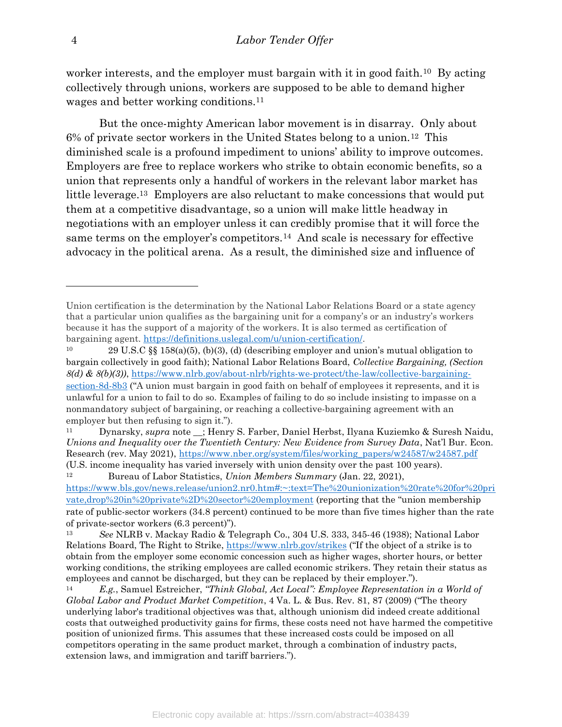worker interests, and the employer must bargain with it in good faith.<sup>10</sup> By acting collectively through unions, workers are supposed to be able to demand higher wages and better working conditions.<sup>11</sup>

 But the once-mighty American labor movement is in disarray. Only about  $6%$  of private sector workers in the United States belong to a union.<sup>12</sup> This diminished scale is a profound impediment to unions' ability to improve outcomes. Employers are free to replace workers who strike to obtain economic benefits, so a union that represents only a handful of workers in the relevant labor market has little leverage.13 Employers are also reluctant to make concessions that would put them at a competitive disadvantage, so a union will make little headway in negotiations with an employer unless it can credibly promise that it will force the same terms on the employer's competitors.14 And scale is necessary for effective advocacy in the political arena. As a result, the diminished size and influence of

Union certification is the determination by the National Labor Relations Board or a state agency that a particular union qualifies as the bargaining unit for a company's or an industry's workers because it has the support of a majority of the workers. It is also termed as certification of bargaining agent. https://definitions.uslegal.com/u/union-certification/.

<sup>10</sup> 29 U.S.C §§ 158(a)(5), (b)(3), (d) (describing employer and union's mutual obligation to bargain collectively in good faith); National Labor Relations Board, Collective Bargaining, (Section  $8(d)$  &  $8(b)(3)$ , https://www.nlrb.gov/about-nlrb/rights-we-protect/the-law/collective-bargainingsection-8d-8b3 ("A union must bargain in good faith on behalf of employees it represents, and it is unlawful for a union to fail to do so. Examples of failing to do so include insisting to impasse on a nonmandatory subject of bargaining, or reaching a collective-bargaining agreement with an employer but then refusing to sign it.").

<sup>11</sup> Dynarsky, supra note \_\_; Henry S. Farber, Daniel Herbst, Ilyana Kuziemko & Suresh Naidu, Unions and Inequality over the Twentieth Century: New Evidence from Survey Data, Nat'l Bur. Econ. Research (rev. May 2021), https://www.nber.org/system/files/working\_papers/w24587/w24587.pdf (U.S. income inequality has varied inversely with union density over the past 100 years).

<sup>12</sup> Bureau of Labor Statistics, Union Members Summary (Jan. 22, 2021), https://www.bls.gov/news.release/union2.nr0.htm#:~:text=The%20unionization%20rate%20for%20pri vate,drop%20in%20private%2D%20sector%20employment (reporting that the "union membership rate of public-sector workers (34.8 percent) continued to be more than five times higher than the rate of private-sector workers (6.3 percent)").

See NLRB v. Mackay Radio & Telegraph Co., 304 U.S. 333, 345-46 (1938); National Labor Relations Board, The Right to Strike, https://www.nlrb.gov/strikes ("If the object of a strike is to obtain from the employer some economic concession such as higher wages, shorter hours, or better working conditions, the striking employees are called economic strikers. They retain their status as employees and cannot be discharged, but they can be replaced by their employer.").

<sup>14</sup> E.g., Samuel Estreicher, "Think Global, Act Local": Employee Representation in a World of Global Labor and Product Market Competition, 4 Va. L. & Bus. Rev. 81, 87 (2009) ("The theory underlying labor's traditional objectives was that, although unionism did indeed create additional costs that outweighed productivity gains for firms, these costs need not have harmed the competitive position of unionized firms. This assumes that these increased costs could be imposed on all competitors operating in the same product market, through a combination of industry pacts, extension laws, and immigration and tariff barriers.").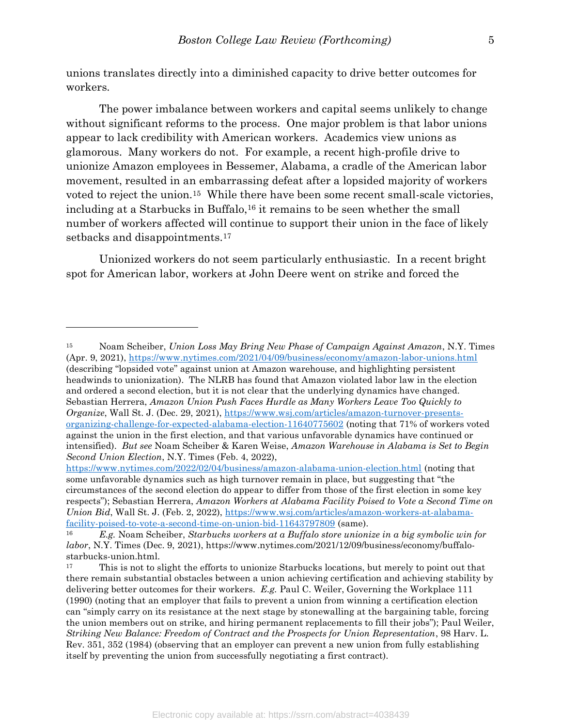unions translates directly into a diminished capacity to drive better outcomes for workers.

 The power imbalance between workers and capital seems unlikely to change without significant reforms to the process. One major problem is that labor unions appear to lack credibility with American workers. Academics view unions as glamorous. Many workers do not. For example, a recent high-profile drive to unionize Amazon employees in Bessemer, Alabama, a cradle of the American labor movement, resulted in an embarrassing defeat after a lopsided majority of workers voted to reject the union.15 While there have been some recent small-scale victories, including at a Starbucks in Buffalo,16 it remains to be seen whether the small number of workers affected will continue to support their union in the face of likely setbacks and disappointments.<sup>17</sup>

 Unionized workers do not seem particularly enthusiastic. In a recent bright spot for American labor, workers at John Deere went on strike and forced the

<sup>&</sup>lt;sup>15</sup> Noam Scheiber, Union Loss May Bring New Phase of Campaign Against Amazon, N.Y. Times (Apr. 9, 2021), https://www.nytimes.com/2021/04/09/business/economy/amazon-labor-unions.html (describing "lopsided vote" against union at Amazon warehouse, and highlighting persistent headwinds to unionization). The NLRB has found that Amazon violated labor law in the election and ordered a second election, but it is not clear that the underlying dynamics have changed. Sebastian Herrera, Amazon Union Push Faces Hurdle as Many Workers Leave Too Quickly to Organize, Wall St. J. (Dec. 29, 2021), https://www.wsj.com/articles/amazon-turnover-presentsorganizing-challenge-for-expected-alabama-election-11640775602 (noting that 71% of workers voted against the union in the first election, and that various unfavorable dynamics have continued or intensified). But see Noam Scheiber & Karen Weise, Amazon Warehouse in Alabama is Set to Begin Second Union Election, N.Y. Times (Feb. 4, 2022),

https://www.nytimes.com/2022/02/04/business/amazon-alabama-union-election.html (noting that some unfavorable dynamics such as high turnover remain in place, but suggesting that "the circumstances of the second election do appear to differ from those of the first election in some key respects"); Sebastian Herrera, Amazon Workers at Alabama Facility Poised to Vote a Second Time on Union Bid, Wall St. J. (Feb. 2, 2022), https://www.wsj.com/articles/amazon-workers-at-alabamafacility-poised-to-vote-a-second-time-on-union-bid-11643797809 (same).

E.g. Noam Scheiber, Starbucks workers at a Buffalo store unionize in a big symbolic win for labor, N.Y. Times (Dec. 9, 2021), https://www.nytimes.com/2021/12/09/business/economy/buffalostarbucks-union.html.

<sup>&</sup>lt;sup>17</sup> This is not to slight the efforts to unionize Starbucks locations, but merely to point out that there remain substantial obstacles between a union achieving certification and achieving stability by delivering better outcomes for their workers. E.g. Paul C. Weiler, Governing the Workplace 111 (1990) (noting that an employer that fails to prevent a union from winning a certification election can "simply carry on its resistance at the next stage by stonewalling at the bargaining table, forcing the union members out on strike, and hiring permanent replacements to fill their jobs"); Paul Weiler, Striking New Balance: Freedom of Contract and the Prospects for Union Representation, 98 Harv. L. Rev. 351, 352 (1984) (observing that an employer can prevent a new union from fully establishing itself by preventing the union from successfully negotiating a first contract).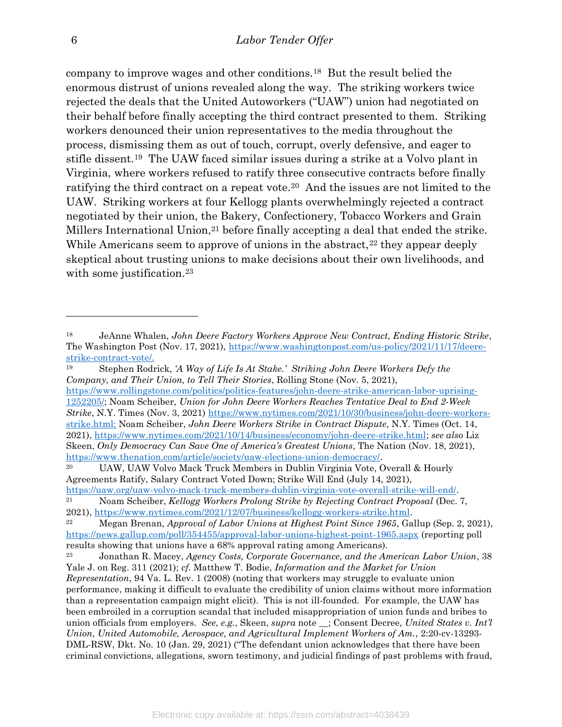company to improve wages and other conditions.18 But the result belied the enormous distrust of unions revealed along the way. The striking workers twice rejected the deals that the United Autoworkers ("UAW") union had negotiated on their behalf before finally accepting the third contract presented to them. Striking workers denounced their union representatives to the media throughout the process, dismissing them as out of touch, corrupt, overly defensive, and eager to stifle dissent.19 The UAW faced similar issues during a strike at a Volvo plant in Virginia, where workers refused to ratify three consecutive contracts before finally ratifying the third contract on a repeat vote.20 And the issues are not limited to the UAW. Striking workers at four Kellogg plants overwhelmingly rejected a contract negotiated by their union, the Bakery, Confectionery, Tobacco Workers and Grain Millers International Union,<sup>21</sup> before finally accepting a deal that ended the strike. While Americans seem to approve of unions in the abstract,  $22$  they appear deeply skeptical about trusting unions to make decisions about their own livelihoods, and with some justification.<sup>23</sup>

https://www.rollingstone.com/politics/politics-features/john-deere-strike-american-labor-uprising-1252205/; Noam Scheiber, Union for John Deere Workers Reaches Tentative Deal to End 2-Week Strike, N.Y. Times (Nov. 3, 2021) https://www.nytimes.com/2021/10/30/business/john-deere-workersstrike.html; Noam Scheiber, John Deere Workers Strike in Contract Dispute, N.Y. Times (Oct. 14, 2021), https://www.nytimes.com/2021/10/14/business/economy/john-deere-strike.html; see also Liz Skeen, Only Democracy Can Save One of America's Greatest Unions, The Nation (Nov. 18, 2021), https://www.thenation.com/article/society/uaw-elections-union-democracy/.

<sup>18</sup> JeAnne Whalen, John Deere Factory Workers Approve New Contract, Ending Historic Strike, The Washington Post (Nov. 17, 2021), https://www.washingtonpost.com/us-policy/2021/11/17/deerestrike-contract-vote/.

<sup>19</sup> Stephen Rodrick, 'A Way of Life Is At Stake.' Striking John Deere Workers Defy the Company, and Their Union, to Tell Their Stories, Rolling Stone (Nov. 5, 2021),

<sup>&</sup>lt;sup>20</sup> UAW, UAW Volvo Mack Truck Members in Dublin Virginia Vote, Overall & Hourly Agreements Ratify, Salary Contract Voted Down; Strike Will End (July 14, 2021), https://uaw.org/uaw-volvo-mack-truck-members-dublin-virginia-vote-overall-strike-will-end/.

<sup>&</sup>lt;sup>21</sup> Noam Scheiber, Kellogg Workers Prolong Strike by Rejecting Contract Proposal (Dec. 7, 2021), https://www.nytimes.com/2021/12/07/business/kellogg-workers-strike.html.

<sup>&</sup>lt;sup>22</sup> Megan Brenan, *Approval of Labor Unions at Highest Point Since 1965*, Gallup (Sep. 2, 2021), https://news.gallup.com/poll/354455/approval-labor-unions-highest-point-1965.aspx (reporting poll results showing that unions have a 68% approval rating among Americans).

<sup>23</sup> Jonathan R. Macey, Agency Costs, Corporate Governance, and the American Labor Union, 38 Yale J. on Reg. 311 (2021); cf. Matthew T. Bodie, Information and the Market for Union Representation, 94 Va. L. Rev. 1 (2008) (noting that workers may struggle to evaluate union performance, making it difficult to evaluate the credibility of union claims without more information than a representation campaign might elicit). This is not ill-founded. For example, the UAW has been embroiled in a corruption scandal that included misappropriation of union funds and bribes to union officials from employers. See, e.g., Skeen, supra note  $\therefore$  Consent Decree, United States v. Int'l Union, United Automobile, Aerospace, and Agricultural Implement Workers of Am., 2:20-cv-13293- DML-RSW, Dkt. No. 10 (Jan. 29, 2021) ("The defendant union acknowledges that there have been criminal convictions, allegations, sworn testimony, and judicial findings of past problems with fraud,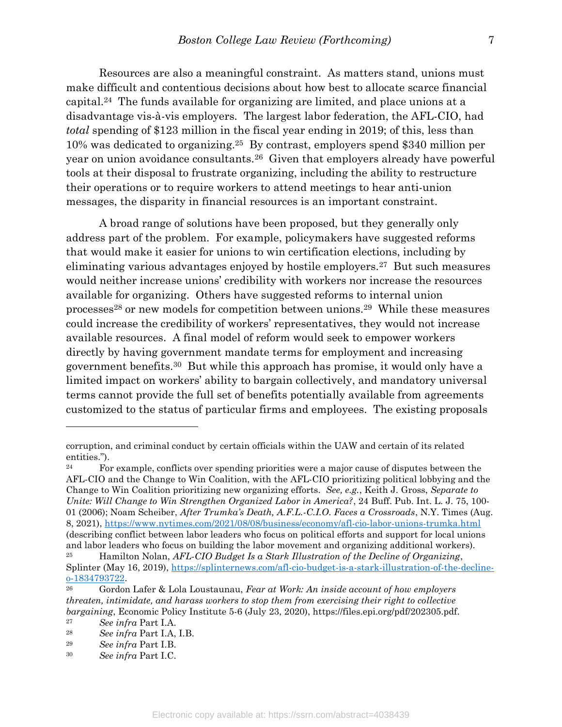Resources are also a meaningful constraint. As matters stand, unions must make difficult and contentious decisions about how best to allocate scarce financial capital.24 The funds available for organizing are limited, and place unions at a disadvantage vis-à-vis employers. The largest labor federation, the AFL-CIO, had total spending of \$123 million in the fiscal year ending in 2019; of this, less than 10% was dedicated to organizing.25 By contrast, employers spend \$340 million per year on union avoidance consultants.26 Given that employers already have powerful tools at their disposal to frustrate organizing, including the ability to restructure their operations or to require workers to attend meetings to hear anti-union messages, the disparity in financial resources is an important constraint.

 A broad range of solutions have been proposed, but they generally only address part of the problem. For example, policymakers have suggested reforms that would make it easier for unions to win certification elections, including by eliminating various advantages enjoyed by hostile employers.27 But such measures would neither increase unions' credibility with workers nor increase the resources available for organizing. Others have suggested reforms to internal union processes28 or new models for competition between unions.29 While these measures could increase the credibility of workers' representatives, they would not increase available resources. A final model of reform would seek to empower workers directly by having government mandate terms for employment and increasing government benefits.30 But while this approach has promise, it would only have a limited impact on workers' ability to bargain collectively, and mandatory universal terms cannot provide the full set of benefits potentially available from agreements customized to the status of particular firms and employees. The existing proposals

corruption, and criminal conduct by certain officials within the UAW and certain of its related entities.").

<sup>&</sup>lt;sup>24</sup> For example, conflicts over spending priorities were a major cause of disputes between the AFL-CIO and the Change to Win Coalition, with the AFL-CIO prioritizing political lobbying and the Change to Win Coalition prioritizing new organizing efforts. See, e.g., Keith J. Gross, Separate to Unite: Will Change to Win Strengthen Organized Labor in America?, 24 Buff. Pub. Int. L. J. 75, 100- 01 (2006); Noam Scheiber, After Trumka's Death, A.F.L.-C.I.O. Faces a Crossroads, N.Y. Times (Aug. 8, 2021), https://www.nytimes.com/2021/08/08/business/economy/afl-cio-labor-unions-trumka.html (describing conflict between labor leaders who focus on political efforts and support for local unions and labor leaders who focus on building the labor movement and organizing additional workers).

<sup>&</sup>lt;sup>25</sup> Hamilton Nolan, AFL-CIO Budget Is a Stark Illustration of the Decline of Organizing, Splinter (May 16, 2019), https://splinternews.com/afl-cio-budget-is-a-stark-illustration-of-the-declineo-1834793722.

<sup>&</sup>lt;sup>26</sup> Gordon Lafer & Lola Loustaunau, Fear at Work: An inside account of how employers threaten, intimidate, and harass workers to stop them from exercising their right to collective bargaining, Economic Policy Institute 5-6 (July 23, 2020), https://files.epi.org/pdf/202305.pdf.

<sup>27</sup> See infra Part I.A.

<sup>28</sup> See infra Part I.A, I.B.

<sup>29</sup> See infra Part I.B.

<sup>30</sup> See infra Part I.C.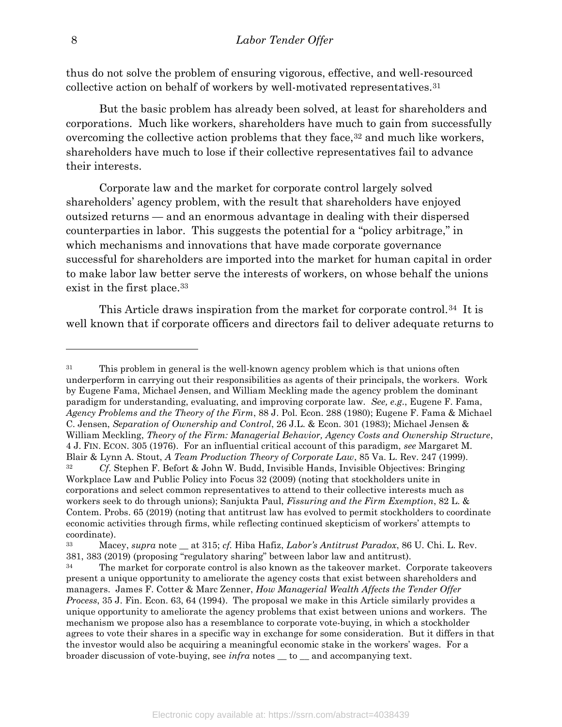thus do not solve the problem of ensuring vigorous, effective, and well-resourced collective action on behalf of workers by well-motivated representatives.<sup>31</sup>

 But the basic problem has already been solved, at least for shareholders and corporations. Much like workers, shareholders have much to gain from successfully overcoming the collective action problems that they face,  $32$  and much like workers, shareholders have much to lose if their collective representatives fail to advance their interests.

Corporate law and the market for corporate control largely solved shareholders' agency problem, with the result that shareholders have enjoyed outsized returns — and an enormous advantage in dealing with their dispersed counterparties in labor. This suggests the potential for a "policy arbitrage," in which mechanisms and innovations that have made corporate governance successful for shareholders are imported into the market for human capital in order to make labor law better serve the interests of workers, on whose behalf the unions exist in the first place.<sup>33</sup>

This Article draws inspiration from the market for corporate control.<sup>34</sup> It is well known that if corporate officers and directors fail to deliver adequate returns to

<sup>&</sup>lt;sup>31</sup> This problem in general is the well-known agency problem which is that unions often underperform in carrying out their responsibilities as agents of their principals, the workers. Work by Eugene Fama, Michael Jensen, and William Meckling made the agency problem the dominant paradigm for understanding, evaluating, and improving corporate law. See, e.g., Eugene F. Fama, Agency Problems and the Theory of the Firm, 88 J. Pol. Econ. 288 (1980); Eugene F. Fama & Michael C. Jensen, Separation of Ownership and Control, 26 J.L. & Econ. 301 (1983); Michael Jensen & William Meckling, Theory of the Firm: Managerial Behavior, Agency Costs and Ownership Structure, 4 J. FIN. ECON. 305 (1976). For an influential critical account of this paradigm, see Margaret M. Blair & Lynn A. Stout, A Team Production Theory of Corporate Law, 85 Va. L. Rev. 247 (1999).

<sup>32</sup> Cf. Stephen F. Befort & John W. Budd, Invisible Hands, Invisible Objectives: Bringing Workplace Law and Public Policy into Focus 32 (2009) (noting that stockholders unite in corporations and select common representatives to attend to their collective interests much as workers seek to do through unions); Sanjukta Paul, Fissuring and the Firm Exemption, 82 L. & Contem. Probs. 65 (2019) (noting that antitrust law has evolved to permit stockholders to coordinate economic activities through firms, while reflecting continued skepticism of workers' attempts to coordinate).

 $33$  Macey, supra note  $\equiv$  at 315; cf. Hiba Hafiz, Labor's Antitrust Paradox, 86 U. Chi. L. Rev. 381, 383 (2019) (proposing "regulatory sharing" between labor law and antitrust).

<sup>&</sup>lt;sup>34</sup> The market for corporate control is also known as the takeover market. Corporate takeovers present a unique opportunity to ameliorate the agency costs that exist between shareholders and managers. James F. Cotter & Marc Zenner, How Managerial Wealth Affects the Tender Offer Process, 35 J. Fin. Econ. 63, 64 (1994). The proposal we make in this Article similarly provides a unique opportunity to ameliorate the agency problems that exist between unions and workers. The mechanism we propose also has a resemblance to corporate vote-buying, in which a stockholder agrees to vote their shares in a specific way in exchange for some consideration. But it differs in that the investor would also be acquiring a meaningful economic stake in the workers' wages. For a broader discussion of vote-buying, see infra notes \_\_ to \_\_ and accompanying text.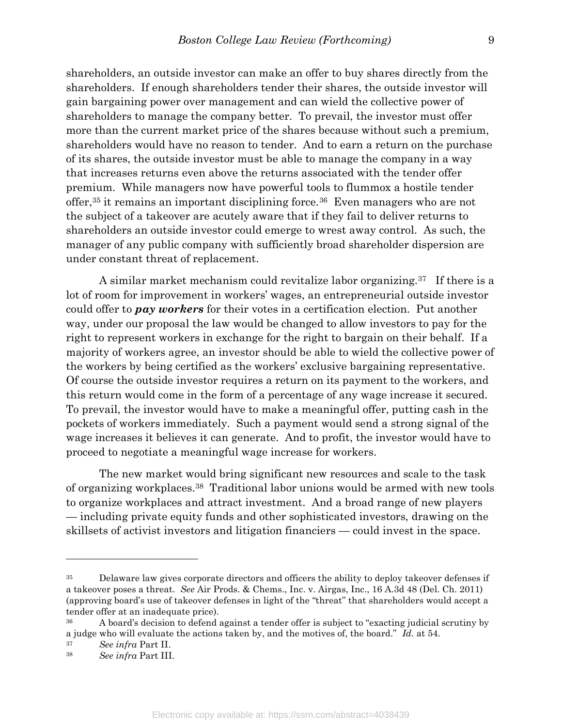shareholders, an outside investor can make an offer to buy shares directly from the shareholders. If enough shareholders tender their shares, the outside investor will gain bargaining power over management and can wield the collective power of shareholders to manage the company better. To prevail, the investor must offer more than the current market price of the shares because without such a premium, shareholders would have no reason to tender. And to earn a return on the purchase of its shares, the outside investor must be able to manage the company in a way that increases returns even above the returns associated with the tender offer premium. While managers now have powerful tools to flummox a hostile tender offer,35 it remains an important disciplining force.36 Even managers who are not the subject of a takeover are acutely aware that if they fail to deliver returns to shareholders an outside investor could emerge to wrest away control. As such, the manager of any public company with sufficiently broad shareholder dispersion are under constant threat of replacement.

 A similar market mechanism could revitalize labor organizing.37 If there is a lot of room for improvement in workers' wages, an entrepreneurial outside investor could offer to **pay workers** for their votes in a certification election. Put another way, under our proposal the law would be changed to allow investors to pay for the right to represent workers in exchange for the right to bargain on their behalf. If a majority of workers agree, an investor should be able to wield the collective power of the workers by being certified as the workers' exclusive bargaining representative. Of course the outside investor requires a return on its payment to the workers, and this return would come in the form of a percentage of any wage increase it secured. To prevail, the investor would have to make a meaningful offer, putting cash in the pockets of workers immediately. Such a payment would send a strong signal of the wage increases it believes it can generate. And to profit, the investor would have to proceed to negotiate a meaningful wage increase for workers.

 The new market would bring significant new resources and scale to the task of organizing workplaces.38 Traditional labor unions would be armed with new tools to organize workplaces and attract investment. And a broad range of new players — including private equity funds and other sophisticated investors, drawing on the skillsets of activist investors and litigation financiers — could invest in the space.

<sup>&</sup>lt;sup>35</sup> Delaware law gives corporate directors and officers the ability to deploy takeover defenses if a takeover poses a threat. See Air Prods. & Chems., Inc. v. Airgas, Inc., 16 A.3d 48 (Del. Ch. 2011) (approving board's use of takeover defenses in light of the "threat" that shareholders would accept a tender offer at an inadequate price).

<sup>&</sup>lt;sup>36</sup> A board's decision to defend against a tender offer is subject to "exacting judicial scrutiny by a judge who will evaluate the actions taken by, and the motives of, the board." Id. at 54.

<sup>37</sup> See infra Part II.

<sup>38</sup> See infra Part III.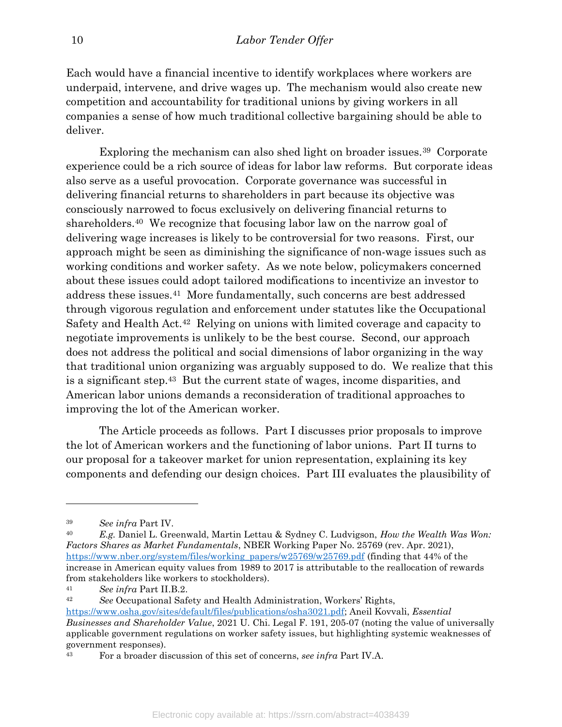Each would have a financial incentive to identify workplaces where workers are underpaid, intervene, and drive wages up. The mechanism would also create new competition and accountability for traditional unions by giving workers in all companies a sense of how much traditional collective bargaining should be able to deliver.

 Exploring the mechanism can also shed light on broader issues.39 Corporate experience could be a rich source of ideas for labor law reforms. But corporate ideas also serve as a useful provocation. Corporate governance was successful in delivering financial returns to shareholders in part because its objective was consciously narrowed to focus exclusively on delivering financial returns to shareholders.40 We recognize that focusing labor law on the narrow goal of delivering wage increases is likely to be controversial for two reasons. First, our approach might be seen as diminishing the significance of non-wage issues such as working conditions and worker safety. As we note below, policymakers concerned about these issues could adopt tailored modifications to incentivize an investor to address these issues.41 More fundamentally, such concerns are best addressed through vigorous regulation and enforcement under statutes like the Occupational Safety and Health Act.42 Relying on unions with limited coverage and capacity to negotiate improvements is unlikely to be the best course. Second, our approach does not address the political and social dimensions of labor organizing in the way that traditional union organizing was arguably supposed to do. We realize that this is a significant step.43 But the current state of wages, income disparities, and American labor unions demands a reconsideration of traditional approaches to improving the lot of the American worker.

 The Article proceeds as follows. Part I discusses prior proposals to improve the lot of American workers and the functioning of labor unions. Part II turns to our proposal for a takeover market for union representation, explaining its key components and defending our design choices. Part III evaluates the plausibility of

<sup>39</sup> See infra Part IV.

 $40$  E.g. Daniel L. Greenwald, Martin Lettau & Sydney C. Ludvigson, How the Wealth Was Won: Factors Shares as Market Fundamentals, NBER Working Paper No. 25769 (rev. Apr. 2021), https://www.nber.org/system/files/working\_papers/w25769/w25769.pdf (finding that 44% of the increase in American equity values from 1989 to 2017 is attributable to the reallocation of rewards from stakeholders like workers to stockholders).

<sup>41</sup> See infra Part II.B.2.

<sup>42</sup> See Occupational Safety and Health Administration, Workers' Rights, https://www.osha.gov/sites/default/files/publications/osha3021.pdf; Aneil Kovvali, Essential Businesses and Shareholder Value, 2021 U. Chi. Legal F. 191, 205-07 (noting the value of universally applicable government regulations on worker safety issues, but highlighting systemic weaknesses of government responses).

<sup>&</sup>lt;sup>43</sup> For a broader discussion of this set of concerns, see infra Part IV.A.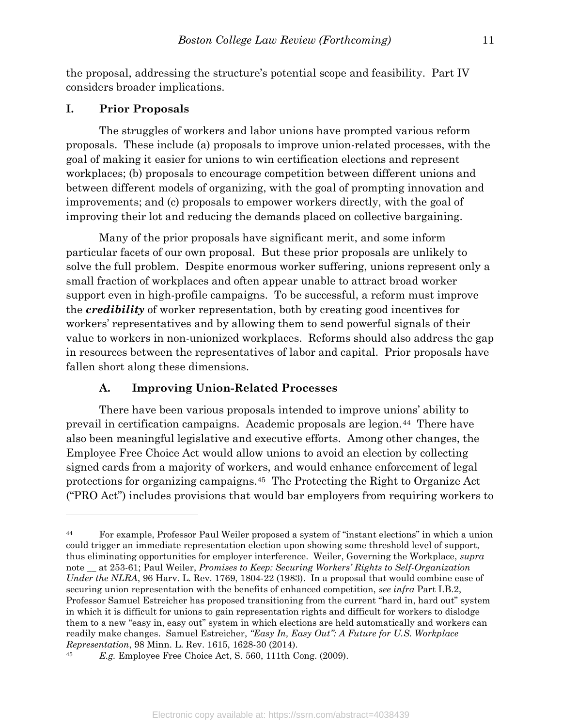the proposal, addressing the structure's potential scope and feasibility. Part IV considers broader implications.

#### I. Prior Proposals

 $\overline{a}$ 

 The struggles of workers and labor unions have prompted various reform proposals. These include (a) proposals to improve union-related processes, with the goal of making it easier for unions to win certification elections and represent workplaces; (b) proposals to encourage competition between different unions and between different models of organizing, with the goal of prompting innovation and improvements; and (c) proposals to empower workers directly, with the goal of improving their lot and reducing the demands placed on collective bargaining.

 Many of the prior proposals have significant merit, and some inform particular facets of our own proposal. But these prior proposals are unlikely to solve the full problem. Despite enormous worker suffering, unions represent only a small fraction of workplaces and often appear unable to attract broad worker support even in high-profile campaigns. To be successful, a reform must improve the credibility of worker representation, both by creating good incentives for workers' representatives and by allowing them to send powerful signals of their value to workers in non-unionized workplaces. Reforms should also address the gap in resources between the representatives of labor and capital. Prior proposals have fallen short along these dimensions.

## A. Improving Union-Related Processes

There have been various proposals intended to improve unions' ability to prevail in certification campaigns. Academic proposals are legion.44 There have also been meaningful legislative and executive efforts. Among other changes, the Employee Free Choice Act would allow unions to avoid an election by collecting signed cards from a majority of workers, and would enhance enforcement of legal protections for organizing campaigns.45 The Protecting the Right to Organize Act ("PRO Act") includes provisions that would bar employers from requiring workers to

<sup>44</sup> For example, Professor Paul Weiler proposed a system of "instant elections" in which a union could trigger an immediate representation election upon showing some threshold level of support, thus eliminating opportunities for employer interference. Weiler, Governing the Workplace, supra note  $\equiv$  at 253-61; Paul Weiler, *Promises to Keep: Securing Workers' Rights to Self-Organization* Under the NLRA, 96 Harv. L. Rev. 1769, 1804-22 (1983). In a proposal that would combine ease of securing union representation with the benefits of enhanced competition, see infra Part I.B.2, Professor Samuel Estreicher has proposed transitioning from the current "hard in, hard out" system in which it is difficult for unions to gain representation rights and difficult for workers to dislodge them to a new "easy in, easy out" system in which elections are held automatically and workers can readily make changes. Samuel Estreicher, "Easy In, Easy Out": A Future for U.S. Workplace Representation, 98 Minn. L. Rev. 1615, 1628-30 (2014).

<sup>45</sup> E.g. Employee Free Choice Act, S. 560, 111th Cong. (2009).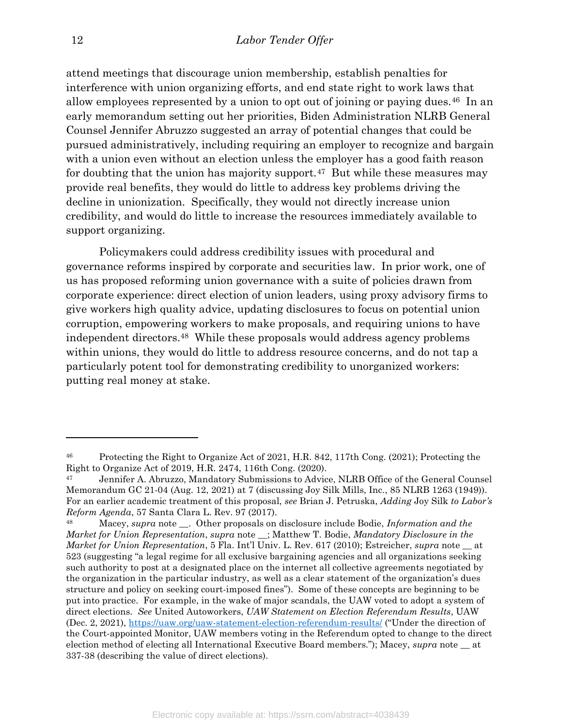attend meetings that discourage union membership, establish penalties for interference with union organizing efforts, and end state right to work laws that allow employees represented by a union to opt out of joining or paying dues.46 In an early memorandum setting out her priorities, Biden Administration NLRB General Counsel Jennifer Abruzzo suggested an array of potential changes that could be pursued administratively, including requiring an employer to recognize and bargain with a union even without an election unless the employer has a good faith reason for doubting that the union has majority support.<sup>47</sup> But while these measures may provide real benefits, they would do little to address key problems driving the decline in unionization. Specifically, they would not directly increase union credibility, and would do little to increase the resources immediately available to support organizing.

Policymakers could address credibility issues with procedural and governance reforms inspired by corporate and securities law. In prior work, one of us has proposed reforming union governance with a suite of policies drawn from corporate experience: direct election of union leaders, using proxy advisory firms to give workers high quality advice, updating disclosures to focus on potential union corruption, empowering workers to make proposals, and requiring unions to have independent directors.48 While these proposals would address agency problems within unions, they would do little to address resource concerns, and do not tap a particularly potent tool for demonstrating credibility to unorganized workers: putting real money at stake.

<sup>46</sup> Protecting the Right to Organize Act of 2021, H.R. 842, 117th Cong. (2021); Protecting the Right to Organize Act of 2019, H.R. 2474, 116th Cong. (2020).

<sup>47</sup> Jennifer A. Abruzzo, Mandatory Submissions to Advice, NLRB Office of the General Counsel Memorandum GC 21-04 (Aug. 12, 2021) at 7 (discussing Joy Silk Mills, Inc., 85 NLRB 1263 (1949)). For an earlier academic treatment of this proposal, see Brian J. Petruska, Adding Joy Silk to Labor's Reform Agenda, 57 Santa Clara L. Rev. 97 (2017).

<sup>&</sup>lt;sup>48</sup> Macey, supra note <sub>\_\_</sub>. Other proposals on disclosure include Bodie, *Information and the* Market for Union Representation, supra note \_; Matthew T. Bodie, Mandatory Disclosure in the Market for Union Representation, 5 Fla. Int'l Univ. L. Rev. 617 (2010); Estreicher, supra note \_\_ at 523 (suggesting "a legal regime for all exclusive bargaining agencies and all organizations seeking such authority to post at a designated place on the internet all collective agreements negotiated by the organization in the particular industry, as well as a clear statement of the organization's dues structure and policy on seeking court-imposed fines"). Some of these concepts are beginning to be put into practice. For example, in the wake of major scandals, the UAW voted to adopt a system of direct elections. See United Autoworkers, UAW Statement on Election Referendum Results, UAW (Dec. 2, 2021), https://uaw.org/uaw-statement-election-referendum-results/ ("Under the direction of the Court-appointed Monitor, UAW members voting in the Referendum opted to change to the direct election method of electing all International Executive Board members."); Macey, supra note at 337-38 (describing the value of direct elections).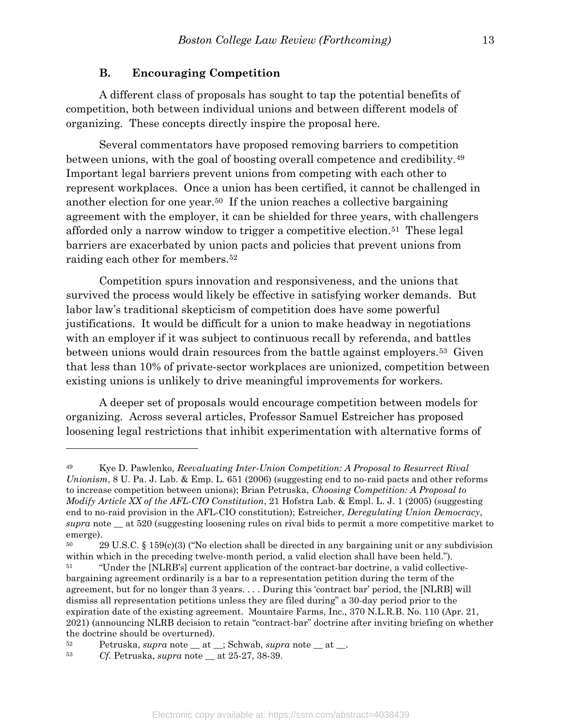#### B. Encouraging Competition

 A different class of proposals has sought to tap the potential benefits of competition, both between individual unions and between different models of organizing. These concepts directly inspire the proposal here.

 Several commentators have proposed removing barriers to competition between unions, with the goal of boosting overall competence and credibility.<sup>49</sup> Important legal barriers prevent unions from competing with each other to represent workplaces. Once a union has been certified, it cannot be challenged in another election for one year.50 If the union reaches a collective bargaining agreement with the employer, it can be shielded for three years, with challengers afforded only a narrow window to trigger a competitive election.51 These legal barriers are exacerbated by union pacts and policies that prevent unions from raiding each other for members.<sup>52</sup>

 Competition spurs innovation and responsiveness, and the unions that survived the process would likely be effective in satisfying worker demands. But labor law's traditional skepticism of competition does have some powerful justifications. It would be difficult for a union to make headway in negotiations with an employer if it was subject to continuous recall by referenda, and battles between unions would drain resources from the battle against employers.53 Given that less than 10% of private-sector workplaces are unionized, competition between existing unions is unlikely to drive meaningful improvements for workers.

 A deeper set of proposals would encourage competition between models for organizing. Across several articles, Professor Samuel Estreicher has proposed loosening legal restrictions that inhibit experimentation with alternative forms of

<sup>&</sup>lt;sup>49</sup> Kye D. Pawlenko, *Reevaluating Inter-Union Competition: A Proposal to Resurrect Rival* Unionism, 8 U. Pa. J. Lab. & Emp. L. 651 (2006) (suggesting end to no-raid pacts and other reforms to increase competition between unions); Brian Petruska, Choosing Competition: A Proposal to Modify Article XX of the AFL-CIO Constitution, 21 Hofstra Lab. & Empl. L. J. 1 (2005) (suggesting end to no-raid provision in the AFL-CIO constitution); Estreicher, Deregulating Union Democracy, supra note at 520 (suggesting loosening rules on rival bids to permit a more competitive market to emerge).

<sup>50</sup> 29 U.S.C. § 159(c)(3) ("No election shall be directed in any bargaining unit or any subdivision within which in the preceding twelve-month period, a valid election shall have been held.").

<sup>&</sup>lt;sup>51</sup> "Under the [NLRB's] current application of the contract-bar doctrine, a valid collectivebargaining agreement ordinarily is a bar to a representation petition during the term of the agreement, but for no longer than 3 years. . . . During this 'contract bar' period, the [NLRB] will dismiss all representation petitions unless they are filed during" a 30-day period prior to the expiration date of the existing agreement. Mountaire Farms, Inc., 370 N.L.R.B. No. 110 (Apr. 21, 2021) (announcing NLRB decision to retain "contract-bar" doctrine after inviting briefing on whether the doctrine should be overturned).

 $52$  Petruska, supra note  $\_$  at  $\_$ ; Schwab, supra note  $\_$  at  $\_$ .

<sup>53</sup> Cf. Petruska, supra note \_\_ at 25-27, 38-39.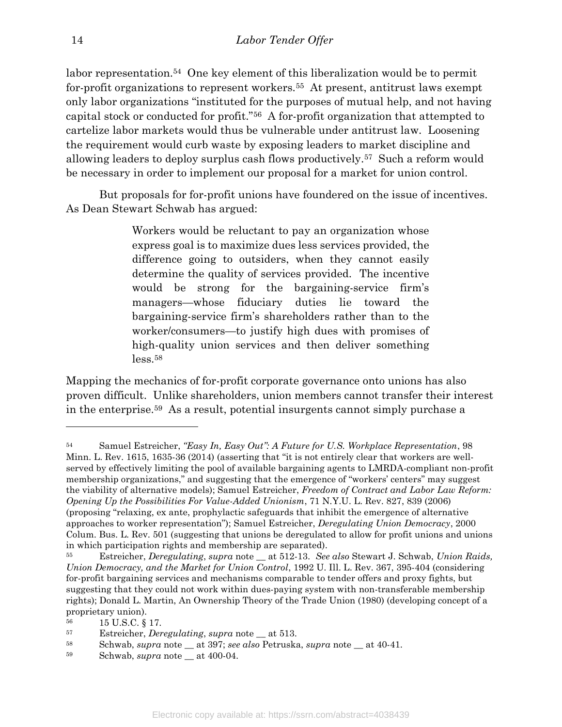labor representation.<sup>54</sup> One key element of this liberalization would be to permit for-profit organizations to represent workers.<sup>55</sup> At present, antitrust laws exempt only labor organizations "instituted for the purposes of mutual help, and not having capital stock or conducted for profit."56 A for-profit organization that attempted to cartelize labor markets would thus be vulnerable under antitrust law. Loosening the requirement would curb waste by exposing leaders to market discipline and allowing leaders to deploy surplus cash flows productively.57 Such a reform would be necessary in order to implement our proposal for a market for union control.

 But proposals for for-profit unions have foundered on the issue of incentives. As Dean Stewart Schwab has argued:

> Workers would be reluctant to pay an organization whose express goal is to maximize dues less services provided, the difference going to outsiders, when they cannot easily determine the quality of services provided. The incentive would be strong for the bargaining-service firm's managers—whose fiduciary duties lie toward the bargaining-service firm's shareholders rather than to the worker/consumers—to justify high dues with promises of high-quality union services and then deliver something less.<sup>58</sup>

Mapping the mechanics of for-profit corporate governance onto unions has also proven difficult. Unlike shareholders, union members cannot transfer their interest in the enterprise.59 As a result, potential insurgents cannot simply purchase a

<sup>&</sup>lt;sup>54</sup> Samuel Estreicher, "Easy In, Easy Out": A Future for U.S. Workplace Representation, 98 Minn. L. Rev. 1615, 1635-36 (2014) (asserting that "it is not entirely clear that workers are wellserved by effectively limiting the pool of available bargaining agents to LMRDA-compliant non-profit membership organizations," and suggesting that the emergence of "workers' centers" may suggest the viability of alternative models); Samuel Estreicher, Freedom of Contract and Labor Law Reform: Opening Up the Possibilities For Value-Added Unionism, 71 N.Y.U. L. Rev. 827, 839 (2006) (proposing "relaxing, ex ante, prophylactic safeguards that inhibit the emergence of alternative approaches to worker representation"); Samuel Estreicher, Deregulating Union Democracy, 2000 Colum. Bus. L. Rev. 501 (suggesting that unions be deregulated to allow for profit unions and unions in which participation rights and membership are separated).

<sup>&</sup>lt;sup>55</sup> Estreicher, *Deregulating*, *supra* note at 512-13. See also Stewart J. Schwab, Union Raids, Union Democracy, and the Market for Union Control, 1992 U. Ill. L. Rev. 367, 395-404 (considering for-profit bargaining services and mechanisms comparable to tender offers and proxy fights, but suggesting that they could not work within dues-paying system with non-transferable membership rights); Donald L. Martin, An Ownership Theory of the Trade Union (1980) (developing concept of a proprietary union).

<sup>56</sup> 15 U.S.C. § 17.

<sup>57</sup> Estreicher, Deregulating, supra note \_\_ at 513.

<sup>58</sup> Schwab, supra note  $\_$  at 397; see also Petruska, supra note  $\_$  at 40-41.

<sup>59</sup> Schwab, supra note \_\_ at 400-04.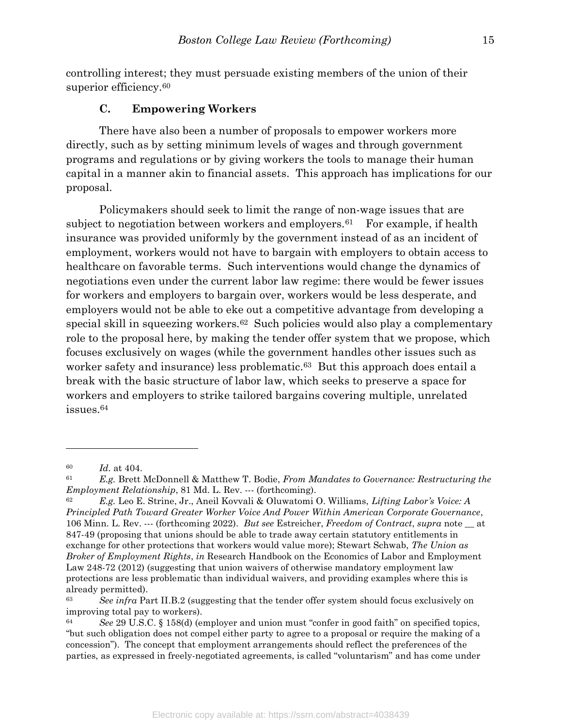controlling interest; they must persuade existing members of the union of their superior efficiency.<sup>60</sup>

#### C. Empowering Workers

 There have also been a number of proposals to empower workers more directly, such as by setting minimum levels of wages and through government programs and regulations or by giving workers the tools to manage their human capital in a manner akin to financial assets. This approach has implications for our proposal.

 Policymakers should seek to limit the range of non-wage issues that are subject to negotiation between workers and employers.<sup>61</sup> For example, if health insurance was provided uniformly by the government instead of as an incident of employment, workers would not have to bargain with employers to obtain access to healthcare on favorable terms. Such interventions would change the dynamics of negotiations even under the current labor law regime: there would be fewer issues for workers and employers to bargain over, workers would be less desperate, and employers would not be able to eke out a competitive advantage from developing a special skill in squeezing workers.62 Such policies would also play a complementary role to the proposal here, by making the tender offer system that we propose, which focuses exclusively on wages (while the government handles other issues such as worker safety and insurance) less problematic.<sup>63</sup> But this approach does entail a break with the basic structure of labor law, which seeks to preserve a space for workers and employers to strike tailored bargains covering multiple, unrelated issues.<sup>64</sup>

 $60$  *Id.* at 404.

<sup>61</sup> E.g. Brett McDonnell & Matthew T. Bodie, From Mandates to Governance: Restructuring the Employment Relationship, 81 Md. L. Rev. --- (forthcoming).

<sup>62</sup> E.g. Leo E. Strine, Jr., Aneil Kovvali & Oluwatomi O. Williams, Lifting Labor's Voice: A Principled Path Toward Greater Worker Voice And Power Within American Corporate Governance, 106 Minn. L. Rev. --- (forthcoming 2022). But see Estreicher, Freedom of Contract, supra note \_\_ at 847-49 (proposing that unions should be able to trade away certain statutory entitlements in exchange for other protections that workers would value more); Stewart Schwab, The Union as Broker of Employment Rights, in Research Handbook on the Economics of Labor and Employment Law 248-72 (2012) (suggesting that union waivers of otherwise mandatory employment law protections are less problematic than individual waivers, and providing examples where this is already permitted).

 $63$  See infra Part II.B.2 (suggesting that the tender offer system should focus exclusively on improving total pay to workers).

 $64$  See 29 U.S.C. § 158(d) (employer and union must "confer in good faith" on specified topics, "but such obligation does not compel either party to agree to a proposal or require the making of a concession"). The concept that employment arrangements should reflect the preferences of the parties, as expressed in freely-negotiated agreements, is called "voluntarism" and has come under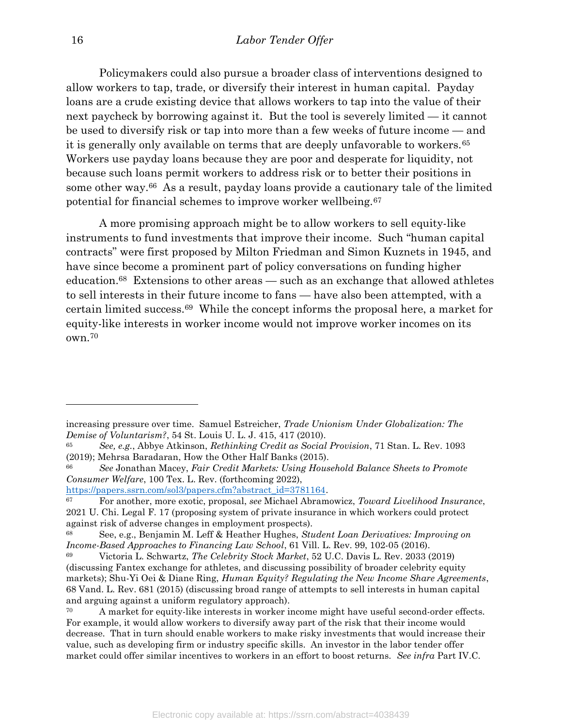Policymakers could also pursue a broader class of interventions designed to allow workers to tap, trade, or diversify their interest in human capital. Payday loans are a crude existing device that allows workers to tap into the value of their next paycheck by borrowing against it. But the tool is severely limited — it cannot be used to diversify risk or tap into more than a few weeks of future income — and it is generally only available on terms that are deeply unfavorable to workers.<sup>65</sup> Workers use payday loans because they are poor and desperate for liquidity, not because such loans permit workers to address risk or to better their positions in some other way.66 As a result, payday loans provide a cautionary tale of the limited potential for financial schemes to improve worker wellbeing.<sup>67</sup>

 A more promising approach might be to allow workers to sell equity-like instruments to fund investments that improve their income. Such "human capital contracts" were first proposed by Milton Friedman and Simon Kuznets in 1945, and have since become a prominent part of policy conversations on funding higher education.68 Extensions to other areas — such as an exchange that allowed athletes to sell interests in their future income to fans — have also been attempted, with a certain limited success.69 While the concept informs the proposal here, a market for equity-like interests in worker income would not improve worker incomes on its own.<sup>70</sup>

https://papers.ssrn.com/sol3/papers.cfm?abstract\_id=3781164.

increasing pressure over time. Samuel Estreicher, Trade Unionism Under Globalization: The Demise of Voluntarism?, 54 St. Louis U. L. J. 415, 417 (2010).

<sup>65</sup> See, e.g., Abbye Atkinson, Rethinking Credit as Social Provision, 71 Stan. L. Rev. 1093 (2019); Mehrsa Baradaran, How the Other Half Banks (2015).

<sup>&</sup>lt;sup>66</sup> See Jonathan Macey, Fair Credit Markets: Using Household Balance Sheets to Promote Consumer Welfare, 100 Tex. L. Rev. (forthcoming 2022),

 $67$  For another, more exotic, proposal, see Michael Abramowicz, Toward Livelihood Insurance, 2021 U. Chi. Legal F. 17 (proposing system of private insurance in which workers could protect against risk of adverse changes in employment prospects).

See, e.g., Benjamin M. Leff & Heather Hughes, Student Loan Derivatives: Improving on Income-Based Approaches to Financing Law School, 61 Vill. L. Rev. 99, 102-05 (2016).

<sup>69</sup> Victoria L. Schwartz, The Celebrity Stock Market, 52 U.C. Davis L. Rev. 2033 (2019) (discussing Fantex exchange for athletes, and discussing possibility of broader celebrity equity markets); Shu-Yi Oei & Diane Ring, *Human Equity? Regulating the New Income Share Agreements*, 68 Vand. L. Rev. 681 (2015) (discussing broad range of attempts to sell interests in human capital and arguing against a uniform regulatory approach).

<sup>&</sup>lt;sup>70</sup> A market for equity-like interests in worker income might have useful second-order effects. For example, it would allow workers to diversify away part of the risk that their income would decrease. That in turn should enable workers to make risky investments that would increase their value, such as developing firm or industry specific skills. An investor in the labor tender offer market could offer similar incentives to workers in an effort to boost returns. See infra Part IV.C.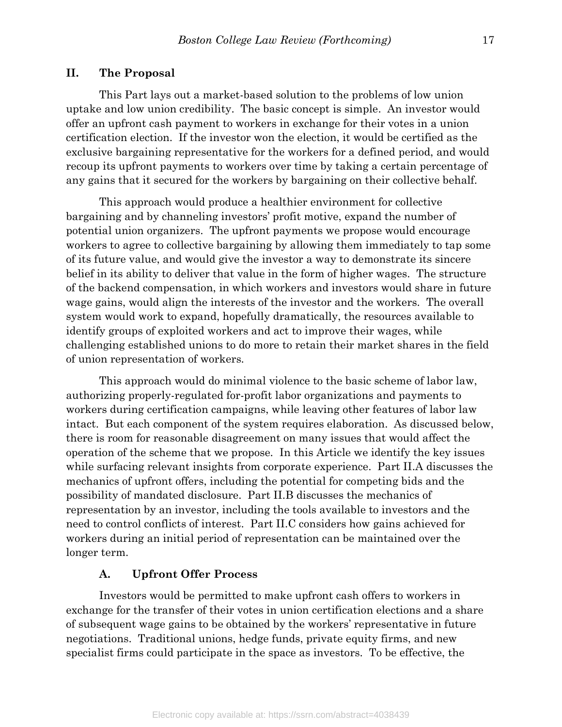#### II. The Proposal

 This Part lays out a market-based solution to the problems of low union uptake and low union credibility. The basic concept is simple. An investor would offer an upfront cash payment to workers in exchange for their votes in a union certification election. If the investor won the election, it would be certified as the exclusive bargaining representative for the workers for a defined period, and would recoup its upfront payments to workers over time by taking a certain percentage of any gains that it secured for the workers by bargaining on their collective behalf.

This approach would produce a healthier environment for collective bargaining and by channeling investors' profit motive, expand the number of potential union organizers. The upfront payments we propose would encourage workers to agree to collective bargaining by allowing them immediately to tap some of its future value, and would give the investor a way to demonstrate its sincere belief in its ability to deliver that value in the form of higher wages. The structure of the backend compensation, in which workers and investors would share in future wage gains, would align the interests of the investor and the workers. The overall system would work to expand, hopefully dramatically, the resources available to identify groups of exploited workers and act to improve their wages, while challenging established unions to do more to retain their market shares in the field of union representation of workers.

This approach would do minimal violence to the basic scheme of labor law, authorizing properly-regulated for-profit labor organizations and payments to workers during certification campaigns, while leaving other features of labor law intact. But each component of the system requires elaboration. As discussed below, there is room for reasonable disagreement on many issues that would affect the operation of the scheme that we propose. In this Article we identify the key issues while surfacing relevant insights from corporate experience. Part II.A discusses the mechanics of upfront offers, including the potential for competing bids and the possibility of mandated disclosure. Part II.B discusses the mechanics of representation by an investor, including the tools available to investors and the need to control conflicts of interest. Part II.C considers how gains achieved for workers during an initial period of representation can be maintained over the longer term.

#### A. Upfront Offer Process

 Investors would be permitted to make upfront cash offers to workers in exchange for the transfer of their votes in union certification elections and a share of subsequent wage gains to be obtained by the workers' representative in future negotiations. Traditional unions, hedge funds, private equity firms, and new specialist firms could participate in the space as investors. To be effective, the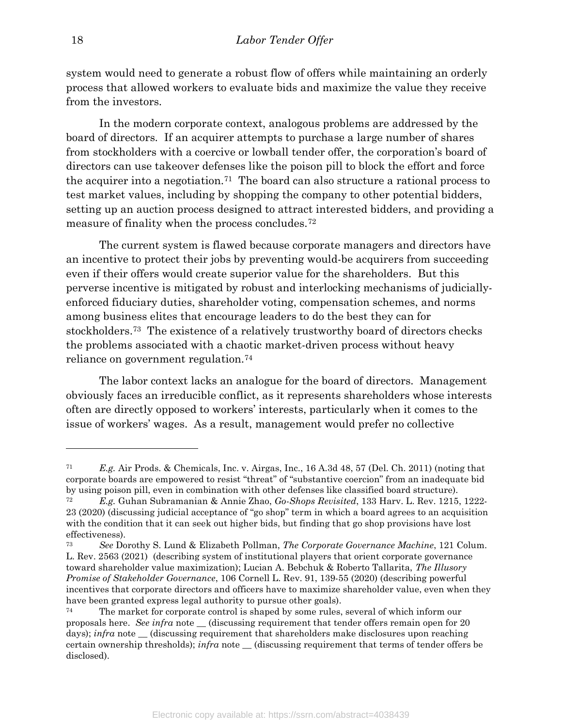system would need to generate a robust flow of offers while maintaining an orderly process that allowed workers to evaluate bids and maximize the value they receive from the investors.

 In the modern corporate context, analogous problems are addressed by the board of directors. If an acquirer attempts to purchase a large number of shares from stockholders with a coercive or lowball tender offer, the corporation's board of directors can use takeover defenses like the poison pill to block the effort and force the acquirer into a negotiation.71 The board can also structure a rational process to test market values, including by shopping the company to other potential bidders, setting up an auction process designed to attract interested bidders, and providing a measure of finality when the process concludes.<sup>72</sup>

The current system is flawed because corporate managers and directors have an incentive to protect their jobs by preventing would-be acquirers from succeeding even if their offers would create superior value for the shareholders. But this perverse incentive is mitigated by robust and interlocking mechanisms of judiciallyenforced fiduciary duties, shareholder voting, compensation schemes, and norms among business elites that encourage leaders to do the best they can for stockholders.73 The existence of a relatively trustworthy board of directors checks the problems associated with a chaotic market-driven process without heavy reliance on government regulation.<sup>74</sup>

 The labor context lacks an analogue for the board of directors. Management obviously faces an irreducible conflict, as it represents shareholders whose interests often are directly opposed to workers' interests, particularly when it comes to the issue of workers' wages. As a result, management would prefer no collective

 $71$  E.g. Air Prods. & Chemicals, Inc. v. Airgas, Inc., 16 A.3d 48, 57 (Del. Ch. 2011) (noting that corporate boards are empowered to resist "threat" of "substantive coercion" from an inadequate bid by using poison pill, even in combination with other defenses like classified board structure).

<sup>72</sup> E.g. Guhan Subramanian & Annie Zhao, Go-Shops Revisited, 133 Harv. L. Rev. 1215, 1222- 23 (2020) (discussing judicial acceptance of "go shop" term in which a board agrees to an acquisition with the condition that it can seek out higher bids, but finding that go shop provisions have lost effectiveness).

<sup>73</sup> See Dorothy S. Lund & Elizabeth Pollman, The Corporate Governance Machine, 121 Colum. L. Rev. 2563 (2021) (describing system of institutional players that orient corporate governance toward shareholder value maximization); Lucian A. Bebchuk & Roberto Tallarita, The Illusory Promise of Stakeholder Governance, 106 Cornell L. Rev. 91, 139-55 (2020) (describing powerful incentives that corporate directors and officers have to maximize shareholder value, even when they have been granted express legal authority to pursue other goals).

The market for corporate control is shaped by some rules, several of which inform our proposals here. See infra note \_\_ (discussing requirement that tender offers remain open for 20 days);  $\inf$ ra note  $\equiv$  (discussing requirement that shareholders make disclosures upon reaching certain ownership thresholds); *infra* note \_\_ (discussing requirement that terms of tender offers be disclosed).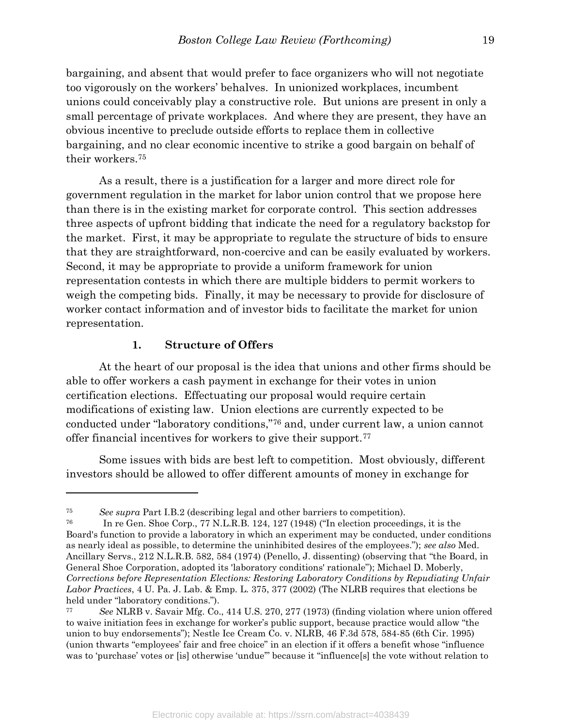bargaining, and absent that would prefer to face organizers who will not negotiate too vigorously on the workers' behalves. In unionized workplaces, incumbent unions could conceivably play a constructive role. But unions are present in only a small percentage of private workplaces. And where they are present, they have an obvious incentive to preclude outside efforts to replace them in collective bargaining, and no clear economic incentive to strike a good bargain on behalf of their workers.<sup>75</sup>

 As a result, there is a justification for a larger and more direct role for government regulation in the market for labor union control that we propose here than there is in the existing market for corporate control. This section addresses three aspects of upfront bidding that indicate the need for a regulatory backstop for the market. First, it may be appropriate to regulate the structure of bids to ensure that they are straightforward, non-coercive and can be easily evaluated by workers. Second, it may be appropriate to provide a uniform framework for union representation contests in which there are multiple bidders to permit workers to weigh the competing bids. Finally, it may be necessary to provide for disclosure of worker contact information and of investor bids to facilitate the market for union representation.

## 1. Structure of Offers

 $\overline{a}$ 

At the heart of our proposal is the idea that unions and other firms should be able to offer workers a cash payment in exchange for their votes in union certification elections. Effectuating our proposal would require certain modifications of existing law. Union elections are currently expected to be conducted under "laboratory conditions,"76 and, under current law, a union cannot offer financial incentives for workers to give their support.<sup>77</sup>

Some issues with bids are best left to competition. Most obviously, different investors should be allowed to offer different amounts of money in exchange for

<sup>75</sup> See supra Part I.B.2 (describing legal and other barriers to competition).

<sup>76</sup> In re Gen. Shoe Corp., 77 N.L.R.B. 124, 127 (1948) ("In election proceedings, it is the Board's function to provide a laboratory in which an experiment may be conducted, under conditions as nearly ideal as possible, to determine the uninhibited desires of the employees."); see also Med. Ancillary Servs., 212 N.L.R.B. 582, 584 (1974) (Penello, J. dissenting) (observing that "the Board, in General Shoe Corporation, adopted its 'laboratory conditions' rationale"); Michael D. Moberly, Corrections before Representation Elections: Restoring Laboratory Conditions by Repudiating Unfair Labor Practices, 4 U. Pa. J. Lab. & Emp. L. 375, 377 (2002) (The NLRB requires that elections be held under "laboratory conditions.").

<sup>77</sup> See NLRB v. Savair Mfg. Co., 414 U.S. 270, 277 (1973) (finding violation where union offered to waive initiation fees in exchange for worker's public support, because practice would allow "the union to buy endorsements"); Nestle Ice Cream Co. v. NLRB, 46 F.3d 578, 584-85 (6th Cir. 1995) (union thwarts "employees' fair and free choice" in an election if it offers a benefit whose "influence was to 'purchase' votes or [is] otherwise 'undue'" because it "influence[s] the vote without relation to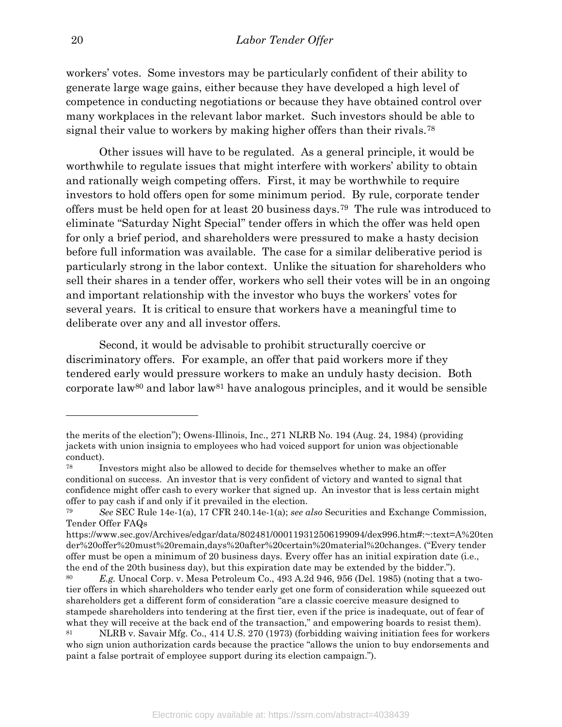workers' votes. Some investors may be particularly confident of their ability to generate large wage gains, either because they have developed a high level of competence in conducting negotiations or because they have obtained control over many workplaces in the relevant labor market. Such investors should be able to signal their value to workers by making higher offers than their rivals.<sup>78</sup>

Other issues will have to be regulated. As a general principle, it would be worthwhile to regulate issues that might interfere with workers' ability to obtain and rationally weigh competing offers. First, it may be worthwhile to require investors to hold offers open for some minimum period. By rule, corporate tender offers must be held open for at least 20 business days.79 The rule was introduced to eliminate "Saturday Night Special" tender offers in which the offer was held open for only a brief period, and shareholders were pressured to make a hasty decision before full information was available. The case for a similar deliberative period is particularly strong in the labor context. Unlike the situation for shareholders who sell their shares in a tender offer, workers who sell their votes will be in an ongoing and important relationship with the investor who buys the workers' votes for several years. It is critical to ensure that workers have a meaningful time to deliberate over any and all investor offers.

Second, it would be advisable to prohibit structurally coercive or discriminatory offers. For example, an offer that paid workers more if they tendered early would pressure workers to make an unduly hasty decision. Both corporate law<sup>80</sup> and labor law<sup>81</sup> have analogous principles, and it would be sensible

the merits of the election"); Owens-Illinois, Inc., 271 NLRB No. 194 (Aug. 24, 1984) (providing jackets with union insignia to employees who had voiced support for union was objectionable conduct).

<sup>78</sup> Investors might also be allowed to decide for themselves whether to make an offer conditional on success. An investor that is very confident of victory and wanted to signal that confidence might offer cash to every worker that signed up. An investor that is less certain might offer to pay cash if and only if it prevailed in the election.

<sup>79</sup> See SEC Rule 14e-1(a), 17 CFR 240.14e-1(a); see also Securities and Exchange Commission, Tender Offer FAQs

https://www.sec.gov/Archives/edgar/data/802481/000119312506199094/dex996.htm#:~:text=A%20ten der%20offer%20must%20remain,days%20after%20certain%20material%20changes. ("Every tender offer must be open a minimum of 20 business days. Every offer has an initial expiration date (i.e., the end of the 20th business day), but this expiration date may be extended by the bidder.").

<sup>&</sup>lt;sup>80</sup> E.g. Unocal Corp. v. Mesa Petroleum Co.,  $493 \text{ A}.2d 946, 956$  (Del. 1985) (noting that a twotier offers in which shareholders who tender early get one form of consideration while squeezed out shareholders get a different form of consideration "are a classic coercive measure designed to stampede shareholders into tendering at the first tier, even if the price is inadequate, out of fear of what they will receive at the back end of the transaction," and empowering boards to resist them).

<sup>81</sup> NLRB v. Savair Mfg. Co., 414 U.S. 270 (1973) (forbidding waiving initiation fees for workers who sign union authorization cards because the practice "allows the union to buy endorsements and paint a false portrait of employee support during its election campaign.").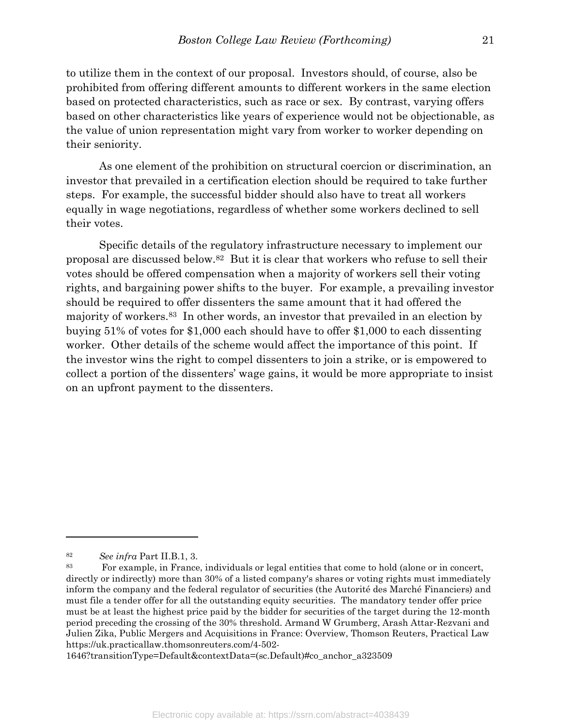to utilize them in the context of our proposal. Investors should, of course, also be prohibited from offering different amounts to different workers in the same election based on protected characteristics, such as race or sex. By contrast, varying offers based on other characteristics like years of experience would not be objectionable, as the value of union representation might vary from worker to worker depending on their seniority.

As one element of the prohibition on structural coercion or discrimination, an investor that prevailed in a certification election should be required to take further steps. For example, the successful bidder should also have to treat all workers equally in wage negotiations, regardless of whether some workers declined to sell their votes.

Specific details of the regulatory infrastructure necessary to implement our proposal are discussed below.82 But it is clear that workers who refuse to sell their votes should be offered compensation when a majority of workers sell their voting rights, and bargaining power shifts to the buyer. For example, a prevailing investor should be required to offer dissenters the same amount that it had offered the majority of workers.83 In other words, an investor that prevailed in an election by buying 51% of votes for \$1,000 each should have to offer \$1,000 to each dissenting worker. Other details of the scheme would affect the importance of this point. If the investor wins the right to compel dissenters to join a strike, or is empowered to collect a portion of the dissenters' wage gains, it would be more appropriate to insist on an upfront payment to the dissenters.

 $\overline{a}$ 

1646?transitionType=Default&contextData=(sc.Default)#co\_anchor\_a323509

<sup>82</sup> See infra Part II.B.1, 3.

<sup>83</sup> For example, in France, individuals or legal entities that come to hold (alone or in concert, directly or indirectly) more than 30% of a listed company's shares or voting rights must immediately inform the company and the federal regulator of securities (the Autorité des Marché Financiers) and must file a tender offer for all the outstanding equity securities. The mandatory tender offer price must be at least the highest price paid by the bidder for securities of the target during the 12-month period preceding the crossing of the 30% threshold. Armand W Grumberg, Arash Attar-Rezvani and Julien Zika, Public Mergers and Acquisitions in France: Overview, Thomson Reuters, Practical Law https://uk.practicallaw.thomsonreuters.com/4-502-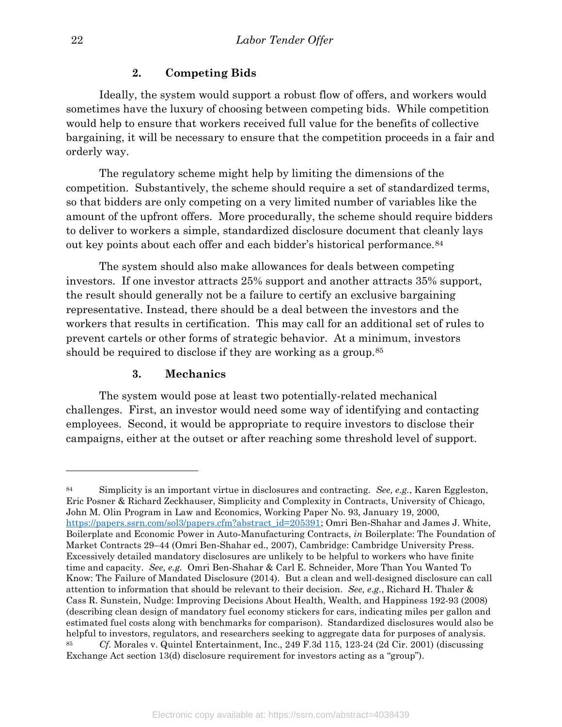## 2. Competing Bids

 Ideally, the system would support a robust flow of offers, and workers would sometimes have the luxury of choosing between competing bids. While competition would help to ensure that workers received full value for the benefits of collective bargaining, it will be necessary to ensure that the competition proceeds in a fair and orderly way.

 The regulatory scheme might help by limiting the dimensions of the competition. Substantively, the scheme should require a set of standardized terms, so that bidders are only competing on a very limited number of variables like the amount of the upfront offers. More procedurally, the scheme should require bidders to deliver to workers a simple, standardized disclosure document that cleanly lays out key points about each offer and each bidder's historical performance.<sup>84</sup>

 The system should also make allowances for deals between competing investors. If one investor attracts 25% support and another attracts 35% support, the result should generally not be a failure to certify an exclusive bargaining representative. Instead, there should be a deal between the investors and the workers that results in certification. This may call for an additional set of rules to prevent cartels or other forms of strategic behavior. At a minimum, investors should be required to disclose if they are working as a group.<sup>85</sup>

## 3. Mechanics

 The system would pose at least two potentially-related mechanical challenges. First, an investor would need some way of identifying and contacting employees. Second, it would be appropriate to require investors to disclose their campaigns, either at the outset or after reaching some threshold level of support.

Simplicity is an important virtue in disclosures and contracting. See, e.g., Karen Eggleston, Eric Posner & Richard Zeckhauser, Simplicity and Complexity in Contracts, University of Chicago, John M. Olin Program in Law and Economics, Working Paper No. 93, January 19, 2000, https://papers.ssrn.com/sol3/papers.cfm?abstract\_id=205391; Omri Ben-Shahar and James J. White, Boilerplate and Economic Power in Auto-Manufacturing Contracts, in Boilerplate: The Foundation of Market Contracts 29–44 (Omri Ben‐Shahar ed., 2007), Cambridge: Cambridge University Press. Excessively detailed mandatory disclosures are unlikely to be helpful to workers who have finite time and capacity. See, e.g. Omri Ben-Shahar & Carl E. Schneider, More Than You Wanted To Know: The Failure of Mandated Disclosure (2014). But a clean and well-designed disclosure can call attention to information that should be relevant to their decision. See, e.g., Richard H. Thaler & Cass R. Sunstein, Nudge: Improving Decisions About Health, Wealth, and Happiness 192-93 (2008) (describing clean design of mandatory fuel economy stickers for cars, indicating miles per gallon and estimated fuel costs along with benchmarks for comparison). Standardized disclosures would also be helpful to investors, regulators, and researchers seeking to aggregate data for purposes of analysis. <sup>85</sup> Cf. Morales v. Quintel Entertainment, Inc., 249 F.3d 115, 123-24 (2d Cir. 2001) (discussing

Exchange Act section 13(d) disclosure requirement for investors acting as a "group").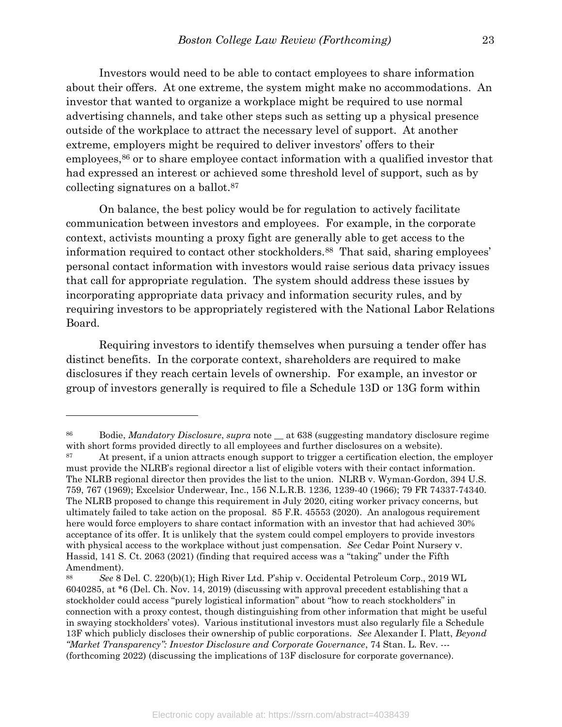Investors would need to be able to contact employees to share information about their offers. At one extreme, the system might make no accommodations. An investor that wanted to organize a workplace might be required to use normal advertising channels, and take other steps such as setting up a physical presence outside of the workplace to attract the necessary level of support. At another extreme, employers might be required to deliver investors' offers to their employees,<sup>86</sup> or to share employee contact information with a qualified investor that had expressed an interest or achieved some threshold level of support, such as by collecting signatures on a ballot.<sup>87</sup>

 On balance, the best policy would be for regulation to actively facilitate communication between investors and employees. For example, in the corporate context, activists mounting a proxy fight are generally able to get access to the information required to contact other stockholders.<sup>88</sup> That said, sharing employees' personal contact information with investors would raise serious data privacy issues that call for appropriate regulation. The system should address these issues by incorporating appropriate data privacy and information security rules, and by requiring investors to be appropriately registered with the National Labor Relations Board.

 Requiring investors to identify themselves when pursuing a tender offer has distinct benefits. In the corporate context, shareholders are required to make disclosures if they reach certain levels of ownership. For example, an investor or group of investors generally is required to file a Schedule 13D or 13G form within

<sup>&</sup>lt;sup>86</sup> Bodie, *Mandatory Disclosure, supra* note \_\_ at 638 (suggesting mandatory disclosure regime with short forms provided directly to all employees and further disclosures on a website).

<sup>87</sup> At present, if a union attracts enough support to trigger a certification election, the employer must provide the NLRB's regional director a list of eligible voters with their contact information. The NLRB regional director then provides the list to the union. NLRB v. Wyman-Gordon, 394 U.S. 759, 767 (1969); Excelsior Underwear, Inc., 156 N.L.R.B. 1236, 1239-40 (1966); 79 FR 74337-74340. The NLRB proposed to change this requirement in July 2020, citing worker privacy concerns, but ultimately failed to take action on the proposal. 85 F.R. 45553 (2020). An analogous requirement here would force employers to share contact information with an investor that had achieved 30% acceptance of its offer. It is unlikely that the system could compel employers to provide investors with physical access to the workplace without just compensation. See Cedar Point Nursery v. Hassid, 141 S. Ct. 2063 (2021) (finding that required access was a "taking" under the Fifth Amendment).

<sup>88</sup> See 8 Del. C. 220(b)(1); High River Ltd. P'ship v. Occidental Petroleum Corp., 2019 WL 6040285, at \*6 (Del. Ch. Nov. 14, 2019) (discussing with approval precedent establishing that a stockholder could access "purely logistical information" about "how to reach stockholders" in connection with a proxy contest, though distinguishing from other information that might be useful in swaying stockholders' votes). Various institutional investors must also regularly file a Schedule 13F which publicly discloses their ownership of public corporations. See Alexander I. Platt, Beyond "Market Transparency": Investor Disclosure and Corporate Governance, 74 Stan. L. Rev. --- (forthcoming 2022) (discussing the implications of 13F disclosure for corporate governance).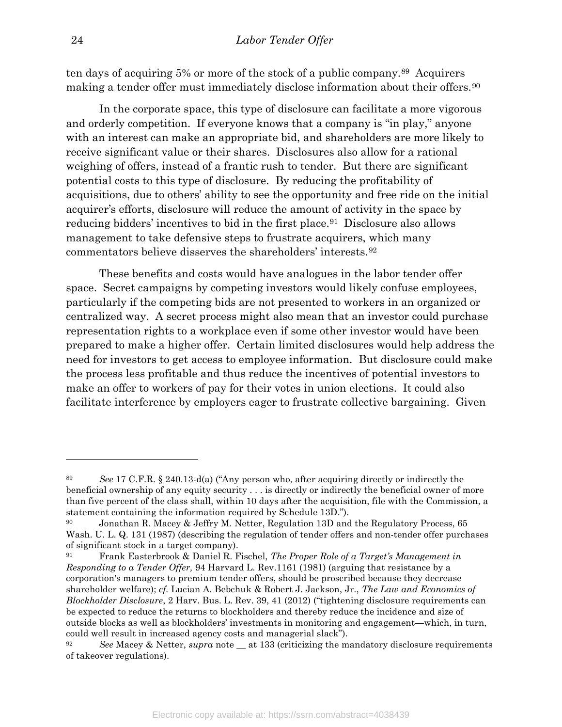ten days of acquiring 5% or more of the stock of a public company.89 Acquirers making a tender offer must immediately disclose information about their offers.<sup>90</sup>

In the corporate space, this type of disclosure can facilitate a more vigorous and orderly competition. If everyone knows that a company is "in play," anyone with an interest can make an appropriate bid, and shareholders are more likely to receive significant value or their shares. Disclosures also allow for a rational weighing of offers, instead of a frantic rush to tender. But there are significant potential costs to this type of disclosure. By reducing the profitability of acquisitions, due to others' ability to see the opportunity and free ride on the initial acquirer's efforts, disclosure will reduce the amount of activity in the space by reducing bidders' incentives to bid in the first place.<sup>91</sup> Disclosure also allows management to take defensive steps to frustrate acquirers, which many commentators believe disserves the shareholders' interests.<sup>92</sup>

These benefits and costs would have analogues in the labor tender offer space. Secret campaigns by competing investors would likely confuse employees, particularly if the competing bids are not presented to workers in an organized or centralized way. A secret process might also mean that an investor could purchase representation rights to a workplace even if some other investor would have been prepared to make a higher offer. Certain limited disclosures would help address the need for investors to get access to employee information. But disclosure could make the process less profitable and thus reduce the incentives of potential investors to make an offer to workers of pay for their votes in union elections. It could also facilitate interference by employers eager to frustrate collective bargaining. Given

<sup>&</sup>lt;sup>89</sup> See 17 C.F.R. § 240.13-d(a) ("Any person who, after acquiring directly or indirectly the beneficial ownership of any equity security . . . is directly or indirectly the beneficial owner of more than five percent of the class shall, within 10 days after the acquisition, file with the Commission, a statement containing the information required by Schedule 13D.").

<sup>&</sup>lt;sup>90</sup> Jonathan R. Macey & Jeffry M. Netter, Regulation 13D and the Regulatory Process, 65 Wash. U. L. Q. 131 (1987) (describing the regulation of tender offers and non-tender offer purchases of significant stock in a target company).

<sup>&</sup>lt;sup>91</sup> Frank Easterbrook & Daniel R. Fischel, *The Proper Role of a Target's Management in* Responding to a Tender Offer, 94 Harvard L. Rev.1161 (1981) (arguing that resistance by a corporation's managers to premium tender offers, should be proscribed because they decrease shareholder welfare); cf. Lucian A. Bebchuk & Robert J. Jackson, Jr., The Law and Economics of Blockholder Disclosure, 2 Harv. Bus. L. Rev. 39, 41 (2012) ("tightening disclosure requirements can be expected to reduce the returns to blockholders and thereby reduce the incidence and size of outside blocks as well as blockholders' investments in monitoring and engagement—which, in turn, could well result in increased agency costs and managerial slack").

<sup>&</sup>lt;sup>92</sup> See Macey & Netter, supra note  $\equiv$  at 133 (criticizing the mandatory disclosure requirements of takeover regulations).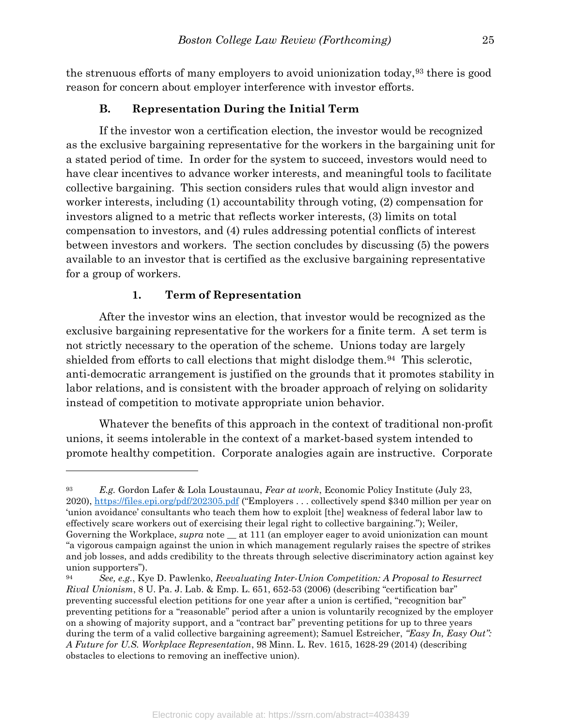the strenuous efforts of many employers to avoid unionization today,93 there is good reason for concern about employer interference with investor efforts.

## B. Representation During the Initial Term

If the investor won a certification election, the investor would be recognized as the exclusive bargaining representative for the workers in the bargaining unit for a stated period of time. In order for the system to succeed, investors would need to have clear incentives to advance worker interests, and meaningful tools to facilitate collective bargaining. This section considers rules that would align investor and worker interests, including (1) accountability through voting, (2) compensation for investors aligned to a metric that reflects worker interests, (3) limits on total compensation to investors, and (4) rules addressing potential conflicts of interest between investors and workers. The section concludes by discussing (5) the powers available to an investor that is certified as the exclusive bargaining representative for a group of workers.

#### 1. Term of Representation

 $\overline{a}$ 

After the investor wins an election, that investor would be recognized as the exclusive bargaining representative for the workers for a finite term. A set term is not strictly necessary to the operation of the scheme. Unions today are largely shielded from efforts to call elections that might dislodge them.94 This sclerotic, anti-democratic arrangement is justified on the grounds that it promotes stability in labor relations, and is consistent with the broader approach of relying on solidarity instead of competition to motivate appropriate union behavior.

Whatever the benefits of this approach in the context of traditional non-profit unions, it seems intolerable in the context of a market-based system intended to promote healthy competition. Corporate analogies again are instructive. Corporate

E.g. Gordon Lafer & Lola Loustaunau, Fear at work, Economic Policy Institute (July 23, 2020), https://files.epi.org/pdf/202305.pdf ("Employers . . . collectively spend \$340 million per year on 'union avoidance' consultants who teach them how to exploit [the] weakness of federal labor law to effectively scare workers out of exercising their legal right to collective bargaining."); Weiler, Governing the Workplace, *supra* note \_\_ at 111 (an employer eager to avoid unionization can mount "a vigorous campaign against the union in which management regularly raises the spectre of strikes and job losses, and adds credibility to the threats through selective discriminatory action against key union supporters").

 $94$  See, e.g., Kye D. Pawlenko, Reevaluating Inter-Union Competition: A Proposal to Resurrect Rival Unionism, 8 U. Pa. J. Lab. & Emp. L. 651, 652-53 (2006) (describing "certification bar" preventing successful election petitions for one year after a union is certified, "recognition bar" preventing petitions for a "reasonable" period after a union is voluntarily recognized by the employer on a showing of majority support, and a "contract bar" preventing petitions for up to three years during the term of a valid collective bargaining agreement); Samuel Estreicher, "Easy In, Easy Out": A Future for U.S. Workplace Representation, 98 Minn. L. Rev. 1615, 1628-29 (2014) (describing obstacles to elections to removing an ineffective union).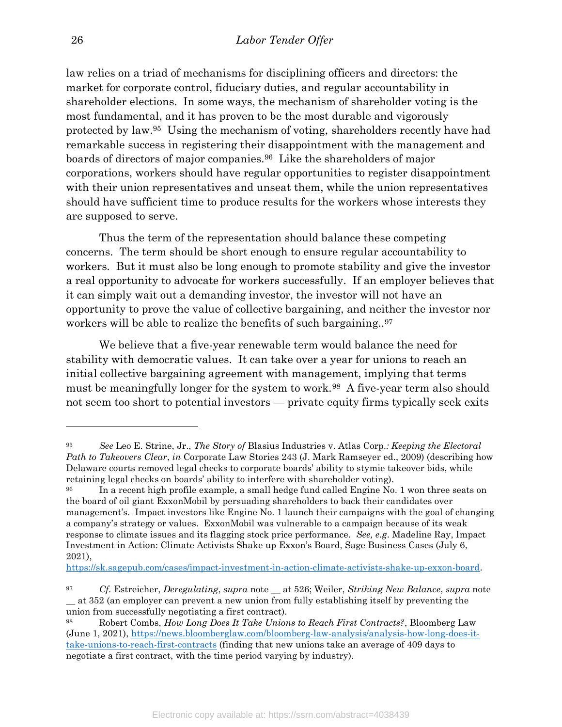law relies on a triad of mechanisms for disciplining officers and directors: the market for corporate control, fiduciary duties, and regular accountability in shareholder elections. In some ways, the mechanism of shareholder voting is the most fundamental, and it has proven to be the most durable and vigorously protected by law.95 Using the mechanism of voting, shareholders recently have had remarkable success in registering their disappointment with the management and boards of directors of major companies.96 Like the shareholders of major corporations, workers should have regular opportunities to register disappointment with their union representatives and unseat them, while the union representatives should have sufficient time to produce results for the workers whose interests they are supposed to serve.

Thus the term of the representation should balance these competing concerns. The term should be short enough to ensure regular accountability to workers. But it must also be long enough to promote stability and give the investor a real opportunity to advocate for workers successfully. If an employer believes that it can simply wait out a demanding investor, the investor will not have an opportunity to prove the value of collective bargaining, and neither the investor nor workers will be able to realize the benefits of such bargaining..<sup>97</sup>

We believe that a five-year renewable term would balance the need for stability with democratic values. It can take over a year for unions to reach an initial collective bargaining agreement with management, implying that terms must be meaningfully longer for the system to work.98 A five-year term also should not seem too short to potential investors — private equity firms typically seek exits

https://sk.sagepub.com/cases/impact-investment-in-action-climate-activists-shake-up-exxon-board.

<sup>&</sup>lt;sup>95</sup> See Leo E. Strine, Jr., The Story of Blasius Industries v. Atlas Corp.: *Keeping the Electoral* Path to Takeovers Clear, in Corporate Law Stories 243 (J. Mark Ramseyer ed., 2009) (describing how Delaware courts removed legal checks to corporate boards' ability to stymie takeover bids, while retaining legal checks on boards' ability to interfere with shareholder voting).

<sup>96</sup> In a recent high profile example, a small hedge fund called Engine No. 1 won three seats on the board of oil giant ExxonMobil by persuading shareholders to back their candidates over management's. Impact investors like Engine No. 1 launch their campaigns with the goal of changing a company's strategy or values. ExxonMobil was vulnerable to a campaign because of its weak response to climate issues and its flagging stock price performance. See, e.g. Madeline Ray, Impact Investment in Action: Climate Activists Shake up Exxon's Board, Sage Business Cases (July 6, 2021),

 $^{97}$  Cf. Estreicher, Deregulating, supra note  $\_\$ at 526; Weiler, Striking New Balance, supra note \_\_ at 352 (an employer can prevent a new union from fully establishing itself by preventing the union from successfully negotiating a first contract).

<sup>&</sup>lt;sup>98</sup> Robert Combs, *How Long Does It Take Unions to Reach First Contracts*?, Bloomberg Law (June 1, 2021), https://news.bloomberglaw.com/bloomberg-law-analysis/analysis-how-long-does-ittake-unions-to-reach-first-contracts (finding that new unions take an average of 409 days to negotiate a first contract, with the time period varying by industry).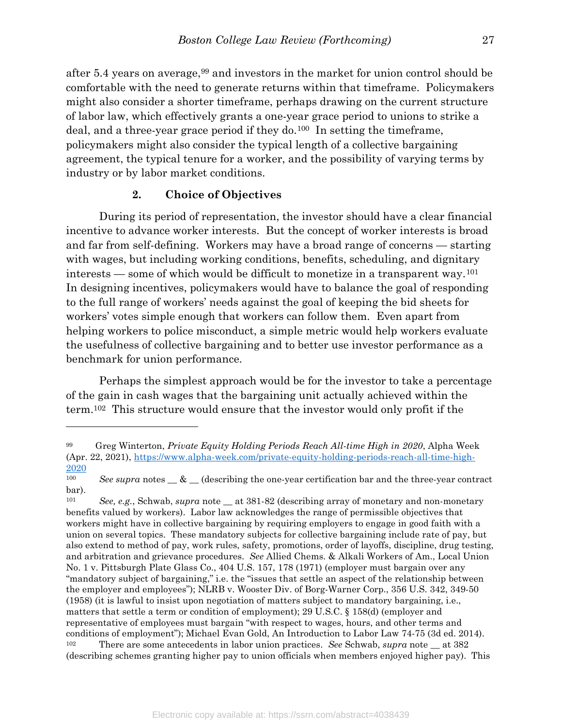after 5.4 years on average,99 and investors in the market for union control should be comfortable with the need to generate returns within that timeframe. Policymakers might also consider a shorter timeframe, perhaps drawing on the current structure of labor law, which effectively grants a one-year grace period to unions to strike a deal, and a three-year grace period if they do.100 In setting the timeframe, policymakers might also consider the typical length of a collective bargaining agreement, the typical tenure for a worker, and the possibility of varying terms by industry or by labor market conditions.

#### 2. Choice of Objectives

 $\overline{a}$ 

 During its period of representation, the investor should have a clear financial incentive to advance worker interests. But the concept of worker interests is broad and far from self-defining. Workers may have a broad range of concerns — starting with wages, but including working conditions, benefits, scheduling, and dignitary interests — some of which would be difficult to monetize in a transparent way.<sup>101</sup> In designing incentives, policymakers would have to balance the goal of responding to the full range of workers' needs against the goal of keeping the bid sheets for workers' votes simple enough that workers can follow them. Even apart from helping workers to police misconduct, a simple metric would help workers evaluate the usefulness of collective bargaining and to better use investor performance as a benchmark for union performance.

 Perhaps the simplest approach would be for the investor to take a percentage of the gain in cash wages that the bargaining unit actually achieved within the term.102 This structure would ensure that the investor would only profit if the

 $99$  Greg Winterton, *Private Equity Holding Periods Reach All-time High in 2020*, Alpha Week (Apr. 22, 2021), https://www.alpha-week.com/private-equity-holding-periods-reach-all-time-high-2020

<sup>&</sup>lt;sup>100</sup> See supra notes  $\&$  (describing the one-year certification bar and the three-year contract bar).

<sup>&</sup>lt;sup>101</sup> See, e.g., Schwab, supra note  $\pm$  at 381-82 (describing array of monetary and non-monetary benefits valued by workers). Labor law acknowledges the range of permissible objectives that workers might have in collective bargaining by requiring employers to engage in good faith with a union on several topics. These mandatory subjects for collective bargaining include rate of pay, but also extend to method of pay, work rules, safety, promotions, order of layoffs, discipline, drug testing, and arbitration and grievance procedures. See Allied Chems. & Alkali Workers of Am., Local Union No. 1 v. Pittsburgh Plate Glass Co., 404 U.S. 157, 178 (1971) (employer must bargain over any "mandatory subject of bargaining," i.e. the "issues that settle an aspect of the relationship between the employer and employees"); NLRB v. Wooster Div. of Borg-Warner Corp., 356 U.S. 342, 349-50 (1958) (it is lawful to insist upon negotiation of matters subject to mandatory bargaining, i.e., matters that settle a term or condition of employment); 29 U.S.C. § 158(d) (employer and representative of employees must bargain "with respect to wages, hours, and other terms and conditions of employment"); Michael Evan Gold, An Introduction to Labor Law 74-75 (3d ed. 2014). <sup>102</sup> There are some antecedents in labor union practices. See Schwab, supra note  $\equiv$  at 382 (describing schemes granting higher pay to union officials when members enjoyed higher pay). This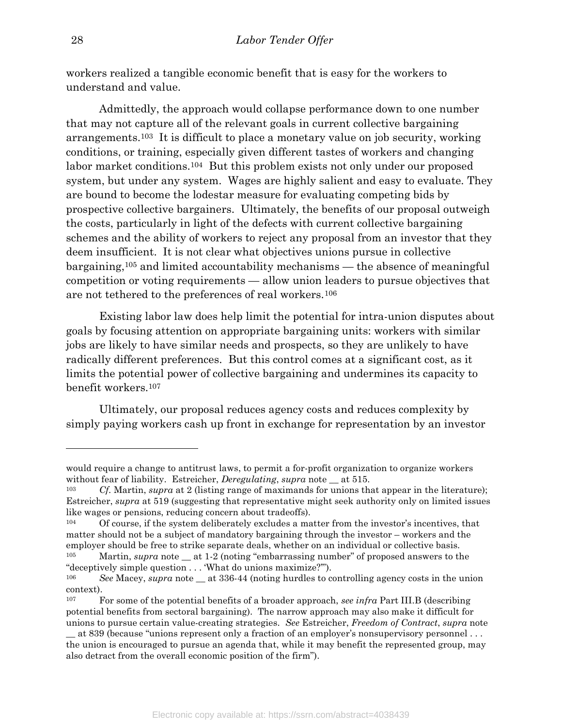workers realized a tangible economic benefit that is easy for the workers to understand and value.

Admittedly, the approach would collapse performance down to one number that may not capture all of the relevant goals in current collective bargaining arrangements.103 It is difficult to place a monetary value on job security, working conditions, or training, especially given different tastes of workers and changing labor market conditions.104 But this problem exists not only under our proposed system, but under any system. Wages are highly salient and easy to evaluate. They are bound to become the lodestar measure for evaluating competing bids by prospective collective bargainers. Ultimately, the benefits of our proposal outweigh the costs, particularly in light of the defects with current collective bargaining schemes and the ability of workers to reject any proposal from an investor that they deem insufficient. It is not clear what objectives unions pursue in collective bargaining,105 and limited accountability mechanisms — the absence of meaningful competition or voting requirements — allow union leaders to pursue objectives that are not tethered to the preferences of real workers.<sup>106</sup>

Existing labor law does help limit the potential for intra-union disputes about goals by focusing attention on appropriate bargaining units: workers with similar jobs are likely to have similar needs and prospects, so they are unlikely to have radically different preferences. But this control comes at a significant cost, as it limits the potential power of collective bargaining and undermines its capacity to benefit workers.<sup>107</sup>

Ultimately, our proposal reduces agency costs and reduces complexity by simply paying workers cash up front in exchange for representation by an investor

would require a change to antitrust laws, to permit a for-profit organization to organize workers without fear of liability. Estreicher, *Deregulating*, *supra* note \_\_ at 515.

<sup>&</sup>lt;sup>103</sup> Cf. Martin, supra at 2 (listing range of maximands for unions that appear in the literature); Estreicher, supra at 519 (suggesting that representative might seek authority only on limited issues like wages or pensions, reducing concern about tradeoffs).

<sup>&</sup>lt;sup>104</sup> Of course, if the system deliberately excludes a matter from the investor's incentives, that matter should not be a subject of mandatory bargaining through the investor – workers and the employer should be free to strike separate deals, whether on an individual or collective basis.

<sup>&</sup>lt;sup>105</sup> Martin, *supra* note at 1-2 (noting "embarrassing number" of proposed answers to the "deceptively simple question . . . 'What do unions maximize?'").

<sup>&</sup>lt;sup>106</sup> See Macey, supra note at 336-44 (noting hurdles to controlling agency costs in the union context).

<sup>&</sup>lt;sup>107</sup> For some of the potential benefits of a broader approach, see infra Part III.B (describing potential benefits from sectoral bargaining). The narrow approach may also make it difficult for unions to pursue certain value-creating strategies. See Estreicher, Freedom of Contract, supra note

\_\_ at 839 (because "unions represent only a fraction of an employer's nonsupervisory personnel . . . the union is encouraged to pursue an agenda that, while it may benefit the represented group, may also detract from the overall economic position of the firm").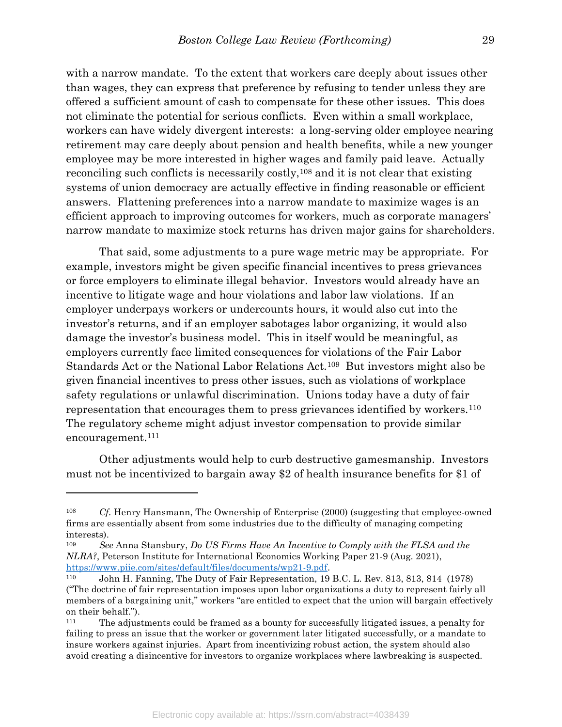with a narrow mandate. To the extent that workers care deeply about issues other than wages, they can express that preference by refusing to tender unless they are offered a sufficient amount of cash to compensate for these other issues. This does not eliminate the potential for serious conflicts. Even within a small workplace, workers can have widely divergent interests: a long-serving older employee nearing retirement may care deeply about pension and health benefits, while a new younger employee may be more interested in higher wages and family paid leave. Actually reconciling such conflicts is necessarily costly,108 and it is not clear that existing systems of union democracy are actually effective in finding reasonable or efficient answers. Flattening preferences into a narrow mandate to maximize wages is an efficient approach to improving outcomes for workers, much as corporate managers' narrow mandate to maximize stock returns has driven major gains for shareholders.

That said, some adjustments to a pure wage metric may be appropriate. For example, investors might be given specific financial incentives to press grievances or force employers to eliminate illegal behavior. Investors would already have an incentive to litigate wage and hour violations and labor law violations. If an employer underpays workers or undercounts hours, it would also cut into the investor's returns, and if an employer sabotages labor organizing, it would also damage the investor's business model. This in itself would be meaningful, as employers currently face limited consequences for violations of the Fair Labor Standards Act or the National Labor Relations Act.109 But investors might also be given financial incentives to press other issues, such as violations of workplace safety regulations or unlawful discrimination. Unions today have a duty of fair representation that encourages them to press grievances identified by workers.<sup>110</sup> The regulatory scheme might adjust investor compensation to provide similar encouragement.<sup>111</sup>

Other adjustments would help to curb destructive gamesmanship. Investors must not be incentivized to bargain away \$2 of health insurance benefits for \$1 of

<sup>108</sup> Cf. Henry Hansmann, The Ownership of Enterprise (2000) (suggesting that employee-owned firms are essentially absent from some industries due to the difficulty of managing competing interests).

<sup>&</sup>lt;sup>109</sup> See Anna Stansbury, Do US Firms Have An Incentive to Comply with the FLSA and the NLRA?, Peterson Institute for International Economics Working Paper 21-9 (Aug. 2021), https://www.piie.com/sites/default/files/documents/wp21-9.pdf.

<sup>110</sup> John H. Fanning, The Duty of Fair Representation, 19 B.C. L. Rev. 813, 813, 814 (1978) ("The doctrine of fair representation imposes upon labor organizations a duty to represent fairly all members of a bargaining unit," workers "are entitled to expect that the union will bargain effectively on their behalf.").

<sup>111</sup> The adjustments could be framed as a bounty for successfully litigated issues, a penalty for failing to press an issue that the worker or government later litigated successfully, or a mandate to insure workers against injuries. Apart from incentivizing robust action, the system should also avoid creating a disincentive for investors to organize workplaces where lawbreaking is suspected.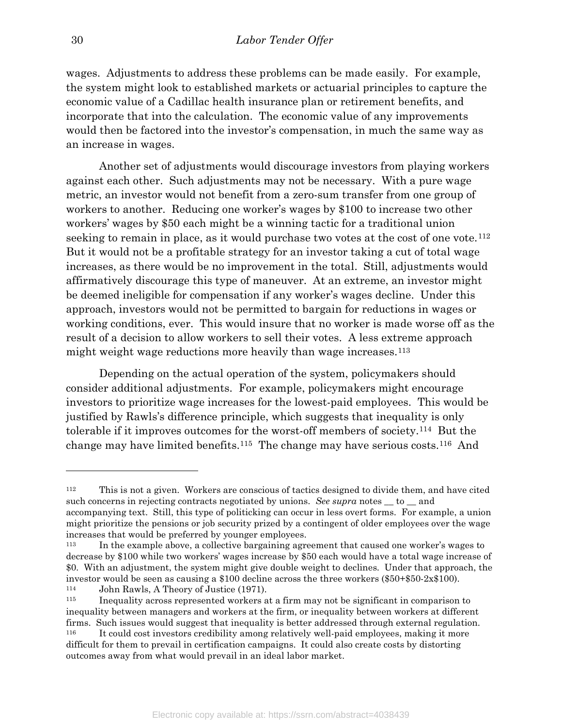wages. Adjustments to address these problems can be made easily. For example, the system might look to established markets or actuarial principles to capture the economic value of a Cadillac health insurance plan or retirement benefits, and incorporate that into the calculation. The economic value of any improvements would then be factored into the investor's compensation, in much the same way as an increase in wages.

Another set of adjustments would discourage investors from playing workers against each other. Such adjustments may not be necessary. With a pure wage metric, an investor would not benefit from a zero-sum transfer from one group of workers to another. Reducing one worker's wages by \$100 to increase two other workers' wages by \$50 each might be a winning tactic for a traditional union seeking to remain in place, as it would purchase two votes at the cost of one vote.<sup>112</sup> But it would not be a profitable strategy for an investor taking a cut of total wage increases, as there would be no improvement in the total. Still, adjustments would affirmatively discourage this type of maneuver. At an extreme, an investor might be deemed ineligible for compensation if any worker's wages decline. Under this approach, investors would not be permitted to bargain for reductions in wages or working conditions, ever. This would insure that no worker is made worse off as the result of a decision to allow workers to sell their votes. A less extreme approach might weight wage reductions more heavily than wage increases.<sup>113</sup>

Depending on the actual operation of the system, policymakers should consider additional adjustments. For example, policymakers might encourage investors to prioritize wage increases for the lowest-paid employees. This would be justified by Rawls's difference principle, which suggests that inequality is only tolerable if it improves outcomes for the worst-off members of society.114 But the change may have limited benefits.115 The change may have serious costs.116 And

<sup>112</sup> This is not a given. Workers are conscious of tactics designed to divide them, and have cited such concerns in rejecting contracts negotiated by unions. See supra notes  $\_\text{to}$  to  $\_\text{and}$ accompanying text. Still, this type of politicking can occur in less overt forms. For example, a union might prioritize the pensions or job security prized by a contingent of older employees over the wage increases that would be preferred by younger employees.

<sup>113</sup> In the example above, a collective bargaining agreement that caused one worker's wages to decrease by \$100 while two workers' wages increase by \$50 each would have a total wage increase of \$0. With an adjustment, the system might give double weight to declines. Under that approach, the investor would be seen as causing a \$100 decline across the three workers (\$50+\$50-2x\$100).

<sup>114</sup> John Rawls, A Theory of Justice (1971).

<sup>115</sup> Inequality across represented workers at a firm may not be significant in comparison to inequality between managers and workers at the firm, or inequality between workers at different firms. Such issues would suggest that inequality is better addressed through external regulation. <sup>116</sup> It could cost investors credibility among relatively well-paid employees, making it more

difficult for them to prevail in certification campaigns. It could also create costs by distorting outcomes away from what would prevail in an ideal labor market.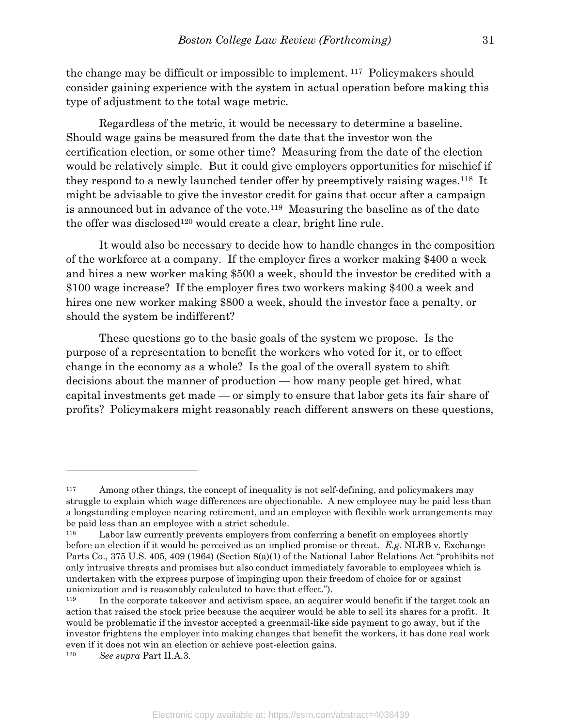the change may be difficult or impossible to implement. 117 Policymakers should consider gaining experience with the system in actual operation before making this type of adjustment to the total wage metric.

Regardless of the metric, it would be necessary to determine a baseline. Should wage gains be measured from the date that the investor won the certification election, or some other time? Measuring from the date of the election would be relatively simple. But it could give employers opportunities for mischief if they respond to a newly launched tender offer by preemptively raising wages.118 It might be advisable to give the investor credit for gains that occur after a campaign is announced but in advance of the vote.119 Measuring the baseline as of the date the offer was disclosed<sup>120</sup> would create a clear, bright line rule.

It would also be necessary to decide how to handle changes in the composition of the workforce at a company. If the employer fires a worker making \$400 a week and hires a new worker making \$500 a week, should the investor be credited with a \$100 wage increase? If the employer fires two workers making \$400 a week and hires one new worker making \$800 a week, should the investor face a penalty, or should the system be indifferent?

These questions go to the basic goals of the system we propose. Is the purpose of a representation to benefit the workers who voted for it, or to effect change in the economy as a whole? Is the goal of the overall system to shift decisions about the manner of production — how many people get hired, what capital investments get made — or simply to ensure that labor gets its fair share of profits? Policymakers might reasonably reach different answers on these questions,

<sup>&</sup>lt;sup>117</sup> Among other things, the concept of inequality is not self-defining, and policymakers may struggle to explain which wage differences are objectionable. A new employee may be paid less than a longstanding employee nearing retirement, and an employee with flexible work arrangements may be paid less than an employee with a strict schedule.

Labor law currently prevents employers from conferring a benefit on employees shortly before an election if it would be perceived as an implied promise or threat. E.g. NLRB v. Exchange Parts Co., 375 U.S. 405, 409 (1964) (Section 8(a)(1) of the National Labor Relations Act "prohibits not only intrusive threats and promises but also conduct immediately favorable to employees which is undertaken with the express purpose of impinging upon their freedom of choice for or against unionization and is reasonably calculated to have that effect.").

<sup>&</sup>lt;sup>119</sup> In the corporate takes over and activism space, an acquirer would benefit if the target took an action that raised the stock price because the acquirer would be able to sell its shares for a profit. It would be problematic if the investor accepted a greenmail-like side payment to go away, but if the investor frightens the employer into making changes that benefit the workers, it has done real work even if it does not win an election or achieve post-election gains.

<sup>120</sup> See supra Part II.A.3.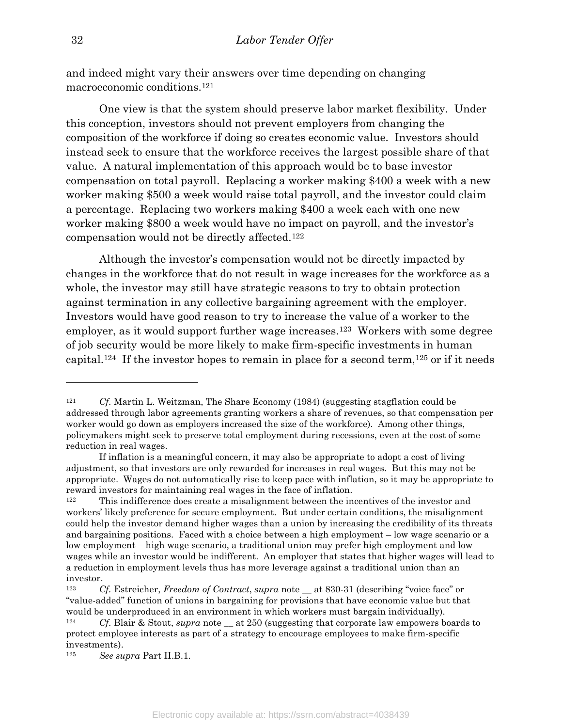and indeed might vary their answers over time depending on changing macroeconomic conditions.<sup>121</sup>

One view is that the system should preserve labor market flexibility. Under this conception, investors should not prevent employers from changing the composition of the workforce if doing so creates economic value. Investors should instead seek to ensure that the workforce receives the largest possible share of that value. A natural implementation of this approach would be to base investor compensation on total payroll. Replacing a worker making \$400 a week with a new worker making \$500 a week would raise total payroll, and the investor could claim a percentage. Replacing two workers making \$400 a week each with one new worker making \$800 a week would have no impact on payroll, and the investor's compensation would not be directly affected.<sup>122</sup>

Although the investor's compensation would not be directly impacted by changes in the workforce that do not result in wage increases for the workforce as a whole, the investor may still have strategic reasons to try to obtain protection against termination in any collective bargaining agreement with the employer. Investors would have good reason to try to increase the value of a worker to the employer, as it would support further wage increases.123 Workers with some degree of job security would be more likely to make firm-specific investments in human capital.<sup>124</sup> If the investor hopes to remain in place for a second term,<sup>125</sup> or if it needs

<sup>&</sup>lt;sup>121</sup> Cf. Martin L. Weitzman, The Share Economy (1984) (suggesting stagflation could be addressed through labor agreements granting workers a share of revenues, so that compensation per worker would go down as employers increased the size of the workforce). Among other things, policymakers might seek to preserve total employment during recessions, even at the cost of some reduction in real wages.

If inflation is a meaningful concern, it may also be appropriate to adopt a cost of living adjustment, so that investors are only rewarded for increases in real wages. But this may not be appropriate. Wages do not automatically rise to keep pace with inflation, so it may be appropriate to reward investors for maintaining real wages in the face of inflation.

<sup>122</sup> This indifference does create a misalignment between the incentives of the investor and workers' likely preference for secure employment. But under certain conditions, the misalignment could help the investor demand higher wages than a union by increasing the credibility of its threats and bargaining positions. Faced with a choice between a high employment – low wage scenario or a low employment – high wage scenario, a traditional union may prefer high employment and low wages while an investor would be indifferent. An employer that states that higher wages will lead to a reduction in employment levels thus has more leverage against a traditional union than an investor.

<sup>123</sup> Cf. Estreicher, Freedom of Contract, supra note \_\_ at 830-31 (describing "voice face" or "value-added" function of unions in bargaining for provisions that have economic value but that would be underproduced in an environment in which workers must bargain individually).

<sup>&</sup>lt;sup>124</sup> Cf. Blair & Stout, supra note at 250 (suggesting that corporate law empowers boards to protect employee interests as part of a strategy to encourage employees to make firm-specific investments).

<sup>125</sup> See supra Part II.B.1.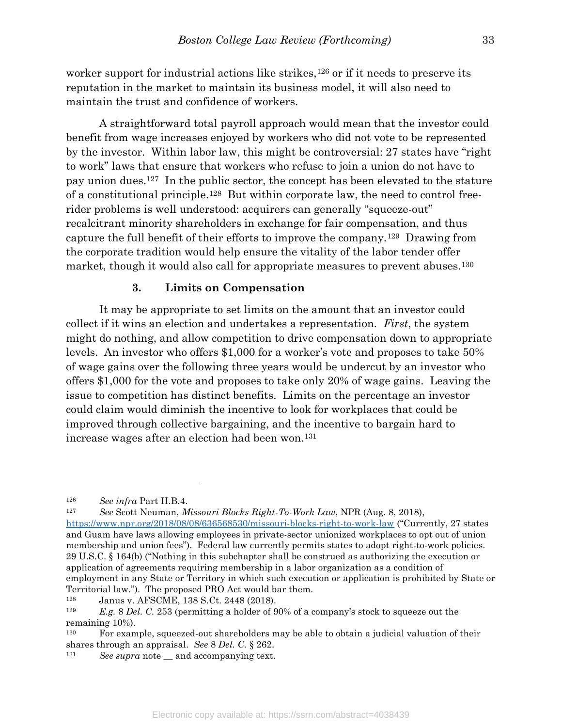worker support for industrial actions like strikes,<sup>126</sup> or if it needs to preserve its reputation in the market to maintain its business model, it will also need to maintain the trust and confidence of workers.

A straightforward total payroll approach would mean that the investor could benefit from wage increases enjoyed by workers who did not vote to be represented by the investor. Within labor law, this might be controversial: 27 states have "right to work" laws that ensure that workers who refuse to join a union do not have to pay union dues.127 In the public sector, the concept has been elevated to the stature of a constitutional principle.128 But within corporate law, the need to control freerider problems is well understood: acquirers can generally "squeeze-out" recalcitrant minority shareholders in exchange for fair compensation, and thus capture the full benefit of their efforts to improve the company.129 Drawing from the corporate tradition would help ensure the vitality of the labor tender offer market, though it would also call for appropriate measures to prevent abuses.<sup>130</sup>

#### 3. Limits on Compensation

 It may be appropriate to set limits on the amount that an investor could collect if it wins an election and undertakes a representation. First, the system might do nothing, and allow competition to drive compensation down to appropriate levels. An investor who offers \$1,000 for a worker's vote and proposes to take 50% of wage gains over the following three years would be undercut by an investor who offers \$1,000 for the vote and proposes to take only 20% of wage gains. Leaving the issue to competition has distinct benefits. Limits on the percentage an investor could claim would diminish the incentive to look for workplaces that could be improved through collective bargaining, and the incentive to bargain hard to increase wages after an election had been won.<sup>131</sup>

<sup>126</sup> See infra Part II.B.4.

<sup>127</sup> See Scott Neuman, Missouri Blocks Right-To-Work Law, NPR (Aug. 8, 2018), https://www.npr.org/2018/08/08/636568530/missouri-blocks-right-to-work-law ("Currently, 27 states and Guam have laws allowing employees in private-sector unionized workplaces to opt out of union membership and union fees"). Federal law currently permits states to adopt right-to-work policies. 29 U.S.C. § 164(b) ("Nothing in this subchapter shall be construed as authorizing the execution or application of agreements requiring membership in a labor organization as a condition of employment in any State or Territory in which such execution or application is prohibited by State or Territorial law."). The proposed PRO Act would bar them.

<sup>128</sup> Janus v. AFSCME, 138 S.Ct. 2448 (2018).

<sup>&</sup>lt;sup>129</sup> E.g. 8 Del. C. 253 (permitting a holder of 90% of a company's stock to squeeze out the remaining 10%).

<sup>130</sup> For example, squeezed-out shareholders may be able to obtain a judicial valuation of their shares through an appraisal. See 8 Del. C. § 262.

<sup>&</sup>lt;sup>131</sup> See supra note \_\_ and accompanying text.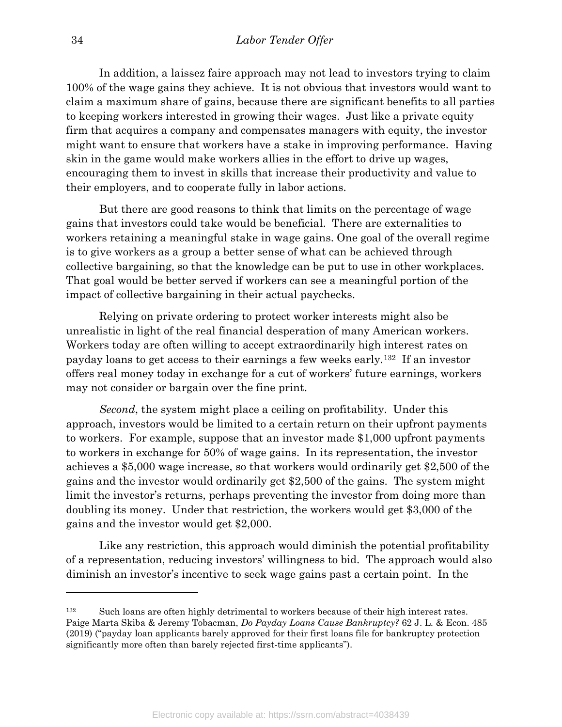In addition, a laissez faire approach may not lead to investors trying to claim 100% of the wage gains they achieve. It is not obvious that investors would want to claim a maximum share of gains, because there are significant benefits to all parties to keeping workers interested in growing their wages. Just like a private equity firm that acquires a company and compensates managers with equity, the investor might want to ensure that workers have a stake in improving performance. Having skin in the game would make workers allies in the effort to drive up wages, encouraging them to invest in skills that increase their productivity and value to their employers, and to cooperate fully in labor actions.

 But there are good reasons to think that limits on the percentage of wage gains that investors could take would be beneficial. There are externalities to workers retaining a meaningful stake in wage gains. One goal of the overall regime is to give workers as a group a better sense of what can be achieved through collective bargaining, so that the knowledge can be put to use in other workplaces. That goal would be better served if workers can see a meaningful portion of the impact of collective bargaining in their actual paychecks.

Relying on private ordering to protect worker interests might also be unrealistic in light of the real financial desperation of many American workers. Workers today are often willing to accept extraordinarily high interest rates on payday loans to get access to their earnings a few weeks early.132 If an investor offers real money today in exchange for a cut of workers' future earnings, workers may not consider or bargain over the fine print.

Second, the system might place a ceiling on profitability. Under this approach, investors would be limited to a certain return on their upfront payments to workers. For example, suppose that an investor made \$1,000 upfront payments to workers in exchange for 50% of wage gains. In its representation, the investor achieves a \$5,000 wage increase, so that workers would ordinarily get \$2,500 of the gains and the investor would ordinarily get \$2,500 of the gains. The system might limit the investor's returns, perhaps preventing the investor from doing more than doubling its money. Under that restriction, the workers would get \$3,000 of the gains and the investor would get \$2,000.

 Like any restriction, this approach would diminish the potential profitability of a representation, reducing investors' willingness to bid. The approach would also diminish an investor's incentive to seek wage gains past a certain point. In the

<sup>&</sup>lt;sup>132</sup> Such loans are often highly detrimental to workers because of their high interest rates. Paige Marta Skiba & Jeremy Tobacman, Do Payday Loans Cause Bankruptcy? 62 J. L. & Econ. 485 (2019) ("payday loan applicants barely approved for their first loans file for bankruptcy protection significantly more often than barely rejected first-time applicants").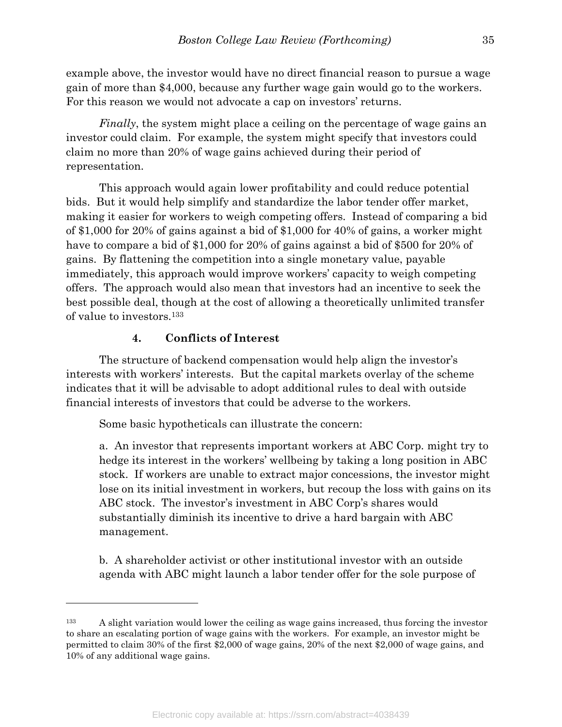example above, the investor would have no direct financial reason to pursue a wage gain of more than \$4,000, because any further wage gain would go to the workers. For this reason we would not advocate a cap on investors' returns.

Finally, the system might place a ceiling on the percentage of wage gains an investor could claim. For example, the system might specify that investors could claim no more than 20% of wage gains achieved during their period of representation.

 This approach would again lower profitability and could reduce potential bids. But it would help simplify and standardize the labor tender offer market, making it easier for workers to weigh competing offers. Instead of comparing a bid of \$1,000 for 20% of gains against a bid of \$1,000 for 40% of gains, a worker might have to compare a bid of \$1,000 for 20% of gains against a bid of \$500 for 20% of gains. By flattening the competition into a single monetary value, payable immediately, this approach would improve workers' capacity to weigh competing offers. The approach would also mean that investors had an incentive to seek the best possible deal, though at the cost of allowing a theoretically unlimited transfer of value to investors.<sup>133</sup>

## 4. Conflicts of Interest

 $\overline{a}$ 

 The structure of backend compensation would help align the investor's interests with workers' interests. But the capital markets overlay of the scheme indicates that it will be advisable to adopt additional rules to deal with outside financial interests of investors that could be adverse to the workers.

Some basic hypotheticals can illustrate the concern:

a. An investor that represents important workers at ABC Corp. might try to hedge its interest in the workers' wellbeing by taking a long position in ABC stock. If workers are unable to extract major concessions, the investor might lose on its initial investment in workers, but recoup the loss with gains on its ABC stock. The investor's investment in ABC Corp's shares would substantially diminish its incentive to drive a hard bargain with ABC management.

b. A shareholder activist or other institutional investor with an outside agenda with ABC might launch a labor tender offer for the sole purpose of

<sup>&</sup>lt;sup>133</sup> A slight variation would lower the ceiling as wage gains increased, thus forcing the investor to share an escalating portion of wage gains with the workers. For example, an investor might be permitted to claim 30% of the first \$2,000 of wage gains, 20% of the next \$2,000 of wage gains, and 10% of any additional wage gains.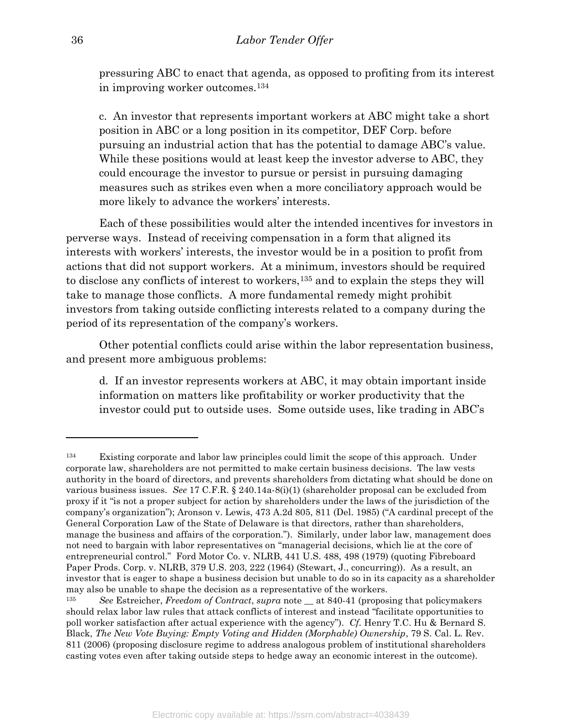pressuring ABC to enact that agenda, as opposed to profiting from its interest in improving worker outcomes.<sup>134</sup>

c. An investor that represents important workers at ABC might take a short position in ABC or a long position in its competitor, DEF Corp. before pursuing an industrial action that has the potential to damage ABC's value. While these positions would at least keep the investor adverse to ABC, they could encourage the investor to pursue or persist in pursuing damaging measures such as strikes even when a more conciliatory approach would be more likely to advance the workers' interests.

 Each of these possibilities would alter the intended incentives for investors in perverse ways. Instead of receiving compensation in a form that aligned its interests with workers' interests, the investor would be in a position to profit from actions that did not support workers. At a minimum, investors should be required to disclose any conflicts of interest to workers,135 and to explain the steps they will take to manage those conflicts. A more fundamental remedy might prohibit investors from taking outside conflicting interests related to a company during the period of its representation of the company's workers.

 Other potential conflicts could arise within the labor representation business, and present more ambiguous problems:

d. If an investor represents workers at ABC, it may obtain important inside information on matters like profitability or worker productivity that the investor could put to outside uses. Some outside uses, like trading in ABC's

<sup>134</sup> Existing corporate and labor law principles could limit the scope of this approach. Under corporate law, shareholders are not permitted to make certain business decisions. The law vests authority in the board of directors, and prevents shareholders from dictating what should be done on various business issues. See 17 C.F.R. § 240.14a-8(i)(1) (shareholder proposal can be excluded from proxy if it "is not a proper subject for action by shareholders under the laws of the jurisdiction of the company's organization"); Aronson v. Lewis, 473 A.2d 805, 811 (Del. 1985) ("A cardinal precept of the General Corporation Law of the State of Delaware is that directors, rather than shareholders, manage the business and affairs of the corporation."). Similarly, under labor law, management does not need to bargain with labor representatives on "managerial decisions, which lie at the core of entrepreneurial control." Ford Motor Co. v. NLRB, 441 U.S. 488, 498 (1979) (quoting Fibreboard Paper Prods. Corp. v. NLRB, 379 U.S. 203, 222 (1964) (Stewart, J., concurring)). As a result, an investor that is eager to shape a business decision but unable to do so in its capacity as a shareholder may also be unable to shape the decision as a representative of the workers.

<sup>&</sup>lt;sup>135</sup> See Estreicher, Freedom of Contract, supra note  $\equiv$  at 840-41 (proposing that policymakers should relax labor law rules that attack conflicts of interest and instead "facilitate opportunities to poll worker satisfaction after actual experience with the agency"). Cf. Henry T.C. Hu & Bernard S. Black, The New Vote Buying: Empty Voting and Hidden (Morphable) Ownership, 79 S. Cal. L. Rev. 811 (2006) (proposing disclosure regime to address analogous problem of institutional shareholders casting votes even after taking outside steps to hedge away an economic interest in the outcome).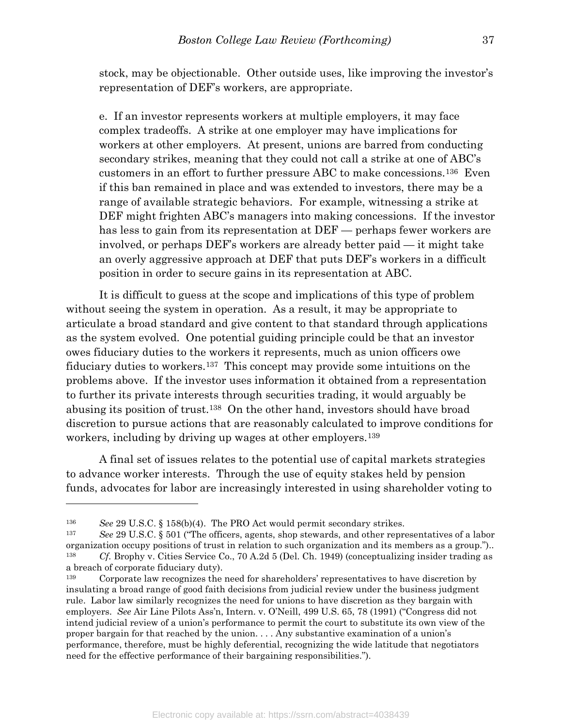stock, may be objectionable. Other outside uses, like improving the investor's representation of DEF's workers, are appropriate.

e. If an investor represents workers at multiple employers, it may face complex tradeoffs. A strike at one employer may have implications for workers at other employers. At present, unions are barred from conducting secondary strikes, meaning that they could not call a strike at one of ABC's customers in an effort to further pressure ABC to make concessions.136 Even if this ban remained in place and was extended to investors, there may be a range of available strategic behaviors. For example, witnessing a strike at DEF might frighten ABC's managers into making concessions. If the investor has less to gain from its representation at DEF — perhaps fewer workers are involved, or perhaps DEF's workers are already better paid — it might take an overly aggressive approach at DEF that puts DEF's workers in a difficult position in order to secure gains in its representation at ABC.

It is difficult to guess at the scope and implications of this type of problem without seeing the system in operation. As a result, it may be appropriate to articulate a broad standard and give content to that standard through applications as the system evolved. One potential guiding principle could be that an investor owes fiduciary duties to the workers it represents, much as union officers owe fiduciary duties to workers.137 This concept may provide some intuitions on the problems above. If the investor uses information it obtained from a representation to further its private interests through securities trading, it would arguably be abusing its position of trust.138 On the other hand, investors should have broad discretion to pursue actions that are reasonably calculated to improve conditions for workers, including by driving up wages at other employers.<sup>139</sup>

 A final set of issues relates to the potential use of capital markets strategies to advance worker interests. Through the use of equity stakes held by pension funds, advocates for labor are increasingly interested in using shareholder voting to

<sup>136</sup> See 29 U.S.C. § 158(b)(4). The PRO Act would permit secondary strikes.

<sup>137</sup> See 29 U.S.C. § 501 ("The officers, agents, shop stewards, and other representatives of a labor organization occupy positions of trust in relation to such organization and its members as a group.").. <sup>138</sup> Cf. Brophy v. Cities Service Co., 70 A.2d 5 (Del. Ch. 1949) (conceptualizing insider trading as a breach of corporate fiduciary duty).

<sup>139</sup> Corporate law recognizes the need for shareholders' representatives to have discretion by insulating a broad range of good faith decisions from judicial review under the business judgment rule. Labor law similarly recognizes the need for unions to have discretion as they bargain with employers. See Air Line Pilots Ass'n, Intern. v. O'Neill, 499 U.S. 65, 78 (1991) ("Congress did not intend judicial review of a union's performance to permit the court to substitute its own view of the proper bargain for that reached by the union. . . . Any substantive examination of a union's performance, therefore, must be highly deferential, recognizing the wide latitude that negotiators need for the effective performance of their bargaining responsibilities.").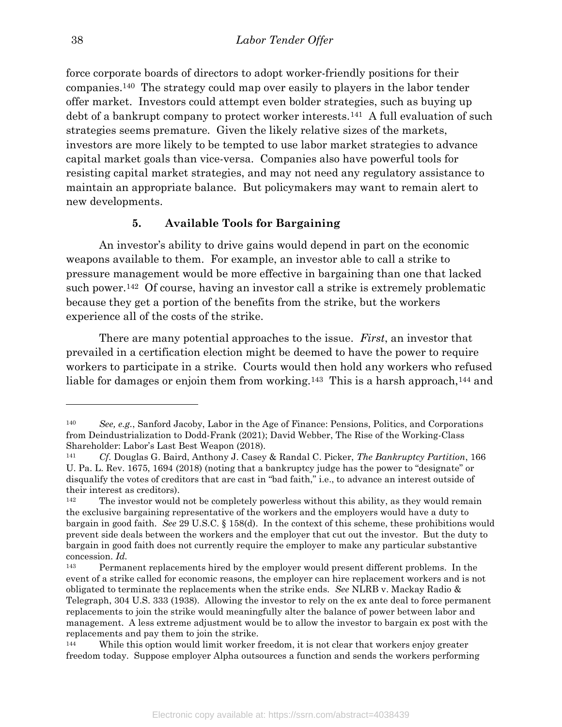force corporate boards of directors to adopt worker-friendly positions for their companies.140 The strategy could map over easily to players in the labor tender offer market. Investors could attempt even bolder strategies, such as buying up debt of a bankrupt company to protect worker interests.141 A full evaluation of such strategies seems premature. Given the likely relative sizes of the markets, investors are more likely to be tempted to use labor market strategies to advance capital market goals than vice-versa. Companies also have powerful tools for resisting capital market strategies, and may not need any regulatory assistance to maintain an appropriate balance. But policymakers may want to remain alert to new developments.

#### 5. Available Tools for Bargaining

An investor's ability to drive gains would depend in part on the economic weapons available to them. For example, an investor able to call a strike to pressure management would be more effective in bargaining than one that lacked such power.142 Of course, having an investor call a strike is extremely problematic because they get a portion of the benefits from the strike, but the workers experience all of the costs of the strike.

There are many potential approaches to the issue. First, an investor that prevailed in a certification election might be deemed to have the power to require workers to participate in a strike. Courts would then hold any workers who refused liable for damages or enjoin them from working.<sup>143</sup> This is a harsh approach,<sup>144</sup> and

<sup>140</sup> See, e.g., Sanford Jacoby, Labor in the Age of Finance: Pensions, Politics, and Corporations from Deindustrialization to Dodd-Frank (2021); David Webber, The Rise of the Working-Class Shareholder: Labor's Last Best Weapon (2018).

Cf. Douglas G. Baird, Anthony J. Casey & Randal C. Picker, The Bankruptcy Partition, 166 U. Pa. L. Rev. 1675, 1694 (2018) (noting that a bankruptcy judge has the power to "designate" or disqualify the votes of creditors that are cast in "bad faith," i.e., to advance an interest outside of their interest as creditors).

<sup>&</sup>lt;sup>142</sup> The investor would not be completely powerless without this ability, as they would remain the exclusive bargaining representative of the workers and the employers would have a duty to bargain in good faith. See 29 U.S.C. § 158(d). In the context of this scheme, these prohibitions would prevent side deals between the workers and the employer that cut out the investor. But the duty to bargain in good faith does not currently require the employer to make any particular substantive concession. Id.

<sup>143</sup> Permanent replacements hired by the employer would present different problems. In the event of a strike called for economic reasons, the employer can hire replacement workers and is not obligated to terminate the replacements when the strike ends. See NLRB v. Mackay Radio  $\&$ Telegraph, 304 U.S. 333 (1938). Allowing the investor to rely on the ex ante deal to force permanent replacements to join the strike would meaningfully alter the balance of power between labor and management. A less extreme adjustment would be to allow the investor to bargain ex post with the replacements and pay them to join the strike.

<sup>144</sup> While this option would limit worker freedom, it is not clear that workers enjoy greater freedom today. Suppose employer Alpha outsources a function and sends the workers performing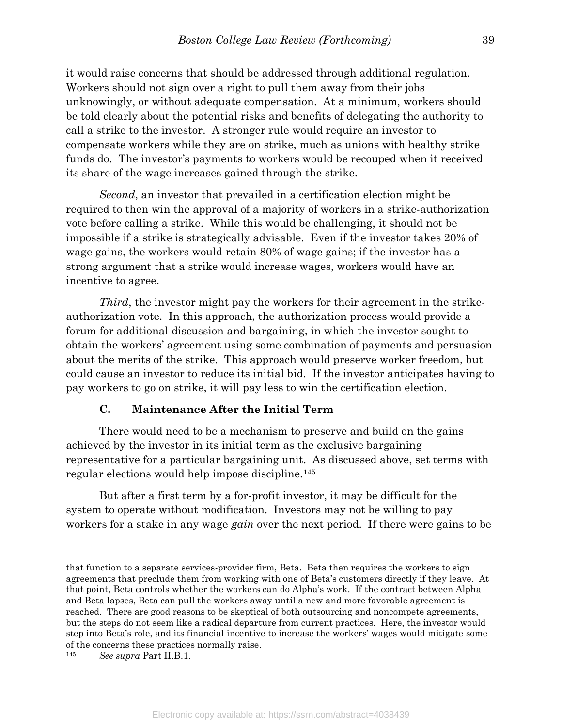it would raise concerns that should be addressed through additional regulation. Workers should not sign over a right to pull them away from their jobs unknowingly, or without adequate compensation. At a minimum, workers should be told clearly about the potential risks and benefits of delegating the authority to call a strike to the investor. A stronger rule would require an investor to compensate workers while they are on strike, much as unions with healthy strike funds do. The investor's payments to workers would be recouped when it received its share of the wage increases gained through the strike.

Second, an investor that prevailed in a certification election might be required to then win the approval of a majority of workers in a strike-authorization vote before calling a strike. While this would be challenging, it should not be impossible if a strike is strategically advisable. Even if the investor takes 20% of wage gains, the workers would retain 80% of wage gains; if the investor has a strong argument that a strike would increase wages, workers would have an incentive to agree.

Third, the investor might pay the workers for their agreement in the strikeauthorization vote. In this approach, the authorization process would provide a forum for additional discussion and bargaining, in which the investor sought to obtain the workers' agreement using some combination of payments and persuasion about the merits of the strike. This approach would preserve worker freedom, but could cause an investor to reduce its initial bid. If the investor anticipates having to pay workers to go on strike, it will pay less to win the certification election.

## C. Maintenance After the Initial Term

 There would need to be a mechanism to preserve and build on the gains achieved by the investor in its initial term as the exclusive bargaining representative for a particular bargaining unit. As discussed above, set terms with regular elections would help impose discipline.<sup>145</sup>

But after a first term by a for-profit investor, it may be difficult for the system to operate without modification. Investors may not be willing to pay workers for a stake in any wage *gain* over the next period. If there were gains to be

that function to a separate services-provider firm, Beta. Beta then requires the workers to sign agreements that preclude them from working with one of Beta's customers directly if they leave. At that point, Beta controls whether the workers can do Alpha's work. If the contract between Alpha and Beta lapses, Beta can pull the workers away until a new and more favorable agreement is reached. There are good reasons to be skeptical of both outsourcing and noncompete agreements, but the steps do not seem like a radical departure from current practices. Here, the investor would step into Beta's role, and its financial incentive to increase the workers' wages would mitigate some of the concerns these practices normally raise.

<sup>145</sup> See supra Part II.B.1.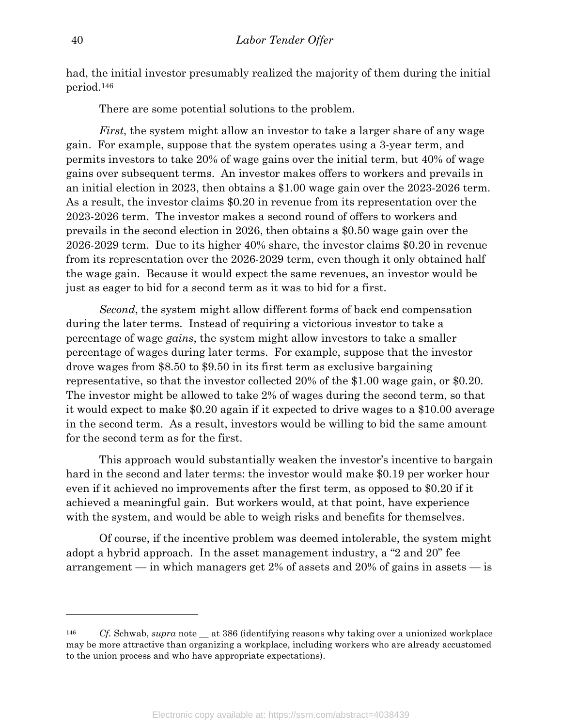had, the initial investor presumably realized the majority of them during the initial period.<sup>146</sup>

There are some potential solutions to the problem.

First, the system might allow an investor to take a larger share of any wage gain. For example, suppose that the system operates using a 3-year term, and permits investors to take 20% of wage gains over the initial term, but 40% of wage gains over subsequent terms. An investor makes offers to workers and prevails in an initial election in 2023, then obtains a \$1.00 wage gain over the 2023-2026 term. As a result, the investor claims \$0.20 in revenue from its representation over the 2023-2026 term. The investor makes a second round of offers to workers and prevails in the second election in 2026, then obtains a \$0.50 wage gain over the 2026-2029 term. Due to its higher 40% share, the investor claims \$0.20 in revenue from its representation over the 2026-2029 term, even though it only obtained half the wage gain. Because it would expect the same revenues, an investor would be just as eager to bid for a second term as it was to bid for a first.

Second, the system might allow different forms of back end compensation during the later terms. Instead of requiring a victorious investor to take a percentage of wage gains, the system might allow investors to take a smaller percentage of wages during later terms. For example, suppose that the investor drove wages from \$8.50 to \$9.50 in its first term as exclusive bargaining representative, so that the investor collected 20% of the \$1.00 wage gain, or \$0.20. The investor might be allowed to take 2% of wages during the second term, so that it would expect to make \$0.20 again if it expected to drive wages to a \$10.00 average in the second term. As a result, investors would be willing to bid the same amount for the second term as for the first.

This approach would substantially weaken the investor's incentive to bargain hard in the second and later terms: the investor would make \$0.19 per worker hour even if it achieved no improvements after the first term, as opposed to \$0.20 if it achieved a meaningful gain. But workers would, at that point, have experience with the system, and would be able to weigh risks and benefits for themselves.

Of course, if the incentive problem was deemed intolerable, the system might adopt a hybrid approach. In the asset management industry, a "2 and 20" fee arrangement — in which managers get 2% of assets and 20% of gains in assets — is

<sup>&</sup>lt;sup>146</sup> Cf. Schwab, supra note at 386 (identifying reasons why taking over a unionized workplace may be more attractive than organizing a workplace, including workers who are already accustomed to the union process and who have appropriate expectations).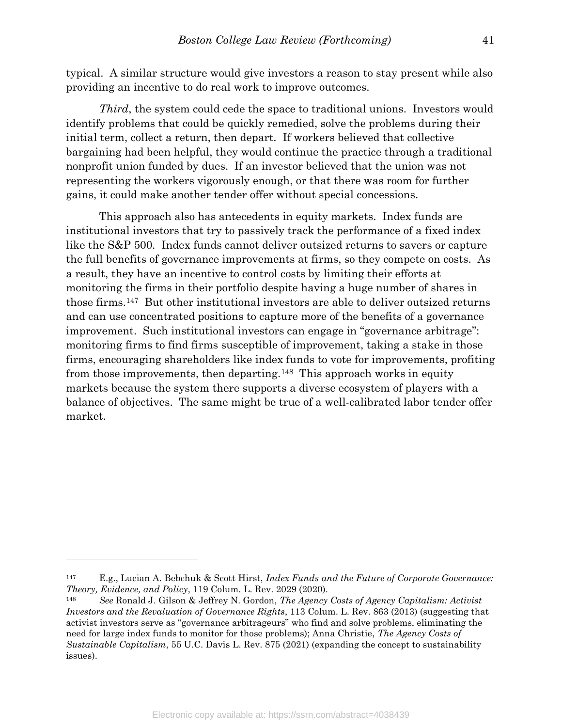typical. A similar structure would give investors a reason to stay present while also providing an incentive to do real work to improve outcomes.

Third, the system could cede the space to traditional unions. Investors would identify problems that could be quickly remedied, solve the problems during their initial term, collect a return, then depart. If workers believed that collective bargaining had been helpful, they would continue the practice through a traditional nonprofit union funded by dues. If an investor believed that the union was not representing the workers vigorously enough, or that there was room for further gains, it could make another tender offer without special concessions.

This approach also has antecedents in equity markets. Index funds are institutional investors that try to passively track the performance of a fixed index like the S&P 500. Index funds cannot deliver outsized returns to savers or capture the full benefits of governance improvements at firms, so they compete on costs. As a result, they have an incentive to control costs by limiting their efforts at monitoring the firms in their portfolio despite having a huge number of shares in those firms.147 But other institutional investors are able to deliver outsized returns and can use concentrated positions to capture more of the benefits of a governance improvement. Such institutional investors can engage in "governance arbitrage": monitoring firms to find firms susceptible of improvement, taking a stake in those firms, encouraging shareholders like index funds to vote for improvements, profiting from those improvements, then departing.148 This approach works in equity markets because the system there supports a diverse ecosystem of players with a balance of objectives. The same might be true of a well-calibrated labor tender offer market.

 $147$  E.g., Lucian A. Bebchuk & Scott Hirst, Index Funds and the Future of Corporate Governance: Theory, Evidence, and Policy, 119 Colum. L. Rev. 2029 (2020).

<sup>148</sup> See Ronald J. Gilson & Jeffrey N. Gordon, The Agency Costs of Agency Capitalism: Activist Investors and the Revaluation of Governance Rights, 113 Colum. L. Rev. 863 (2013) (suggesting that activist investors serve as "governance arbitrageurs" who find and solve problems, eliminating the need for large index funds to monitor for those problems); Anna Christie, The Agency Costs of Sustainable Capitalism, 55 U.C. Davis L. Rev. 875 (2021) (expanding the concept to sustainability issues).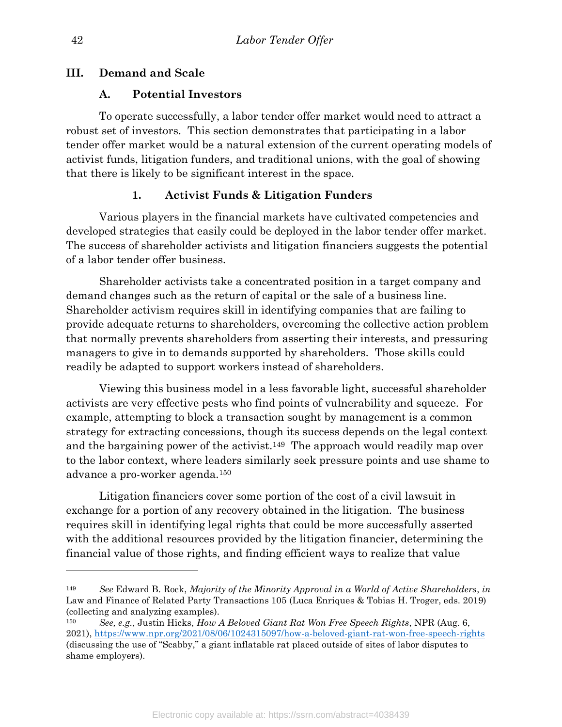## III. Demand and Scale

## A. Potential Investors

 To operate successfully, a labor tender offer market would need to attract a robust set of investors. This section demonstrates that participating in a labor tender offer market would be a natural extension of the current operating models of activist funds, litigation funders, and traditional unions, with the goal of showing that there is likely to be significant interest in the space.

## 1. Activist Funds & Litigation Funders

 Various players in the financial markets have cultivated competencies and developed strategies that easily could be deployed in the labor tender offer market. The success of shareholder activists and litigation financiers suggests the potential of a labor tender offer business.

 Shareholder activists take a concentrated position in a target company and demand changes such as the return of capital or the sale of a business line. Shareholder activism requires skill in identifying companies that are failing to provide adequate returns to shareholders, overcoming the collective action problem that normally prevents shareholders from asserting their interests, and pressuring managers to give in to demands supported by shareholders. Those skills could readily be adapted to support workers instead of shareholders.

 Viewing this business model in a less favorable light, successful shareholder activists are very effective pests who find points of vulnerability and squeeze. For example, attempting to block a transaction sought by management is a common strategy for extracting concessions, though its success depends on the legal context and the bargaining power of the activist.<sup>149</sup> The approach would readily map over to the labor context, where leaders similarly seek pressure points and use shame to advance a pro-worker agenda.<sup>150</sup>

 Litigation financiers cover some portion of the cost of a civil lawsuit in exchange for a portion of any recovery obtained in the litigation. The business requires skill in identifying legal rights that could be more successfully asserted with the additional resources provided by the litigation financier, determining the financial value of those rights, and finding efficient ways to realize that value

<sup>&</sup>lt;sup>149</sup> See Edward B. Rock, *Majority of the Minority Approval in a World of Active Shareholders, in* Law and Finance of Related Party Transactions 105 (Luca Enriques & Tobias H. Troger, eds. 2019) (collecting and analyzing examples).

<sup>&</sup>lt;sup>150</sup> See, e.g., Justin Hicks, How A Beloved Giant Rat Won Free Speech Rights, NPR (Aug. 6, 2021), https://www.npr.org/2021/08/06/1024315097/how-a-beloved-giant-rat-won-free-speech-rights (discussing the use of "Scabby," a giant inflatable rat placed outside of sites of labor disputes to shame employers).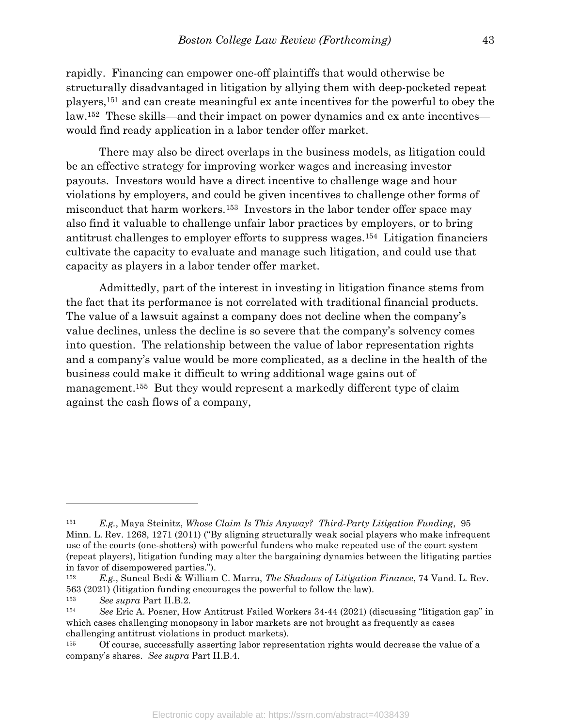rapidly. Financing can empower one-off plaintiffs that would otherwise be structurally disadvantaged in litigation by allying them with deep-pocketed repeat players,151 and can create meaningful ex ante incentives for the powerful to obey the law.152 These skills—and their impact on power dynamics and ex ante incentives would find ready application in a labor tender offer market.

 There may also be direct overlaps in the business models, as litigation could be an effective strategy for improving worker wages and increasing investor payouts. Investors would have a direct incentive to challenge wage and hour violations by employers, and could be given incentives to challenge other forms of misconduct that harm workers.153 Investors in the labor tender offer space may also find it valuable to challenge unfair labor practices by employers, or to bring antitrust challenges to employer efforts to suppress wages.154 Litigation financiers cultivate the capacity to evaluate and manage such litigation, and could use that capacity as players in a labor tender offer market.

 Admittedly, part of the interest in investing in litigation finance stems from the fact that its performance is not correlated with traditional financial products. The value of a lawsuit against a company does not decline when the company's value declines, unless the decline is so severe that the company's solvency comes into question. The relationship between the value of labor representation rights and a company's value would be more complicated, as a decline in the health of the business could make it difficult to wring additional wage gains out of management.<sup>155</sup> But they would represent a markedly different type of claim against the cash flows of a company,

<sup>&</sup>lt;sup>151</sup> E.g., Maya Steinitz, Whose Claim Is This Anyway? Third-Party Litigation Funding, 95 Minn. L. Rev. 1268, 1271 (2011) ("By aligning structurally weak social players who make infrequent use of the courts (one-shotters) with powerful funders who make repeated use of the court system (repeat players), litigation funding may alter the bargaining dynamics between the litigating parties in favor of disempowered parties.").

<sup>&</sup>lt;sup>152</sup> E.g., Suneal Bedi & William C. Marra, The Shadows of Litigation Finance, 74 Vand. L. Rev. 563 (2021) (litigation funding encourages the powerful to follow the law).

<sup>153</sup> See supra Part II.B.2.

<sup>154</sup> See Eric A. Posner, How Antitrust Failed Workers 34-44 (2021) (discussing "litigation gap" in which cases challenging monopsony in labor markets are not brought as frequently as cases challenging antitrust violations in product markets).

<sup>155</sup> Of course, successfully asserting labor representation rights would decrease the value of a company's shares. See supra Part II.B.4.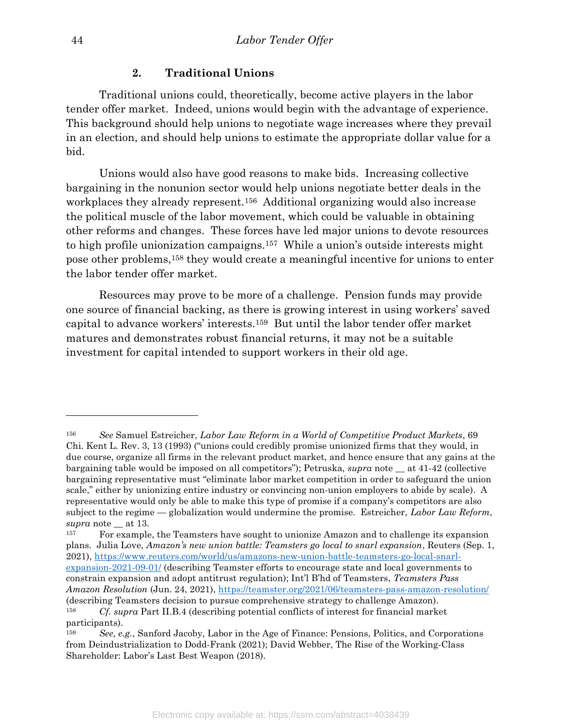## 2. Traditional Unions

 Traditional unions could, theoretically, become active players in the labor tender offer market. Indeed, unions would begin with the advantage of experience. This background should help unions to negotiate wage increases where they prevail in an election, and should help unions to estimate the appropriate dollar value for a bid.

 Unions would also have good reasons to make bids. Increasing collective bargaining in the nonunion sector would help unions negotiate better deals in the workplaces they already represent.156 Additional organizing would also increase the political muscle of the labor movement, which could be valuable in obtaining other reforms and changes. These forces have led major unions to devote resources to high profile unionization campaigns.157 While a union's outside interests might pose other problems,158 they would create a meaningful incentive for unions to enter the labor tender offer market.

 Resources may prove to be more of a challenge. Pension funds may provide one source of financial backing, as there is growing interest in using workers' saved capital to advance workers' interests.159 But until the labor tender offer market matures and demonstrates robust financial returns, it may not be a suitable investment for capital intended to support workers in their old age.

<sup>156</sup> See Samuel Estreicher, Labor Law Reform in a World of Competitive Product Markets, 69 Chi. Kent L. Rev. 3, 13 (1993) ("unions could credibly promise unionized firms that they would, in due course, organize all firms in the relevant product market, and hence ensure that any gains at the bargaining table would be imposed on all competitors"); Petruska, supra note \_\_ at 41-42 (collective bargaining representative must "eliminate labor market competition in order to safeguard the union scale," either by unionizing entire industry or convincing non-union employers to abide by scale). A representative would only be able to make this type of promise if a company's competitors are also subject to the regime — globalization would undermine the promise. Estreicher, Labor Law Reform, supra note  $\_\$ at 13.

<sup>157</sup> For example, the Teamsters have sought to unionize Amazon and to challenge its expansion plans. Julia Love, Amazon's new union battle: Teamsters go local to snarl expansion, Reuters (Sep. 1, 2021), https://www.reuters.com/world/us/amazons-new-union-battle-teamsters-go-local-snarlexpansion-2021-09-01/ (describing Teamster efforts to encourage state and local governments to constrain expansion and adopt antitrust regulation); Int'l B'hd of Teamsters, Teamsters Pass Amazon Resolution (Jun. 24, 2021), https://teamster.org/2021/06/teamsters-pass-amazon-resolution/ (describing Teamsters decision to pursue comprehensive strategy to challenge Amazon). <sup>158</sup> Cf. supra Part II.B.4 (describing potential conflicts of interest for financial market

participants).

<sup>159</sup> See, e.g., Sanford Jacoby, Labor in the Age of Finance: Pensions, Politics, and Corporations from Deindustrialization to Dodd-Frank (2021); David Webber, The Rise of the Working-Class Shareholder: Labor's Last Best Weapon (2018).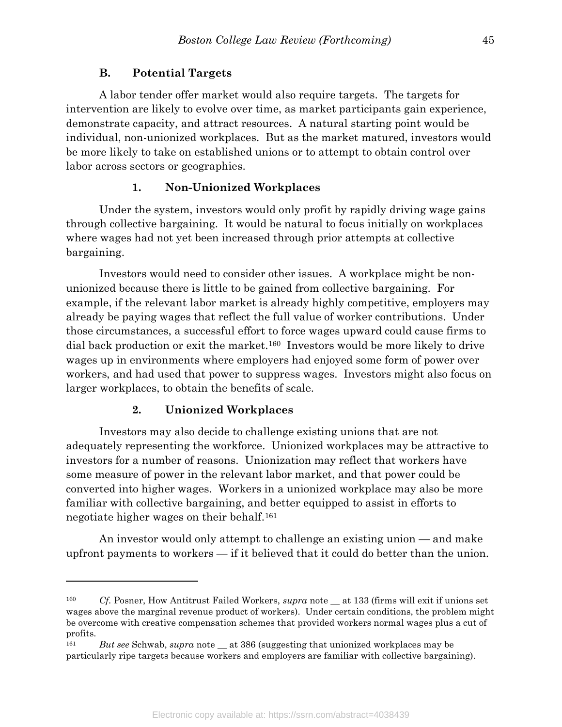#### B. Potential Targets

 A labor tender offer market would also require targets. The targets for intervention are likely to evolve over time, as market participants gain experience, demonstrate capacity, and attract resources. A natural starting point would be individual, non-unionized workplaces. But as the market matured, investors would be more likely to take on established unions or to attempt to obtain control over labor across sectors or geographies.

#### 1. Non-Unionized Workplaces

 Under the system, investors would only profit by rapidly driving wage gains through collective bargaining. It would be natural to focus initially on workplaces where wages had not yet been increased through prior attempts at collective bargaining.

 Investors would need to consider other issues. A workplace might be nonunionized because there is little to be gained from collective bargaining. For example, if the relevant labor market is already highly competitive, employers may already be paying wages that reflect the full value of worker contributions. Under those circumstances, a successful effort to force wages upward could cause firms to dial back production or exit the market.160 Investors would be more likely to drive wages up in environments where employers had enjoyed some form of power over workers, and had used that power to suppress wages. Investors might also focus on larger workplaces, to obtain the benefits of scale.

#### 2. Unionized Workplaces

 $\overline{a}$ 

 Investors may also decide to challenge existing unions that are not adequately representing the workforce. Unionized workplaces may be attractive to investors for a number of reasons. Unionization may reflect that workers have some measure of power in the relevant labor market, and that power could be converted into higher wages. Workers in a unionized workplace may also be more familiar with collective bargaining, and better equipped to assist in efforts to negotiate higher wages on their behalf.<sup>161</sup>

 An investor would only attempt to challenge an existing union — and make upfront payments to workers — if it believed that it could do better than the union.

<sup>&</sup>lt;sup>160</sup> Cf. Posner, How Antitrust Failed Workers, *supra* note \_\_ at 133 (firms will exit if unions set wages above the marginal revenue product of workers). Under certain conditions, the problem might be overcome with creative compensation schemes that provided workers normal wages plus a cut of profits.

<sup>&</sup>lt;sup>161</sup> But see Schwab, supra note  $\equiv$  at 386 (suggesting that unionized workplaces may be particularly ripe targets because workers and employers are familiar with collective bargaining).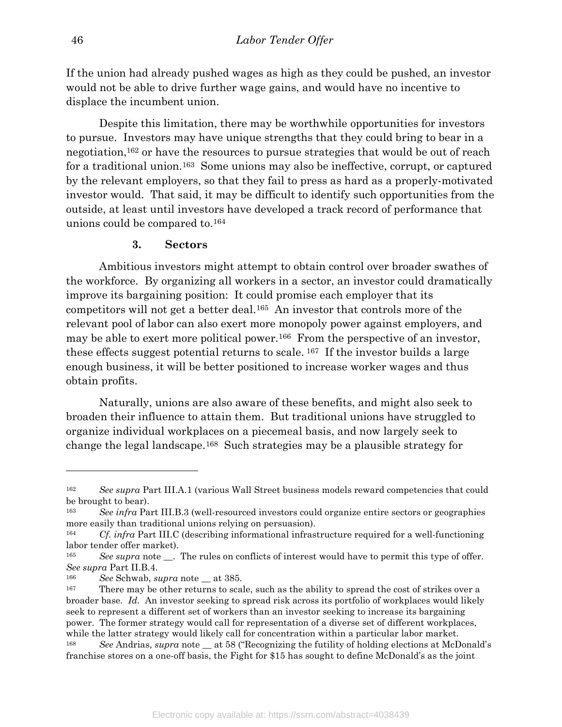If the union had already pushed wages as high as they could be pushed, an investor would not be able to drive further wage gains, and would have no incentive to displace the incumbent union.

 Despite this limitation, there may be worthwhile opportunities for investors to pursue. Investors may have unique strengths that they could bring to bear in a negotiation,162 or have the resources to pursue strategies that would be out of reach for a traditional union.163 Some unions may also be ineffective, corrupt, or captured by the relevant employers, so that they fail to press as hard as a properly-motivated investor would. That said, it may be difficult to identify such opportunities from the outside, at least until investors have developed a track record of performance that unions could be compared to.<sup>164</sup>

#### 3. Sectors

 Ambitious investors might attempt to obtain control over broader swathes of the workforce. By organizing all workers in a sector, an investor could dramatically improve its bargaining position: It could promise each employer that its competitors will not get a better deal.165 An investor that controls more of the relevant pool of labor can also exert more monopoly power against employers, and may be able to exert more political power.<sup>166</sup> From the perspective of an investor, these effects suggest potential returns to scale. 167 If the investor builds a large enough business, it will be better positioned to increase worker wages and thus obtain profits.

 Naturally, unions are also aware of these benefits, and might also seek to broaden their influence to attain them. But traditional unions have struggled to organize individual workplaces on a piecemeal basis, and now largely seek to change the legal landscape.168 Such strategies may be a plausible strategy for

<sup>162</sup> See supra Part III.A.1 (various Wall Street business models reward competencies that could be brought to bear).

<sup>163</sup> See infra Part III.B.3 (well-resourced investors could organize entire sectors or geographies more easily than traditional unions relying on persuasion).

<sup>&</sup>lt;sup>164</sup> Cf. infra Part III.C (describing informational infrastructure required for a well-functioning labor tender offer market).

<sup>&</sup>lt;sup>165</sup> See supra note  $\blacksquare$ . The rules on conflicts of interest would have to permit this type of offer. See supra Part II.B.4.

<sup>&</sup>lt;sup>166</sup> See Schwab, supra note at 385.

<sup>&</sup>lt;sup>167</sup> There may be other returns to scale, such as the ability to spread the cost of strikes over a broader base. Id. An investor seeking to spread risk across its portfolio of workplaces would likely seek to represent a different set of workers than an investor seeking to increase its bargaining power. The former strategy would call for representation of a diverse set of different workplaces, while the latter strategy would likely call for concentration within a particular labor market. <sup>168</sup> See Andrias, supra note \_\_ at 58 ("Recognizing the futility of holding elections at McDonald's

franchise stores on a one-off basis, the Fight for \$15 has sought to define McDonald's as the joint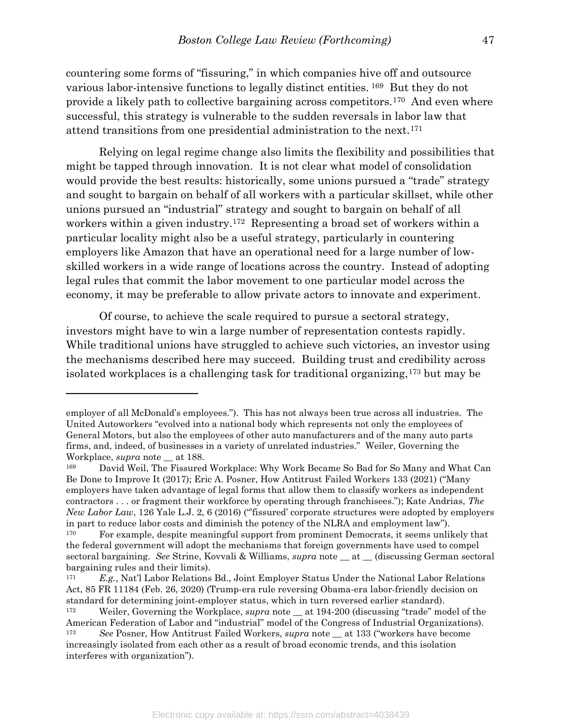countering some forms of "fissuring," in which companies hive off and outsource various labor-intensive functions to legally distinct entities. 169 But they do not provide a likely path to collective bargaining across competitors.170 And even where successful, this strategy is vulnerable to the sudden reversals in labor law that attend transitions from one presidential administration to the next.<sup>171</sup>

 Relying on legal regime change also limits the flexibility and possibilities that might be tapped through innovation. It is not clear what model of consolidation would provide the best results: historically, some unions pursued a "trade" strategy and sought to bargain on behalf of all workers with a particular skillset, while other unions pursued an "industrial" strategy and sought to bargain on behalf of all workers within a given industry.172 Representing a broad set of workers within a particular locality might also be a useful strategy, particularly in countering employers like Amazon that have an operational need for a large number of lowskilled workers in a wide range of locations across the country. Instead of adopting legal rules that commit the labor movement to one particular model across the economy, it may be preferable to allow private actors to innovate and experiment.

 Of course, to achieve the scale required to pursue a sectoral strategy, investors might have to win a large number of representation contests rapidly. While traditional unions have struggled to achieve such victories, an investor using the mechanisms described here may succeed. Building trust and credibility across isolated workplaces is a challenging task for traditional organizing,173 but may be

employer of all McDonald's employees."). This has not always been true across all industries. The United Autoworkers "evolved into a national body which represents not only the employees of General Motors, but also the employees of other auto manufacturers and of the many auto parts firms, and, indeed, of businesses in a variety of unrelated industries." Weiler, Governing the Workplace, supra note \_\_ at 188.

<sup>169</sup> David Weil, The Fissured Workplace: Why Work Became So Bad for So Many and What Can Be Done to Improve It (2017); Eric A. Posner, How Antitrust Failed Workers 133 (2021) ("Many employers have taken advantage of legal forms that allow them to classify workers as independent contractors . . . or fragment their workforce by operating through franchisees."); Kate Andrias, The New Labor Law, 126 Yale L.J. 2, 6 (2016) ("fissured' corporate structures were adopted by employers in part to reduce labor costs and diminish the potency of the NLRA and employment law").

For example, despite meaningful support from prominent Democrats, it seems unlikely that the federal government will adopt the mechanisms that foreign governments have used to compel sectoral bargaining. See Strine, Kovvali & Williams, *supra* note at (discussing German sectoral bargaining rules and their limits).

 $171$  E.g., Nat'l Labor Relations Bd., Joint Employer Status Under the National Labor Relations Act, 85 FR 11184 (Feb. 26, 2020) (Trump-era rule reversing Obama-era labor-friendly decision on standard for determining joint-employer status, which in turn reversed earlier standard).

<sup>&</sup>lt;sup>172</sup> Weiler, Governing the Workplace, *supra* note  $\_\$ at 194-200 (discussing "trade" model of the American Federation of Labor and "industrial" model of the Congress of Industrial Organizations).

<sup>&</sup>lt;sup>173</sup> See Posner, How Antitrust Failed Workers, *supra* note <u>at</u> 133 ("workers have become increasingly isolated from each other as a result of broad economic trends, and this isolation interferes with organization").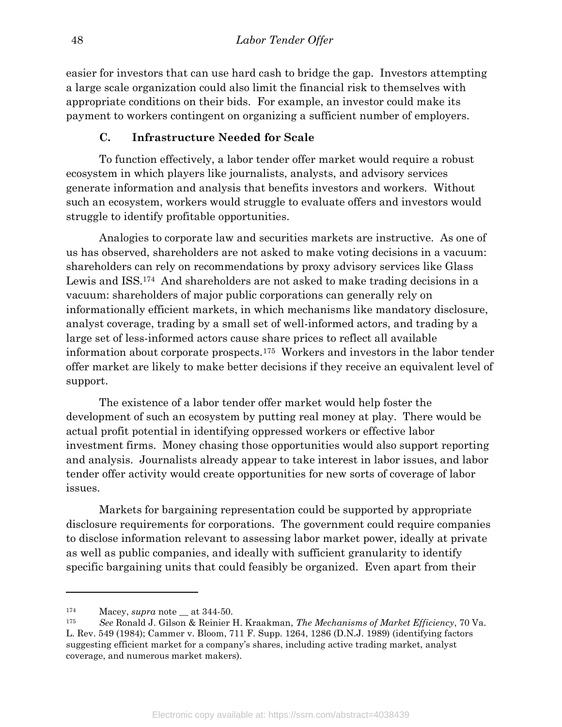easier for investors that can use hard cash to bridge the gap. Investors attempting a large scale organization could also limit the financial risk to themselves with appropriate conditions on their bids. For example, an investor could make its payment to workers contingent on organizing a sufficient number of employers.

## C. Infrastructure Needed for Scale

 To function effectively, a labor tender offer market would require a robust ecosystem in which players like journalists, analysts, and advisory services generate information and analysis that benefits investors and workers. Without such an ecosystem, workers would struggle to evaluate offers and investors would struggle to identify profitable opportunities.

 Analogies to corporate law and securities markets are instructive. As one of us has observed, shareholders are not asked to make voting decisions in a vacuum: shareholders can rely on recommendations by proxy advisory services like Glass Lewis and ISS.<sup>174</sup> And shareholders are not asked to make trading decisions in a vacuum: shareholders of major public corporations can generally rely on informationally efficient markets, in which mechanisms like mandatory disclosure, analyst coverage, trading by a small set of well-informed actors, and trading by a large set of less-informed actors cause share prices to reflect all available information about corporate prospects.175 Workers and investors in the labor tender offer market are likely to make better decisions if they receive an equivalent level of support.

 The existence of a labor tender offer market would help foster the development of such an ecosystem by putting real money at play. There would be actual profit potential in identifying oppressed workers or effective labor investment firms. Money chasing those opportunities would also support reporting and analysis. Journalists already appear to take interest in labor issues, and labor tender offer activity would create opportunities for new sorts of coverage of labor issues.

 Markets for bargaining representation could be supported by appropriate disclosure requirements for corporations. The government could require companies to disclose information relevant to assessing labor market power, ideally at private as well as public companies, and ideally with sufficient granularity to identify specific bargaining units that could feasibly be organized. Even apart from their

 $174$  Macey, *supra* note at 344-50.

<sup>175</sup> See Ronald J. Gilson & Reinier H. Kraakman, The Mechanisms of Market Efficiency, 70 Va. L. Rev. 549 (1984); Cammer v. Bloom, 711 F. Supp. 1264, 1286 (D.N.J. 1989) (identifying factors suggesting efficient market for a company's shares, including active trading market, analyst coverage, and numerous market makers).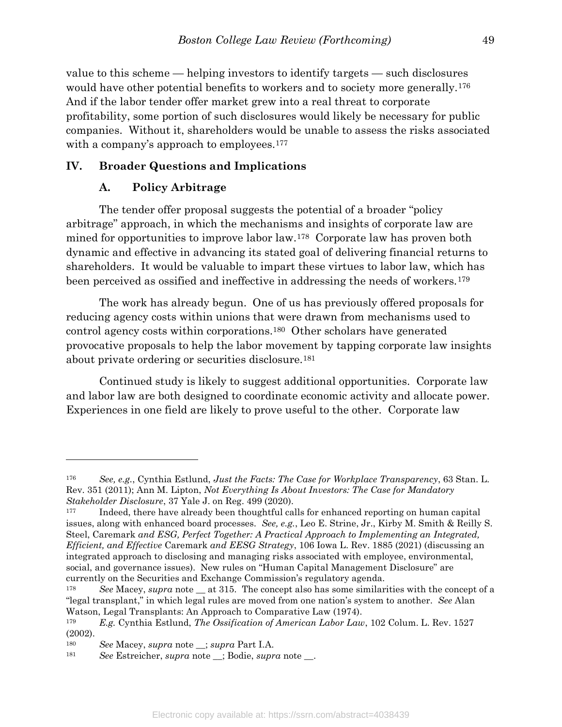value to this scheme — helping investors to identify targets — such disclosures would have other potential benefits to workers and to society more generally.<sup>176</sup> And if the labor tender offer market grew into a real threat to corporate profitability, some portion of such disclosures would likely be necessary for public companies. Without it, shareholders would be unable to assess the risks associated with a company's approach to employees.<sup>177</sup>

#### IV. Broader Questions and Implications

#### A. Policy Arbitrage

 The tender offer proposal suggests the potential of a broader "policy arbitrage" approach, in which the mechanisms and insights of corporate law are mined for opportunities to improve labor law.178 Corporate law has proven both dynamic and effective in advancing its stated goal of delivering financial returns to shareholders. It would be valuable to impart these virtues to labor law, which has been perceived as ossified and ineffective in addressing the needs of workers.<sup>179</sup>

 The work has already begun. One of us has previously offered proposals for reducing agency costs within unions that were drawn from mechanisms used to control agency costs within corporations.180 Other scholars have generated provocative proposals to help the labor movement by tapping corporate law insights about private ordering or securities disclosure.<sup>181</sup>

 Continued study is likely to suggest additional opportunities. Corporate law and labor law are both designed to coordinate economic activity and allocate power. Experiences in one field are likely to prove useful to the other. Corporate law

<sup>176</sup> See, e.g., Cynthia Estlund, Just the Facts: The Case for Workplace Transparency, 63 Stan. L. Rev. 351 (2011); Ann M. Lipton, Not Everything Is About Investors: The Case for Mandatory Stakeholder Disclosure, 37 Yale J. on Reg. 499 (2020).

Indeed, there have already been thoughtful calls for enhanced reporting on human capital issues, along with enhanced board processes. See, e.g., Leo E. Strine, Jr., Kirby M. Smith & Reilly S. Steel, Caremark and ESG, Perfect Together: A Practical Approach to Implementing an Integrated, Efficient, and Effective Caremark and EESG Strategy, 106 Iowa L. Rev. 1885 (2021) (discussing an integrated approach to disclosing and managing risks associated with employee, environmental, social, and governance issues). New rules on "Human Capital Management Disclosure" are currently on the Securities and Exchange Commission's regulatory agenda.

<sup>&</sup>lt;sup>178</sup> See Macey, supra note  $\equiv$  at 315. The concept also has some similarities with the concept of a "legal transplant," in which legal rules are moved from one nation's system to another. See Alan Watson, Legal Transplants: An Approach to Comparative Law (1974).

<sup>179</sup> E.g. Cynthia Estlund, The Ossification of American Labor Law, 102 Colum. L. Rev. 1527 (2002).

<sup>180</sup> See Macey, supra note \_\_; supra Part I.A.

<sup>181</sup> See Estreicher, supra note \_; Bodie, supra note \_\_.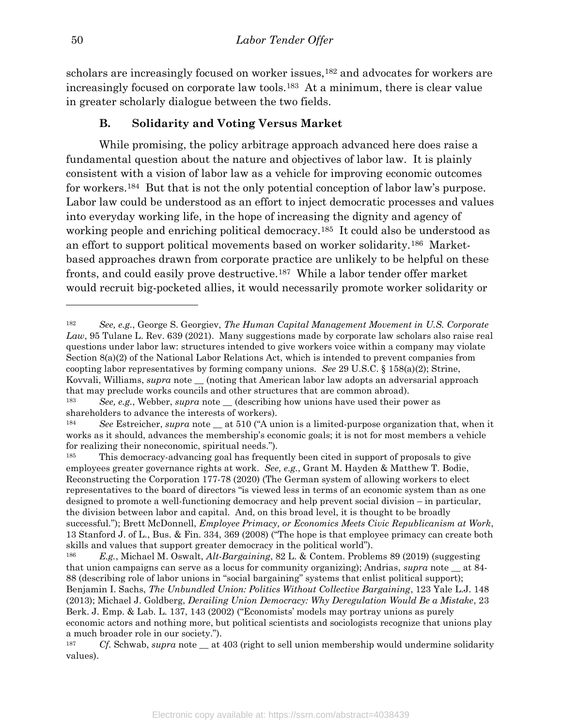scholars are increasingly focused on worker issues,<sup>182</sup> and advocates for workers are increasingly focused on corporate law tools.183 At a minimum, there is clear value in greater scholarly dialogue between the two fields.

## B. Solidarity and Voting Versus Market

 While promising, the policy arbitrage approach advanced here does raise a fundamental question about the nature and objectives of labor law. It is plainly consistent with a vision of labor law as a vehicle for improving economic outcomes for workers.184 But that is not the only potential conception of labor law's purpose. Labor law could be understood as an effort to inject democratic processes and values into everyday working life, in the hope of increasing the dignity and agency of working people and enriching political democracy.<sup>185</sup> It could also be understood as an effort to support political movements based on worker solidarity.186 Marketbased approaches drawn from corporate practice are unlikely to be helpful on these fronts, and could easily prove destructive.187 While a labor tender offer market would recruit big-pocketed allies, it would necessarily promote worker solidarity or

<sup>182</sup> See, e.g., George S. Georgiev, The Human Capital Management Movement in U.S. Corporate Law, 95 Tulane L. Rev. 639 (2021). Many suggestions made by corporate law scholars also raise real questions under labor law: structures intended to give workers voice within a company may violate Section 8(a)(2) of the National Labor Relations Act, which is intended to prevent companies from coopting labor representatives by forming company unions. See 29 U.S.C. § 158(a)(2); Strine, Kovvali, Williams, *supra* note \_\_ (noting that American labor law adopts an adversarial approach that may preclude works councils and other structures that are common abroad).

<sup>&</sup>lt;sup>183</sup> See, e.g., Webber, supra note \_\_ (describing how unions have used their power as shareholders to advance the interests of workers).

<sup>&</sup>lt;sup>184</sup> See Estreicher, supra note  $\equiv$  at 510 ("A union is a limited-purpose organization that, when it works as it should, advances the membership's economic goals; it is not for most members a vehicle for realizing their noneconomic, spiritual needs.").

<sup>&</sup>lt;sup>185</sup> This democracy-advancing goal has frequently been cited in support of proposals to give employees greater governance rights at work. See, e.g., Grant M. Hayden & Matthew T. Bodie, Reconstructing the Corporation 177-78 (2020) (The German system of allowing workers to elect representatives to the board of directors "is viewed less in terms of an economic system than as one designed to promote a well-functioning democracy and help prevent social division – in particular, the division between labor and capital. And, on this broad level, it is thought to be broadly successful."); Brett McDonnell, *Employee Primacy, or Economics Meets Civic Republicanism at Work*, 13 Stanford J. of L., Bus. & Fin. 334, 369 (2008) ("The hope is that employee primacy can create both skills and values that support greater democracy in the political world").

<sup>&</sup>lt;sup>186</sup> E.g., Michael M. Oswalt, *Alt-Bargaining*, 82 L. & Contem. Problems 89 (2019) (suggesting that union campaigns can serve as a locus for community organizing); Andrias, supra note  $\equiv$  at 84-88 (describing role of labor unions in "social bargaining" systems that enlist political support); Benjamin I. Sachs, The Unbundled Union: Politics Without Collective Bargaining, 123 Yale L.J. 148 (2013); Michael J. Goldberg, Derailing Union Democracy: Why Deregulation Would Be a Mistake, 23 Berk. J. Emp. & Lab. L. 137, 143 (2002) ("Economists' models may portray unions as purely economic actors and nothing more, but political scientists and sociologists recognize that unions play a much broader role in our society.").

<sup>&</sup>lt;sup>187</sup> Cf. Schwab, supra note  $\equiv$  at 403 (right to sell union membership would undermine solidarity values).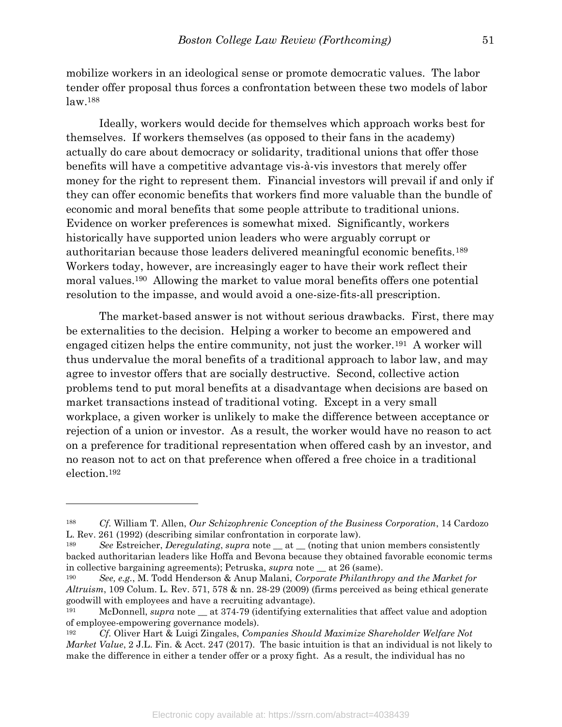mobilize workers in an ideological sense or promote democratic values. The labor tender offer proposal thus forces a confrontation between these two models of labor law.<sup>188</sup>

 Ideally, workers would decide for themselves which approach works best for themselves. If workers themselves (as opposed to their fans in the academy) actually do care about democracy or solidarity, traditional unions that offer those benefits will have a competitive advantage vis-à-vis investors that merely offer money for the right to represent them. Financial investors will prevail if and only if they can offer economic benefits that workers find more valuable than the bundle of economic and moral benefits that some people attribute to traditional unions. Evidence on worker preferences is somewhat mixed. Significantly, workers historically have supported union leaders who were arguably corrupt or authoritarian because those leaders delivered meaningful economic benefits.<sup>189</sup> Workers today, however, are increasingly eager to have their work reflect their moral values.190 Allowing the market to value moral benefits offers one potential resolution to the impasse, and would avoid a one-size-fits-all prescription.

 The market-based answer is not without serious drawbacks. First, there may be externalities to the decision. Helping a worker to become an empowered and engaged citizen helps the entire community, not just the worker.191 A worker will thus undervalue the moral benefits of a traditional approach to labor law, and may agree to investor offers that are socially destructive. Second, collective action problems tend to put moral benefits at a disadvantage when decisions are based on market transactions instead of traditional voting. Except in a very small workplace, a given worker is unlikely to make the difference between acceptance or rejection of a union or investor. As a result, the worker would have no reason to act on a preference for traditional representation when offered cash by an investor, and no reason not to act on that preference when offered a free choice in a traditional election.<sup>192</sup>

<sup>188</sup> Cf. William T. Allen, Our Schizophrenic Conception of the Business Corporation, 14 Cardozo L. Rev. 261 (1992) (describing similar confrontation in corporate law).

<sup>&</sup>lt;sup>189</sup> See Estreicher, Deregulating, supra note  $\_$  at  $\_$  (noting that union members consistently backed authoritarian leaders like Hoffa and Bevona because they obtained favorable economic terms in collective bargaining agreements); Petruska, supra note \_\_ at 26 (same).

<sup>&</sup>lt;sup>190</sup> See, e.g., M. Todd Henderson & Anup Malani, Corporate Philanthropy and the Market for Altruism, 109 Colum. L. Rev. 571, 578 & nn. 28-29 (2009) (firms perceived as being ethical generate goodwill with employees and have a recruiting advantage).

<sup>&</sup>lt;sup>191</sup> McDonnell, *supra* note at 374-79 (identifying externalities that affect value and adoption of employee-empowering governance models).

<sup>192</sup> Cf. Oliver Hart & Luigi Zingales, Companies Should Maximize Shareholder Welfare Not *Market Value,* 2 J.L. Fin. & Acct. 247 (2017). The basic intuition is that an individual is not likely to make the difference in either a tender offer or a proxy fight. As a result, the individual has no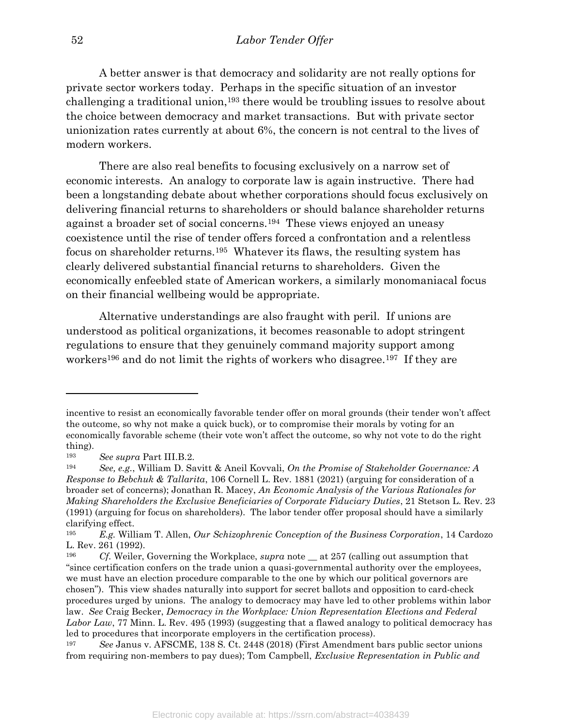A better answer is that democracy and solidarity are not really options for private sector workers today. Perhaps in the specific situation of an investor challenging a traditional union,193 there would be troubling issues to resolve about the choice between democracy and market transactions. But with private sector unionization rates currently at about 6%, the concern is not central to the lives of modern workers.

 There are also real benefits to focusing exclusively on a narrow set of economic interests. An analogy to corporate law is again instructive. There had been a longstanding debate about whether corporations should focus exclusively on delivering financial returns to shareholders or should balance shareholder returns against a broader set of social concerns.194 These views enjoyed an uneasy coexistence until the rise of tender offers forced a confrontation and a relentless focus on shareholder returns.195 Whatever its flaws, the resulting system has clearly delivered substantial financial returns to shareholders. Given the economically enfeebled state of American workers, a similarly monomaniacal focus on their financial wellbeing would be appropriate.

 Alternative understandings are also fraught with peril. If unions are understood as political organizations, it becomes reasonable to adopt stringent regulations to ensure that they genuinely command majority support among workers<sup>196</sup> and do not limit the rights of workers who disagree.<sup>197</sup> If they are

incentive to resist an economically favorable tender offer on moral grounds (their tender won't affect the outcome, so why not make a quick buck), or to compromise their morals by voting for an economically favorable scheme (their vote won't affect the outcome, so why not vote to do the right thing).

<sup>193</sup> See supra Part III.B.2.

<sup>&</sup>lt;sup>194</sup> See, e.g., William D. Savitt & Aneil Kovvali, On the Promise of Stakeholder Governance: A Response to Bebchuk & Tallarita, 106 Cornell L. Rev. 1881 (2021) (arguing for consideration of a broader set of concerns); Jonathan R. Macey, An Economic Analysis of the Various Rationales for Making Shareholders the Exclusive Beneficiaries of Corporate Fiduciary Duties, 21 Stetson L. Rev. 23 (1991) (arguing for focus on shareholders). The labor tender offer proposal should have a similarly clarifying effect.

 $E.g.$  William T. Allen, *Our Schizophrenic Conception of the Business Corporation*, 14 Cardozo L. Rev. 261 (1992).

<sup>&</sup>lt;sup>196</sup> Cf. Weiler, Governing the Workplace, *supra* note at 257 (calling out assumption that "since certification confers on the trade union a quasi-governmental authority over the employees, we must have an election procedure comparable to the one by which our political governors are chosen"). This view shades naturally into support for secret ballots and opposition to card-check procedures urged by unions. The analogy to democracy may have led to other problems within labor law. See Craig Becker, Democracy in the Workplace: Union Representation Elections and Federal Labor Law, 77 Minn. L. Rev. 495 (1993) (suggesting that a flawed analogy to political democracy has led to procedures that incorporate employers in the certification process).

<sup>197</sup> See Janus v. AFSCME, 138 S. Ct. 2448 (2018) (First Amendment bars public sector unions from requiring non-members to pay dues); Tom Campbell, Exclusive Representation in Public and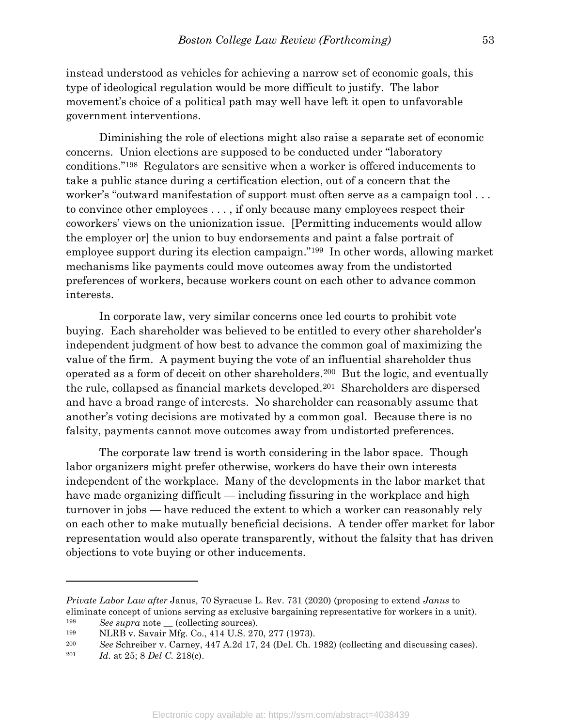instead understood as vehicles for achieving a narrow set of economic goals, this type of ideological regulation would be more difficult to justify. The labor movement's choice of a political path may well have left it open to unfavorable government interventions.

 Diminishing the role of elections might also raise a separate set of economic concerns. Union elections are supposed to be conducted under "laboratory conditions."198 Regulators are sensitive when a worker is offered inducements to take a public stance during a certification election, out of a concern that the worker's "outward manifestation of support must often serve as a campaign tool . . . to convince other employees . . . , if only because many employees respect their coworkers' views on the unionization issue. [Permitting inducements would allow the employer or] the union to buy endorsements and paint a false portrait of employee support during its election campaign."199 In other words, allowing market mechanisms like payments could move outcomes away from the undistorted preferences of workers, because workers count on each other to advance common interests.

 In corporate law, very similar concerns once led courts to prohibit vote buying. Each shareholder was believed to be entitled to every other shareholder's independent judgment of how best to advance the common goal of maximizing the value of the firm. A payment buying the vote of an influential shareholder thus operated as a form of deceit on other shareholders.200 But the logic, and eventually the rule, collapsed as financial markets developed.201 Shareholders are dispersed and have a broad range of interests. No shareholder can reasonably assume that another's voting decisions are motivated by a common goal. Because there is no falsity, payments cannot move outcomes away from undistorted preferences.

 The corporate law trend is worth considering in the labor space. Though labor organizers might prefer otherwise, workers do have their own interests independent of the workplace. Many of the developments in the labor market that have made organizing difficult — including fissuring in the workplace and high turnover in jobs — have reduced the extent to which a worker can reasonably rely on each other to make mutually beneficial decisions. A tender offer market for labor representation would also operate transparently, without the falsity that has driven objections to vote buying or other inducements.

Private Labor Law after Janus, 70 Syracuse L. Rev. 731 (2020) (proposing to extend Janus to eliminate concept of unions serving as exclusive bargaining representative for workers in a unit).

 $198$  See supra note (collecting sources).

<sup>199</sup> NLRB v. Savair Mfg. Co., 414 U.S. 270, 277 (1973).

<sup>200</sup> See Schreiber v. Carney, 447 A.2d 17, 24 (Del. Ch. 1982) (collecting and discussing cases).

<sup>201</sup> Id. at 25; 8 Del C. 218(c).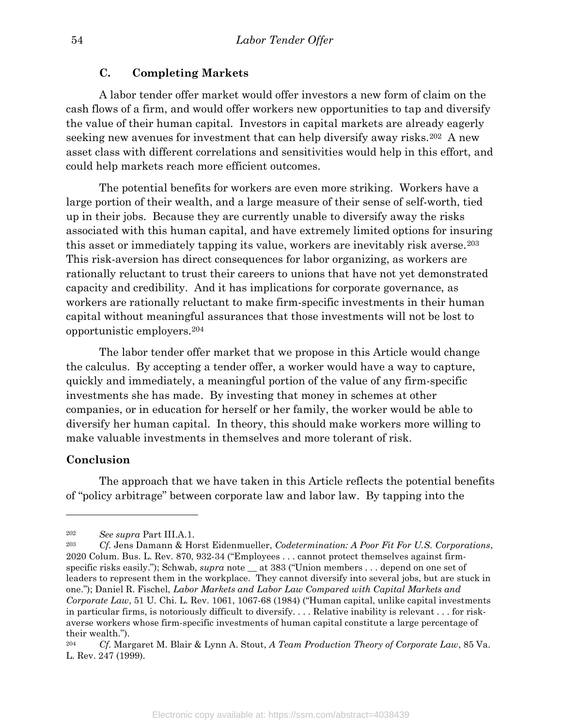#### C. Completing Markets

 A labor tender offer market would offer investors a new form of claim on the cash flows of a firm, and would offer workers new opportunities to tap and diversify the value of their human capital. Investors in capital markets are already eagerly seeking new avenues for investment that can help diversify away risks.202 A new asset class with different correlations and sensitivities would help in this effort, and could help markets reach more efficient outcomes.

 The potential benefits for workers are even more striking. Workers have a large portion of their wealth, and a large measure of their sense of self-worth, tied up in their jobs. Because they are currently unable to diversify away the risks associated with this human capital, and have extremely limited options for insuring this asset or immediately tapping its value, workers are inevitably risk averse.<sup>203</sup> This risk-aversion has direct consequences for labor organizing, as workers are rationally reluctant to trust their careers to unions that have not yet demonstrated capacity and credibility. And it has implications for corporate governance, as workers are rationally reluctant to make firm-specific investments in their human capital without meaningful assurances that those investments will not be lost to opportunistic employers.<sup>204</sup>

 The labor tender offer market that we propose in this Article would change the calculus. By accepting a tender offer, a worker would have a way to capture, quickly and immediately, a meaningful portion of the value of any firm-specific investments she has made. By investing that money in schemes at other companies, or in education for herself or her family, the worker would be able to diversify her human capital. In theory, this should make workers more willing to make valuable investments in themselves and more tolerant of risk.

#### Conclusion

 $\overline{a}$ 

 The approach that we have taken in this Article reflects the potential benefits of "policy arbitrage" between corporate law and labor law. By tapping into the

<sup>202</sup> See supra Part III.A.1.

<sup>&</sup>lt;sup>203</sup> Cf. Jens Damann & Horst Eidenmueller, Codetermination: A Poor Fit For U.S. Corporations, 2020 Colum. Bus. L. Rev. 870, 932-34 ("Employees . . . cannot protect themselves against firmspecific risks easily."); Schwab, supra note \_\_ at 383 ("Union members . . . depend on one set of leaders to represent them in the workplace. They cannot diversify into several jobs, but are stuck in one."); Daniel R. Fischel, Labor Markets and Labor Law Compared with Capital Markets and Corporate Law, 51 U. Chi. L. Rev. 1061, 1067-68 (1984) ("Human capital, unlike capital investments in particular firms, is notoriously difficult to diversify. . . . Relative inability is relevant . . . for riskaverse workers whose firm-specific investments of human capital constitute a large percentage of their wealth.").

<sup>&</sup>lt;sup>204</sup> Cf. Margaret M. Blair & Lynn A. Stout, A Team Production Theory of Corporate Law, 85 Va. L. Rev. 247 (1999).